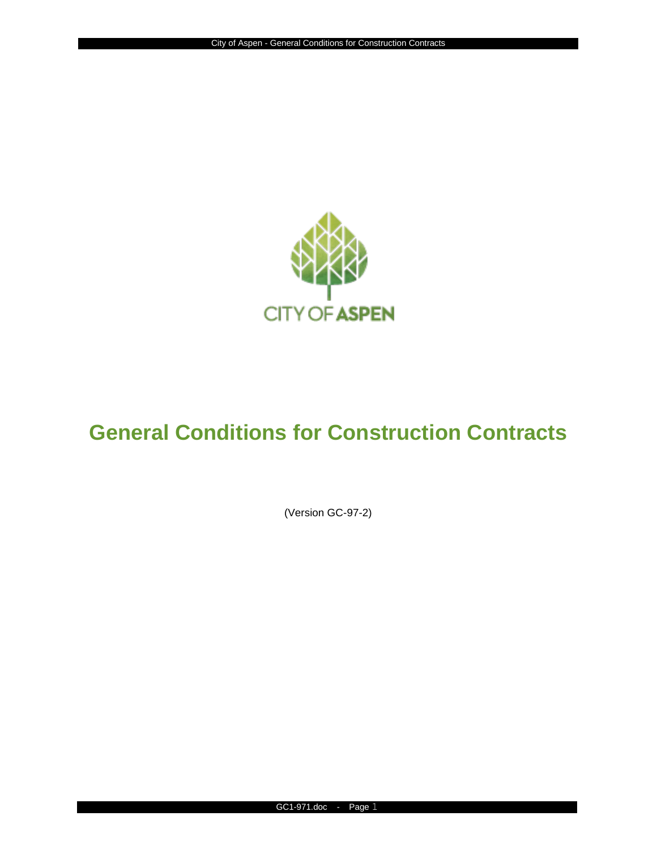

# **General Conditions for Construction Contracts**

(Version GC-97-2)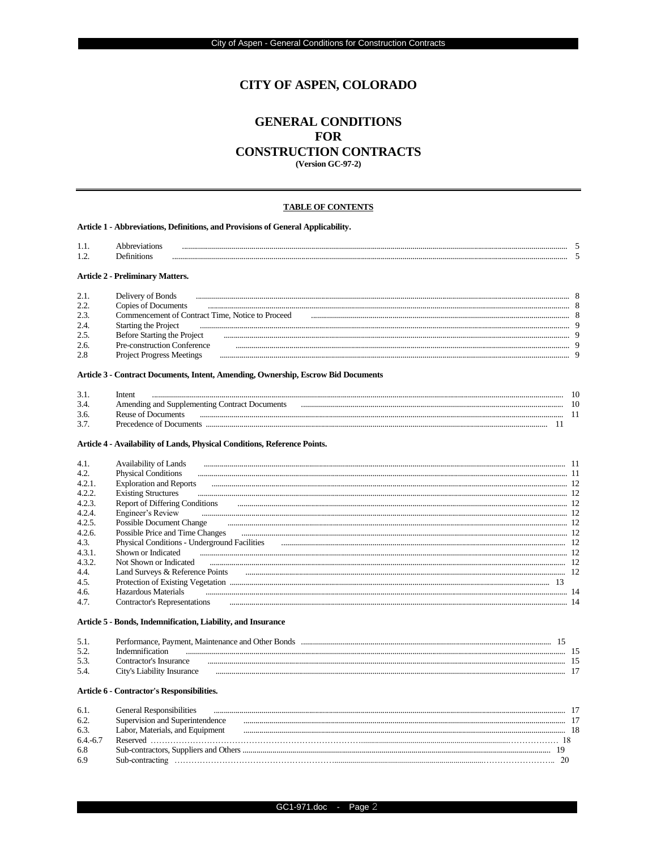# **CITY OF ASPEN, COLORADO**

# **GENERAL CONDITIONS FOR CONSTRUCTION CONTRACTS**

**(Version GC-97-2)** 

#### **TABLE OF CONTENTS**

Article 1 - Abbreviations, Definitions, and Provisions of General Applicability.

| 1.1.                                    | <b>Abbreviations</b> |  |  |  |  |
|-----------------------------------------|----------------------|--|--|--|--|
| .                                       | <b>Definitions</b>   |  |  |  |  |
| <b>Article 2 - Preliminary Matters.</b> |                      |  |  |  |  |

## Article 3 - Contract Documents, Intent, Amending, Ownership, Escrow Bid Documents

| $\sim$ $\sim$ | $_{\text{mtr}}$<br> |  |
|---------------|---------------------|--|
| $\sim$ $\sim$ |                     |  |
|               |                     |  |

#### Article 4 - Availability of Lands, Physical Conditions, Reference Points.

| 4.1    | Availability of Lands                        |  |
|--------|----------------------------------------------|--|
| 4.2.   | <b>Physical Conditions</b>                   |  |
| 4.2.1  | <b>Exploration and Reports</b>               |  |
| 4.2.2  | <b>Existing Structures</b>                   |  |
| 4.2.3. | Report of Differing Conditions               |  |
| 4.2.4  | Engineer's Review                            |  |
| 4.2.5  | <b>Possible Document Change</b>              |  |
| 4.2.6. | Possible Price and Time Changes              |  |
| 4.3.   | Physical Conditions - Underground Facilities |  |
| 4.3.1  | Shown or Indicated                           |  |
| 4.3.2. | Not Shown or Indicated                       |  |
| 4.4.   | Land Surveys & Reference Points              |  |
| 4.5.   | Protection of Existing Vegetation            |  |
| 4.6.   | Hazardous Materials                          |  |
| 4.7    | Contractor's Representations                 |  |

#### Article 5 - Bonds, Indemnification, Liability, and Insurance

| 5.1<br>J.L | Performance, Payment, Maintenance and Other Bonds |  |
|------------|---------------------------------------------------|--|
| $\sim$     |                                                   |  |
| -5.2       | : Insurance<br>`ontractor's<br>                   |  |
| 5/         |                                                   |  |

#### Article 6 - Contractor's Responsibilities.

| 6.1       | <b>General Responsibilities</b> |  |
|-----------|---------------------------------|--|
| 6.2       | Supervision and Superintendence |  |
| 6.3.      | Labor, Materials, and Equipment |  |
| $64 - 6'$ |                                 |  |
| 6.8       |                                 |  |
| 6.9       | Sub-contracting                 |  |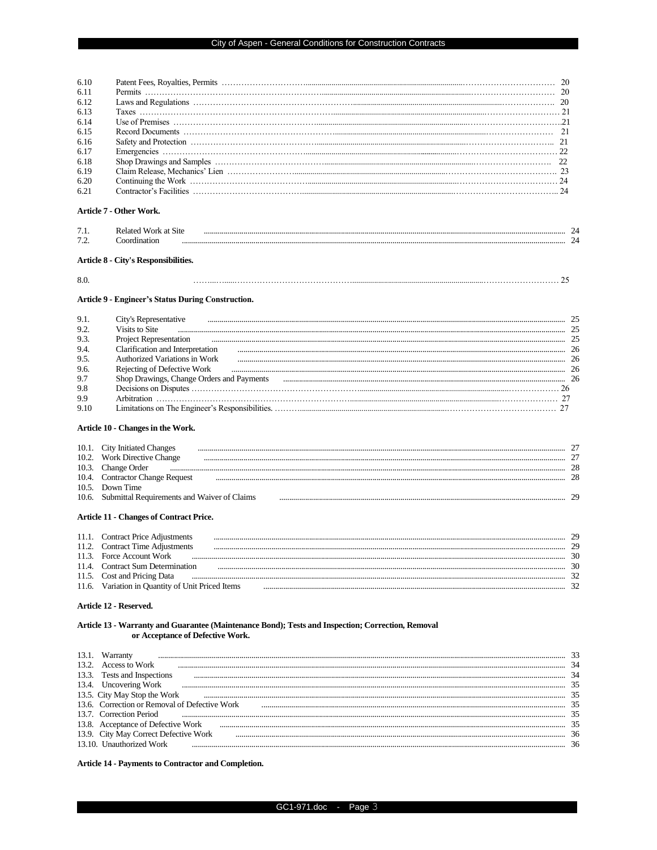| Article 7 - Other Work.                            |  |
|----------------------------------------------------|--|
| <b>Related Work at Site</b>                        |  |
| Coordination                                       |  |
| Article 8 - City's Responsibilities.               |  |
|                                                    |  |
| Article 9 - Engineer's Status During Construction. |  |
| City's Representative                              |  |
|                                                    |  |

| 9.2  |                                           |    |
|------|-------------------------------------------|----|
| 9.3. | <b>Project Representation</b>             |    |
| 9.4  | Clarification and Interpretation          | 26 |
| 9.5. | Authorized Variations in Work             | ን6 |
| 9.6. | Rejecting of Defective Work               |    |
| 9.7  | Shop Drawings, Change Orders and Payments |    |
| 9.8  |                                           |    |
| 9.9  |                                           |    |
| 9.10 |                                           |    |

## Article 10 - Changes in the Work.

| 10.1. | <b>City Initiated Changes</b>                     |  |
|-------|---------------------------------------------------|--|
|       | 10.2. Work Directive Change                       |  |
| 10.3. | Change Order                                      |  |
|       | 10.4. Contractor Change Request                   |  |
| 10.5. | Down Time                                         |  |
|       | 10.6. Submittal Requirements and Waiver of Claims |  |
|       |                                                   |  |

## **Article 11 - Changes of Contract Price.**

| 11.1. | <b>Contract Price Adjustments</b>          |  |
|-------|--------------------------------------------|--|
| 11.2  | <b>Contract Time Adjustments</b>           |  |
|       | 11.3 Force Account Work                    |  |
| 114   | Contract Sum Determination                 |  |
|       | 11.5. Cost and Pricing Data                |  |
| 11.6  | Variation in Quantity of Unit Priced Items |  |
|       |                                            |  |

#### Article 12 - Reserved.

#### Article 13 - Warranty and Guarantee (Maintenance Bond); Tests and Inspection; Correction, Removal or Acceptance of Defective Work.

| Warranty                                      |                |
|-----------------------------------------------|----------------|
| 13.2. Access to Work                          | 3 <sub>1</sub> |
| Tests and Inspections                         | 31             |
| 13.4. Uncovering Work                         |                |
| 13.5. City May Stop the Work                  |                |
| 13.6. Correction or Removal of Defective Work |                |
| 13.7 Correction Period                        |                |
| 13.8. Acceptance of Defective Work            |                |
| 13.9. City May Correct Defective Work         |                |
| 13.10 Unauthorized Work                       |                |
|                                               |                |

## Article 14 - Payments to Contractor and Completion.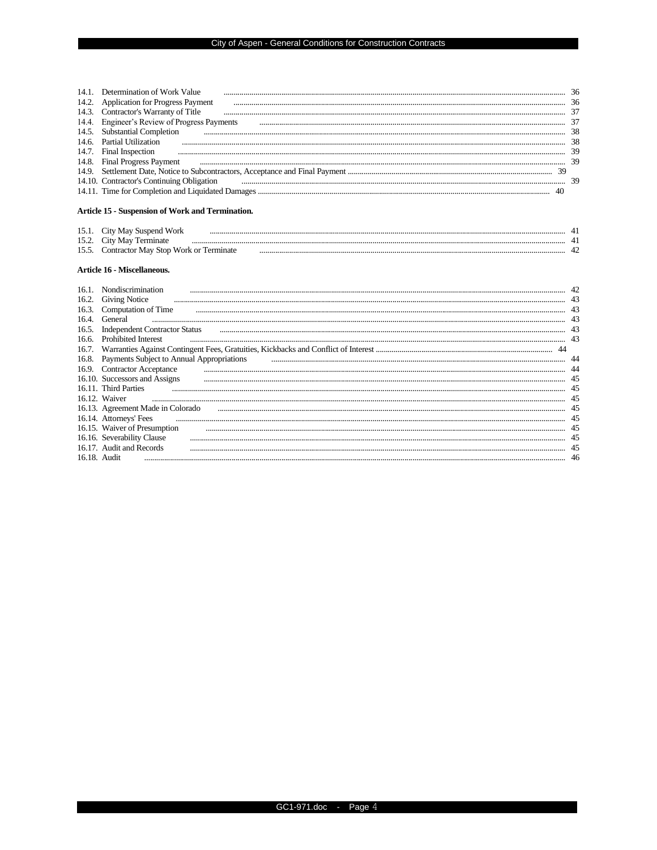| Determination of Work Value                  |  |
|----------------------------------------------|--|
| 14.2. Application for Progress Payment       |  |
| 14.3. Contractor's Warranty of Title         |  |
| 14.4. Engineer's Review of Progress Payments |  |
| 14.5. Substantial Completion                 |  |
| 14.6. Partial Utilization                    |  |
| 14.7. Final Inspection                       |  |
| 14.8. Final Progress Payment                 |  |
|                                              |  |
| 14.10. Contractor's Continuing Obligation    |  |
|                                              |  |

## Article 15 - Suspension of Work and Termination.

| . .    |  |  |
|--------|--|--|
| 15 U   |  |  |
| $\sim$ |  |  |

#### Article 16 - Miscellaneous.

|       | Nondiscrimination                         |    |
|-------|-------------------------------------------|----|
| 16.2. | <b>Giving Notice</b>                      |    |
|       | 16.3. Computation of Time                 |    |
| 16.4. | General                                   |    |
| 16.5. | <b>Independent Contractor Status</b>      |    |
| 16.6. | <b>Prohibited Interest</b>                |    |
| 16.7. |                                           |    |
| 16.8. | Payments Subject to Annual Appropriations |    |
|       | 16.9. Contractor Acceptance               |    |
|       | 16.10. Successors and Assigns             |    |
|       | 16.11. Third Parties                      |    |
|       | 16.12. Waiver                             |    |
|       | 16.13. Agreement Made in Colorado         |    |
|       | 16.14. Attorneys' Fees                    |    |
|       | 16.15. Waiver of Presumption              |    |
|       | 16.16. Severability Clause                |    |
|       | 16.17. Audit and Records                  |    |
|       | $1618$ Audit                              | 46 |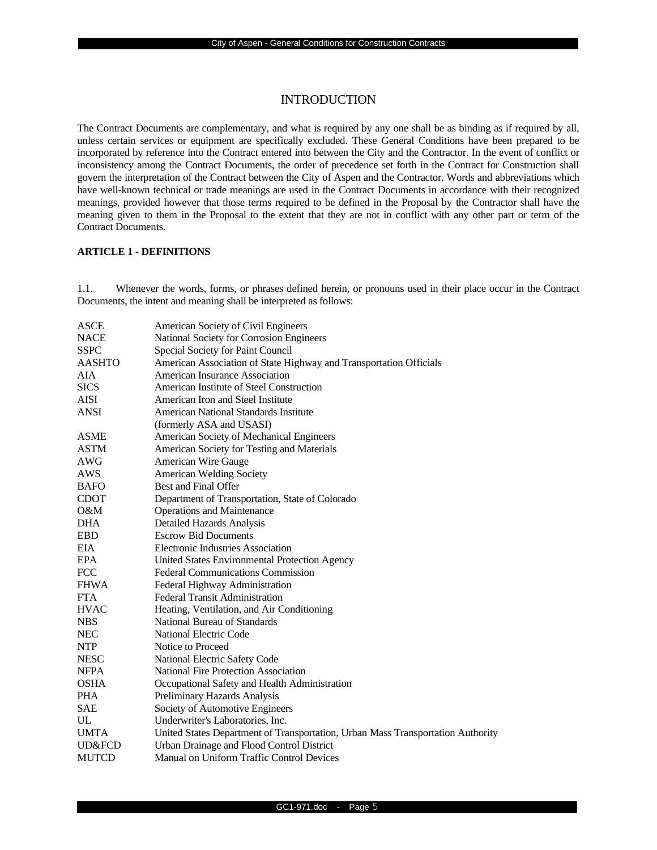# **INTRODUCTION**

The Contract Documents are complementary, and what is required by any one shall be as binding as if required by all, unless certain services or equipment are specifically excluded. These General Conditions have been prepared to be incorporated by reference into the Contract entered into between the City and the Contractor. In the event of conflict or inconsistency among the Contract Documents, the order of precedence set forth in the Contract for Construction shall govern the interpretation of the Contract between the City of Aspen and the Contractor. Words and abbreviations which have well-known technical or trade meanings are used in the Contract Documents in accordance with their recognized meanings, provided however that those terms required to be defined in the Proposal by the Contractor shall have the meaning given to them in the Proposal to the extent that they are not in conflict with any other part or term of the Contract Documents.

### **ARTICLE 1 - DEFINITIONS**

1.1. Whenever the words, forms, or phrases defined herein, or pronouns used in their place occur in the Contract Documents, the intent and meaning shall be interpreted as follows:

| ASCE          | American Society of Civil Engineers                                             |
|---------------|---------------------------------------------------------------------------------|
| <b>NACE</b>   | National Society for Corrosion Engineers                                        |
| <b>SSPC</b>   | Special Society for Paint Council                                               |
| <b>AASHTO</b> | American Association of State Highway and Transportation Officials              |
| AIA           | <b>American Insurance Association</b>                                           |
| <b>SICS</b>   | American Institute of Steel Construction                                        |
| <b>AISI</b>   | American Iron and Steel Institute                                               |
| <b>ANSI</b>   | American National Standards Institute                                           |
|               | (formerly ASA and USASI)                                                        |
| <b>ASME</b>   | American Society of Mechanical Engineers                                        |
| <b>ASTM</b>   | American Society for Testing and Materials                                      |
| AWG           | American Wire Gauge                                                             |
| AWS           | <b>American Welding Society</b>                                                 |
| <b>BAFO</b>   | <b>Best and Final Offer</b>                                                     |
| <b>CDOT</b>   | Department of Transportation, State of Colorado                                 |
| O&M           | <b>Operations and Maintenance</b>                                               |
| <b>DHA</b>    | Detailed Hazards Analysis                                                       |
| <b>EBD</b>    | <b>Escrow Bid Documents</b>                                                     |
| <b>EIA</b>    | <b>Electronic Industries Association</b>                                        |
| <b>EPA</b>    | United States Environmental Protection Agency                                   |
| <b>FCC</b>    | <b>Federal Communications Commission</b>                                        |
| <b>FHWA</b>   | Federal Highway Administration                                                  |
| <b>FTA</b>    | <b>Federal Transit Administration</b>                                           |
| <b>HVAC</b>   | Heating, Ventilation, and Air Conditioning                                      |
| <b>NBS</b>    | National Bureau of Standards                                                    |
| <b>NEC</b>    | National Electric Code                                                          |
| <b>NTP</b>    | Notice to Proceed                                                               |
| <b>NESC</b>   | National Electric Safety Code                                                   |
| <b>NFPA</b>   | National Fire Protection Association                                            |
| <b>OSHA</b>   | Occupational Safety and Health Administration                                   |
| <b>PHA</b>    | Preliminary Hazards Analysis                                                    |
| <b>SAE</b>    | Society of Automotive Engineers                                                 |
| UL            | Underwriter's Laboratories, Inc.                                                |
| <b>UMTA</b>   | United States Department of Transportation, Urban Mass Transportation Authority |
| UD&FCD        | Urban Drainage and Flood Control District                                       |
| <b>MUTCD</b>  | Manual on Uniform Traffic Control Devices                                       |
|               |                                                                                 |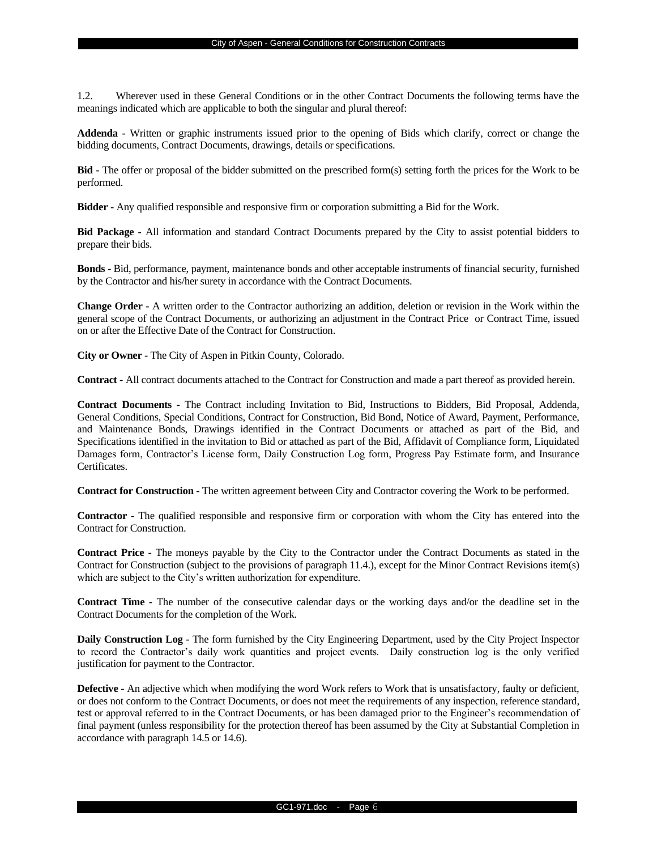1.2. Wherever used in these General Conditions or in the other Contract Documents the following terms have the meanings indicated which are applicable to both the singular and plural thereof:

**Addenda -** Written or graphic instruments issued prior to the opening of Bids which clarify, correct or change the bidding documents, Contract Documents, drawings, details or specifications.

**Bid -** The offer or proposal of the bidder submitted on the prescribed form(s) setting forth the prices for the Work to be performed.

**Bidder -** Any qualified responsible and responsive firm or corporation submitting a Bid for the Work.

**Bid Package -** All information and standard Contract Documents prepared by the City to assist potential bidders to prepare their bids.

**Bonds -** Bid, performance, payment, maintenance bonds and other acceptable instruments of financial security, furnished by the Contractor and his/her surety in accordance with the Contract Documents.

**Change Order -** A written order to the Contractor authorizing an addition, deletion or revision in the Work within the general scope of the Contract Documents, or authorizing an adjustment in the Contract Price or Contract Time, issued on or after the Effective Date of the Contract for Construction.

**City or Owner -** The City of Aspen in Pitkin County, Colorado.

**Contract -** All contract documents attached to the Contract for Construction and made a part thereof as provided herein.

**Contract Documents -** The Contract including Invitation to Bid, Instructions to Bidders, Bid Proposal, Addenda, General Conditions, Special Conditions, Contract for Construction, Bid Bond, Notice of Award, Payment, Performance, and Maintenance Bonds, Drawings identified in the Contract Documents or attached as part of the Bid, and Specifications identified in the invitation to Bid or attached as part of the Bid, Affidavit of Compliance form, Liquidated Damages form, Contractor's License form, Daily Construction Log form, Progress Pay Estimate form, and Insurance Certificates.

**Contract for Construction -** The written agreement between City and Contractor covering the Work to be performed.

**Contractor -** The qualified responsible and responsive firm or corporation with whom the City has entered into the Contract for Construction.

**Contract Price -** The moneys payable by the City to the Contractor under the Contract Documents as stated in the Contract for Construction (subject to the provisions of paragraph 11.4.), except for the Minor Contract Revisions item(s) which are subject to the City's written authorization for expenditure.

**Contract Time -** The number of the consecutive calendar days or the working days and/or the deadline set in the Contract Documents for the completion of the Work.

**Daily Construction Log -** The form furnished by the City Engineering Department, used by the City Project Inspector to record the Contractor's daily work quantities and project events. Daily construction log is the only verified justification for payment to the Contractor.

**Defective -** An adjective which when modifying the word Work refers to Work that is unsatisfactory, faulty or deficient, or does not conform to the Contract Documents, or does not meet the requirements of any inspection, reference standard, test or approval referred to in the Contract Documents, or has been damaged prior to the Engineer's recommendation of final payment (unless responsibility for the protection thereof has been assumed by the City at Substantial Completion in accordance with paragraph 14.5 or 14.6).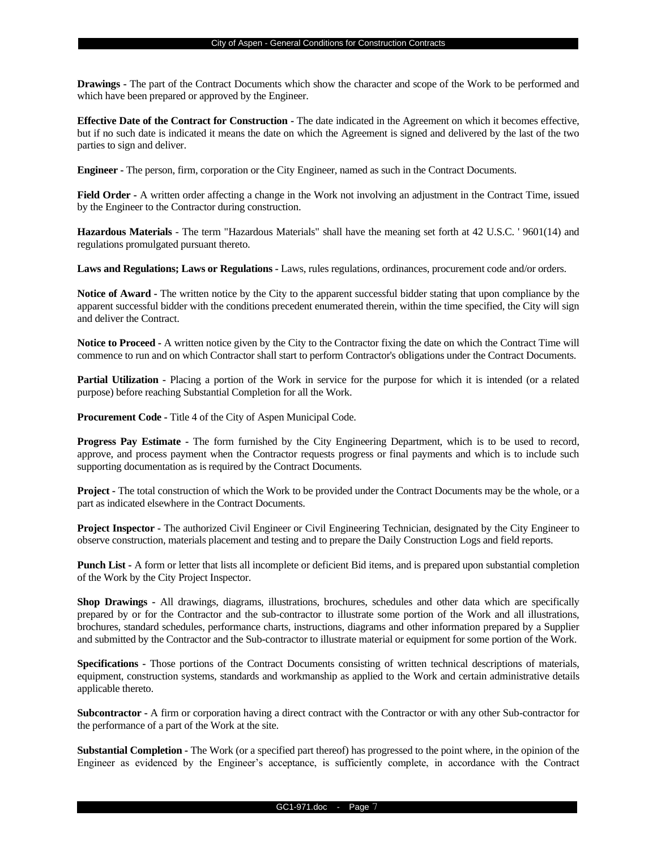**Drawings -** The part of the Contract Documents which show the character and scope of the Work to be performed and which have been prepared or approved by the Engineer.

**Effective Date of the Contract for Construction -** The date indicated in the Agreement on which it becomes effective, but if no such date is indicated it means the date on which the Agreement is signed and delivered by the last of the two parties to sign and deliver.

**Engineer -** The person, firm, corporation or the City Engineer, named as such in the Contract Documents.

**Field Order -** A written order affecting a change in the Work not involving an adjustment in the Contract Time, issued by the Engineer to the Contractor during construction.

**Hazardous Materials** - The term "Hazardous Materials" shall have the meaning set forth at 42 U.S.C. ' 9601(14) and regulations promulgated pursuant thereto.

**Laws and Regulations; Laws or Regulations -** Laws, rules regulations, ordinances, procurement code and/or orders.

**Notice of Award -** The written notice by the City to the apparent successful bidder stating that upon compliance by the apparent successful bidder with the conditions precedent enumerated therein, within the time specified, the City will sign and deliver the Contract.

**Notice to Proceed -** A written notice given by the City to the Contractor fixing the date on which the Contract Time will commence to run and on which Contractor shall start to perform Contractor's obligations under the Contract Documents.

**Partial Utilization -** Placing a portion of the Work in service for the purpose for which it is intended (or a related purpose) before reaching Substantial Completion for all the Work.

**Procurement Code -** Title 4 of the City of Aspen Municipal Code.

**Progress Pay Estimate -** The form furnished by the City Engineering Department, which is to be used to record, approve, and process payment when the Contractor requests progress or final payments and which is to include such supporting documentation as is required by the Contract Documents.

**Project -** The total construction of which the Work to be provided under the Contract Documents may be the whole, or a part as indicated elsewhere in the Contract Documents.

**Project Inspector -** The authorized Civil Engineer or Civil Engineering Technician, designated by the City Engineer to observe construction, materials placement and testing and to prepare the Daily Construction Logs and field reports.

**Punch List -** A form or letter that lists all incomplete or deficient Bid items, and is prepared upon substantial completion of the Work by the City Project Inspector.

**Shop Drawings -** All drawings, diagrams, illustrations, brochures, schedules and other data which are specifically prepared by or for the Contractor and the sub-contractor to illustrate some portion of the Work and all illustrations, brochures, standard schedules, performance charts, instructions, diagrams and other information prepared by a Supplier and submitted by the Contractor and the Sub-contractor to illustrate material or equipment for some portion of the Work.

**Specifications -** Those portions of the Contract Documents consisting of written technical descriptions of materials, equipment, construction systems, standards and workmanship as applied to the Work and certain administrative details applicable thereto.

**Subcontractor -** A firm or corporation having a direct contract with the Contractor or with any other Sub-contractor for the performance of a part of the Work at the site.

**Substantial Completion -** The Work (or a specified part thereof) has progressed to the point where, in the opinion of the Engineer as evidenced by the Engineer's acceptance, is sufficiently complete, in accordance with the Contract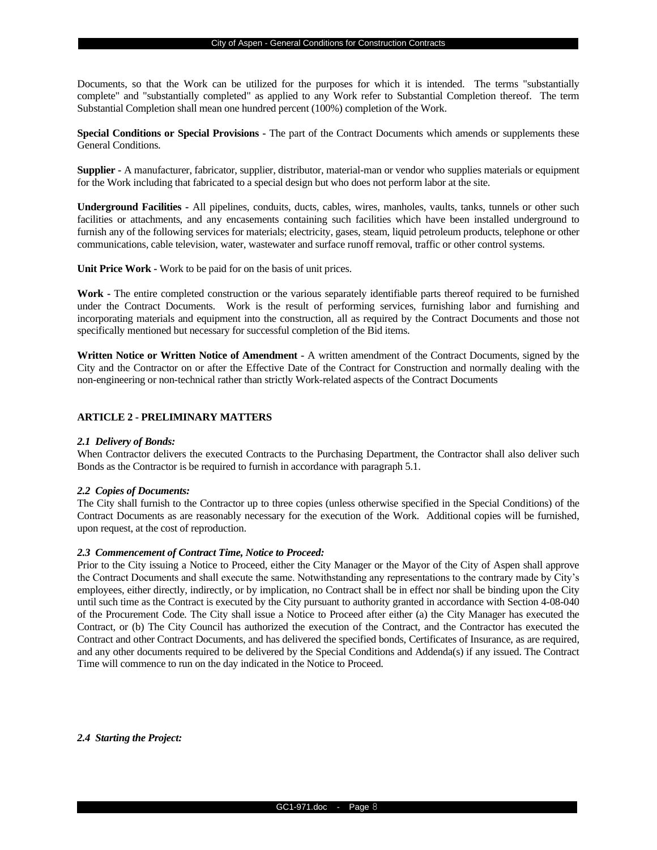Documents, so that the Work can be utilized for the purposes for which it is intended. The terms "substantially complete" and "substantially completed" as applied to any Work refer to Substantial Completion thereof. The term Substantial Completion shall mean one hundred percent (100%) completion of the Work.

**Special Conditions or Special Provisions -** The part of the Contract Documents which amends or supplements these General Conditions.

**Supplier -** A manufacturer, fabricator, supplier, distributor, material-man or vendor who supplies materials or equipment for the Work including that fabricated to a special design but who does not perform labor at the site.

**Underground Facilities -** All pipelines, conduits, ducts, cables, wires, manholes, vaults, tanks, tunnels or other such facilities or attachments, and any encasements containing such facilities which have been installed underground to furnish any of the following services for materials; electricity, gases, steam, liquid petroleum products, telephone or other communications, cable television, water, wastewater and surface runoff removal, traffic or other control systems.

**Unit Price Work -** Work to be paid for on the basis of unit prices.

**Work -** The entire completed construction or the various separately identifiable parts thereof required to be furnished under the Contract Documents. Work is the result of performing services, furnishing labor and furnishing and incorporating materials and equipment into the construction, all as required by the Contract Documents and those not specifically mentioned but necessary for successful completion of the Bid items.

**Written Notice or Written Notice of Amendment -** A written amendment of the Contract Documents, signed by the City and the Contractor on or after the Effective Date of the Contract for Construction and normally dealing with the non-engineering or non-technical rather than strictly Work-related aspects of the Contract Documents

## **ARTICLE 2 - PRELIMINARY MATTERS**

#### *2.1 Delivery of Bonds:*

When Contractor delivers the executed Contracts to the Purchasing Department, the Contractor shall also deliver such Bonds as the Contractor is be required to furnish in accordance with paragraph 5.1.

## *2.2 Copies of Documents:*

The City shall furnish to the Contractor up to three copies (unless otherwise specified in the Special Conditions) of the Contract Documents as are reasonably necessary for the execution of the Work. Additional copies will be furnished, upon request, at the cost of reproduction.

#### *2.3 Commencement of Contract Time, Notice to Proceed:*

Prior to the City issuing a Notice to Proceed, either the City Manager or the Mayor of the City of Aspen shall approve the Contract Documents and shall execute the same. Notwithstanding any representations to the contrary made by City's employees, either directly, indirectly, or by implication, no Contract shall be in effect nor shall be binding upon the City until such time as the Contract is executed by the City pursuant to authority granted in accordance with Section 4-08-040 of the Procurement Code. The City shall issue a Notice to Proceed after either (a) the City Manager has executed the Contract, or (b) The City Council has authorized the execution of the Contract, and the Contractor has executed the Contract and other Contract Documents, and has delivered the specified bonds, Certificates of Insurance, as are required, and any other documents required to be delivered by the Special Conditions and Addenda(s) if any issued. The Contract Time will commence to run on the day indicated in the Notice to Proceed.

*2.4 Starting the Project:*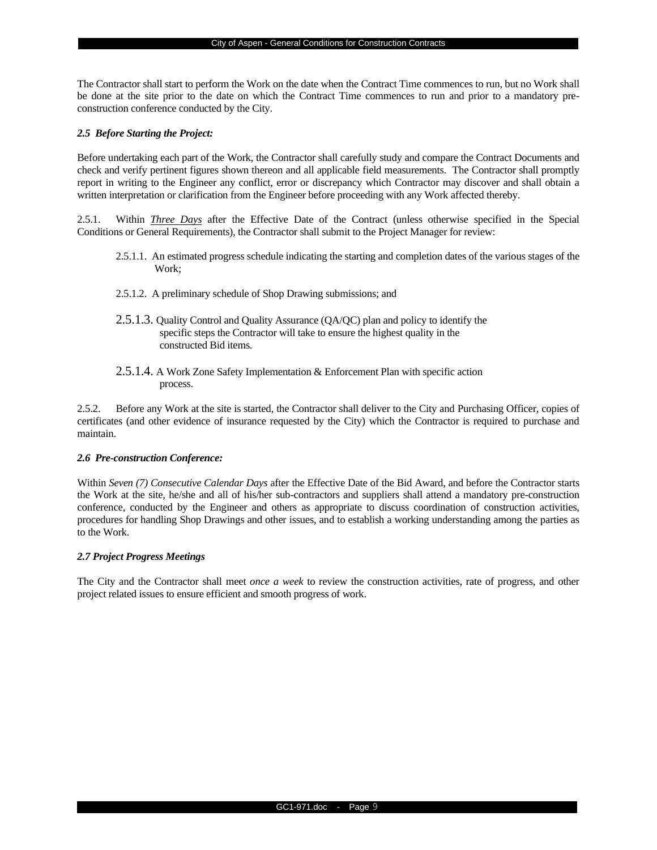The Contractor shall start to perform the Work on the date when the Contract Time commences to run, but no Work shall be done at the site prior to the date on which the Contract Time commences to run and prior to a mandatory preconstruction conference conducted by the City.

#### *2.5 Before Starting the Project:*

Before undertaking each part of the Work, the Contractor shall carefully study and compare the Contract Documents and check and verify pertinent figures shown thereon and all applicable field measurements. The Contractor shall promptly report in writing to the Engineer any conflict, error or discrepancy which Contractor may discover and shall obtain a written interpretation or clarification from the Engineer before proceeding with any Work affected thereby.

2.5.1. Within *Three Days* after the Effective Date of the Contract (unless otherwise specified in the Special Conditions or General Requirements), the Contractor shall submit to the Project Manager for review:

- 2.5.1.1. An estimated progress schedule indicating the starting and completion dates of the various stages of the Work;
- 2.5.1.2. A preliminary schedule of Shop Drawing submissions; and
- 2.5.1.3. Quality Control and Quality Assurance (QA/QC) plan and policy to identify the specific steps the Contractor will take to ensure the highest quality in the constructed Bid items.
- 2.5.1.4. A Work Zone Safety Implementation & Enforcement Plan with specific action process.

2.5.2. Before any Work at the site is started, the Contractor shall deliver to the City and Purchasing Officer, copies of certificates (and other evidence of insurance requested by the City) which the Contractor is required to purchase and maintain.

#### *2.6 Pre-construction Conference:*

Within *Seven (7) Consecutive Calendar Days* after the Effective Date of the Bid Award, and before the Contractor starts the Work at the site, he/she and all of his/her sub-contractors and suppliers shall attend a mandatory pre-construction conference, conducted by the Engineer and others as appropriate to discuss coordination of construction activities, procedures for handling Shop Drawings and other issues, and to establish a working understanding among the parties as to the Work.

#### *2.7 Project Progress Meetings*

The City and the Contractor shall meet *once a week* to review the construction activities, rate of progress, and other project related issues to ensure efficient and smooth progress of work.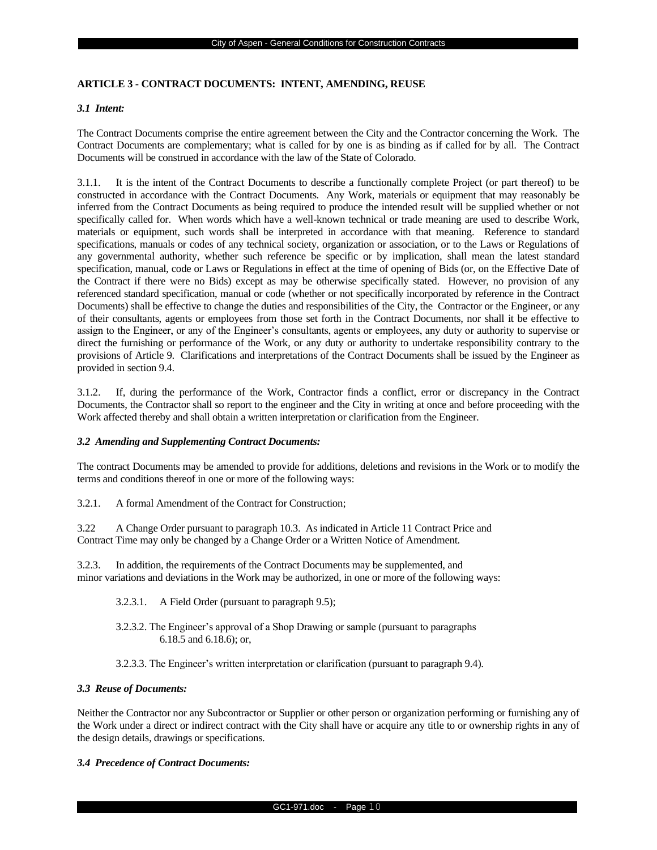## **ARTICLE 3 - CONTRACT DOCUMENTS: INTENT, AMENDING, REUSE**

## *3.1 Intent:*

The Contract Documents comprise the entire agreement between the City and the Contractor concerning the Work. The Contract Documents are complementary; what is called for by one is as binding as if called for by all. The Contract Documents will be construed in accordance with the law of the State of Colorado.

3.1.1. It is the intent of the Contract Documents to describe a functionally complete Project (or part thereof) to be constructed in accordance with the Contract Documents. Any Work, materials or equipment that may reasonably be inferred from the Contract Documents as being required to produce the intended result will be supplied whether or not specifically called for. When words which have a well-known technical or trade meaning are used to describe Work, materials or equipment, such words shall be interpreted in accordance with that meaning. Reference to standard specifications, manuals or codes of any technical society, organization or association, or to the Laws or Regulations of any governmental authority, whether such reference be specific or by implication, shall mean the latest standard specification, manual, code or Laws or Regulations in effect at the time of opening of Bids (or, on the Effective Date of the Contract if there were no Bids) except as may be otherwise specifically stated. However, no provision of any referenced standard specification, manual or code (whether or not specifically incorporated by reference in the Contract Documents) shall be effective to change the duties and responsibilities of the City, the Contractor or the Engineer, or any of their consultants, agents or employees from those set forth in the Contract Documents, nor shall it be effective to assign to the Engineer, or any of the Engineer's consultants, agents or employees, any duty or authority to supervise or direct the furnishing or performance of the Work, or any duty or authority to undertake responsibility contrary to the provisions of Article 9. Clarifications and interpretations of the Contract Documents shall be issued by the Engineer as provided in section 9.4.

3.1.2. If, during the performance of the Work, Contractor finds a conflict, error or discrepancy in the Contract Documents, the Contractor shall so report to the engineer and the City in writing at once and before proceeding with the Work affected thereby and shall obtain a written interpretation or clarification from the Engineer.

## *3.2 Amending and Supplementing Contract Documents:*

The contract Documents may be amended to provide for additions, deletions and revisions in the Work or to modify the terms and conditions thereof in one or more of the following ways:

3.2.1. A formal Amendment of the Contract for Construction;

3.22 A Change Order pursuant to paragraph 10.3. As indicated in Article 11 Contract Price and Contract Time may only be changed by a Change Order or a Written Notice of Amendment.

3.2.3. In addition, the requirements of the Contract Documents may be supplemented, and minor variations and deviations in the Work may be authorized, in one or more of the following ways:

- 3.2.3.1. A Field Order (pursuant to paragraph 9.5);
- 3.2.3.2. The Engineer's approval of a Shop Drawing or sample (pursuant to paragraphs 6.18.5 and 6.18.6); or,
- 3.2.3.3. The Engineer's written interpretation or clarification (pursuant to paragraph 9.4).

## *3.3 Reuse of Documents:*

Neither the Contractor nor any Subcontractor or Supplier or other person or organization performing or furnishing any of the Work under a direct or indirect contract with the City shall have or acquire any title to or ownership rights in any of the design details, drawings or specifications.

## *3.4 Precedence of Contract Documents:*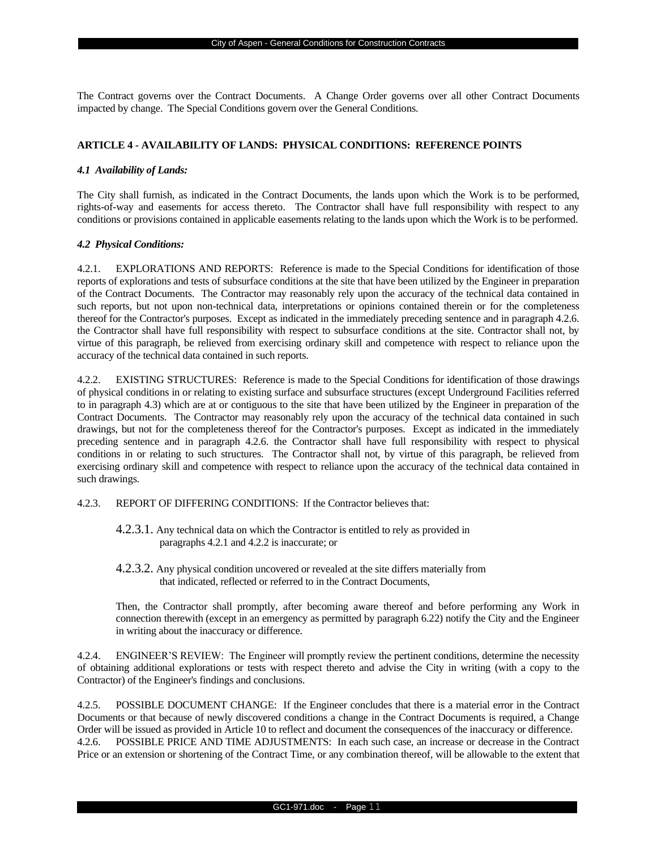The Contract governs over the Contract Documents. A Change Order governs over all other Contract Documents impacted by change. The Special Conditions govern over the General Conditions.

## **ARTICLE 4 - AVAILABILITY OF LANDS: PHYSICAL CONDITIONS: REFERENCE POINTS**

## *4.1 Availability of Lands:*

The City shall furnish, as indicated in the Contract Documents, the lands upon which the Work is to be performed, rights-of-way and easements for access thereto. The Contractor shall have full responsibility with respect to any conditions or provisions contained in applicable easements relating to the lands upon which the Work is to be performed.

#### *4.2 Physical Conditions:*

4.2.1. EXPLORATIONS AND REPORTS: Reference is made to the Special Conditions for identification of those reports of explorations and tests of subsurface conditions at the site that have been utilized by the Engineer in preparation of the Contract Documents. The Contractor may reasonably rely upon the accuracy of the technical data contained in such reports, but not upon non-technical data, interpretations or opinions contained therein or for the completeness thereof for the Contractor's purposes. Except as indicated in the immediately preceding sentence and in paragraph 4.2.6. the Contractor shall have full responsibility with respect to subsurface conditions at the site. Contractor shall not, by virtue of this paragraph, be relieved from exercising ordinary skill and competence with respect to reliance upon the accuracy of the technical data contained in such reports.

4.2.2. EXISTING STRUCTURES: Reference is made to the Special Conditions for identification of those drawings of physical conditions in or relating to existing surface and subsurface structures (except Underground Facilities referred to in paragraph 4.3) which are at or contiguous to the site that have been utilized by the Engineer in preparation of the Contract Documents. The Contractor may reasonably rely upon the accuracy of the technical data contained in such drawings, but not for the completeness thereof for the Contractor's purposes. Except as indicated in the immediately preceding sentence and in paragraph 4.2.6. the Contractor shall have full responsibility with respect to physical conditions in or relating to such structures. The Contractor shall not, by virtue of this paragraph, be relieved from exercising ordinary skill and competence with respect to reliance upon the accuracy of the technical data contained in such drawings.

- 4.2.3. REPORT OF DIFFERING CONDITIONS: If the Contractor believes that:
	- 4.2.3.1. Any technical data on which the Contractor is entitled to rely as provided in paragraphs 4.2.1 and 4.2.2 is inaccurate; or
	- 4.2.3.2. Any physical condition uncovered or revealed at the site differs materially from that indicated, reflected or referred to in the Contract Documents,

Then, the Contractor shall promptly, after becoming aware thereof and before performing any Work in connection therewith (except in an emergency as permitted by paragraph 6.22) notify the City and the Engineer in writing about the inaccuracy or difference.

4.2.4. ENGINEER'S REVIEW: The Engineer will promptly review the pertinent conditions, determine the necessity of obtaining additional explorations or tests with respect thereto and advise the City in writing (with a copy to the Contractor) of the Engineer's findings and conclusions.

4.2.5. POSSIBLE DOCUMENT CHANGE: If the Engineer concludes that there is a material error in the Contract Documents or that because of newly discovered conditions a change in the Contract Documents is required, a Change Order will be issued as provided in Article 10 to reflect and document the consequences of the inaccuracy or difference. 4.2.6. POSSIBLE PRICE AND TIME ADJUSTMENTS: In each such case, an increase or decrease in the Contract Price or an extension or shortening of the Contract Time, or any combination thereof, will be allowable to the extent that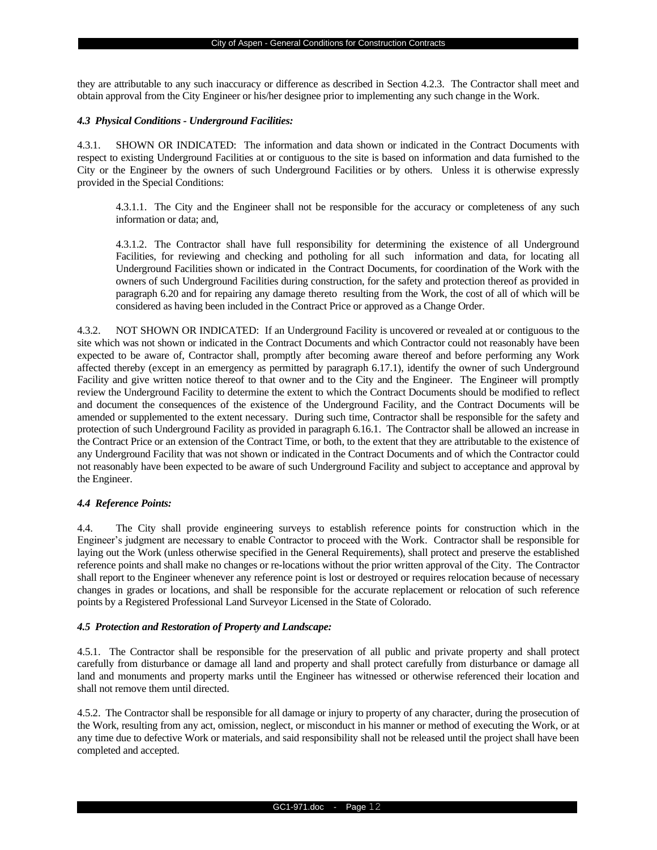they are attributable to any such inaccuracy or difference as described in Section 4.2.3. The Contractor shall meet and obtain approval from the City Engineer or his/her designee prior to implementing any such change in the Work.

#### *4.3 Physical Conditions - Underground Facilities:*

4.3.1. SHOWN OR INDICATED: The information and data shown or indicated in the Contract Documents with respect to existing Underground Facilities at or contiguous to the site is based on information and data furnished to the City or the Engineer by the owners of such Underground Facilities or by others. Unless it is otherwise expressly provided in the Special Conditions:

4.3.1.1. The City and the Engineer shall not be responsible for the accuracy or completeness of any such information or data; and,

4.3.1.2. The Contractor shall have full responsibility for determining the existence of all Underground Facilities, for reviewing and checking and potholing for all such information and data, for locating all Underground Facilities shown or indicated in the Contract Documents, for coordination of the Work with the owners of such Underground Facilities during construction, for the safety and protection thereof as provided in paragraph 6.20 and for repairing any damage thereto resulting from the Work, the cost of all of which will be considered as having been included in the Contract Price or approved as a Change Order.

4.3.2. NOT SHOWN OR INDICATED: If an Underground Facility is uncovered or revealed at or contiguous to the site which was not shown or indicated in the Contract Documents and which Contractor could not reasonably have been expected to be aware of, Contractor shall, promptly after becoming aware thereof and before performing any Work affected thereby (except in an emergency as permitted by paragraph 6.17.1), identify the owner of such Underground Facility and give written notice thereof to that owner and to the City and the Engineer. The Engineer will promptly review the Underground Facility to determine the extent to which the Contract Documents should be modified to reflect and document the consequences of the existence of the Underground Facility, and the Contract Documents will be amended or supplemented to the extent necessary. During such time, Contractor shall be responsible for the safety and protection of such Underground Facility as provided in paragraph 6.16.1. The Contractor shall be allowed an increase in the Contract Price or an extension of the Contract Time, or both, to the extent that they are attributable to the existence of any Underground Facility that was not shown or indicated in the Contract Documents and of which the Contractor could not reasonably have been expected to be aware of such Underground Facility and subject to acceptance and approval by the Engineer.

## *4.4 Reference Points:*

4.4. The City shall provide engineering surveys to establish reference points for construction which in the Engineer's judgment are necessary to enable Contractor to proceed with the Work. Contractor shall be responsible for laying out the Work (unless otherwise specified in the General Requirements), shall protect and preserve the established reference points and shall make no changes or re-locations without the prior written approval of the City. The Contractor shall report to the Engineer whenever any reference point is lost or destroyed or requires relocation because of necessary changes in grades or locations, and shall be responsible for the accurate replacement or relocation of such reference points by a Registered Professional Land Surveyor Licensed in the State of Colorado.

## *4.5 Protection and Restoration of Property and Landscape:*

4.5.1. The Contractor shall be responsible for the preservation of all public and private property and shall protect carefully from disturbance or damage all land and property and shall protect carefully from disturbance or damage all land and monuments and property marks until the Engineer has witnessed or otherwise referenced their location and shall not remove them until directed.

4.5.2. The Contractor shall be responsible for all damage or injury to property of any character, during the prosecution of the Work, resulting from any act, omission, neglect, or misconduct in his manner or method of executing the Work, or at any time due to defective Work or materials, and said responsibility shall not be released until the project shall have been completed and accepted.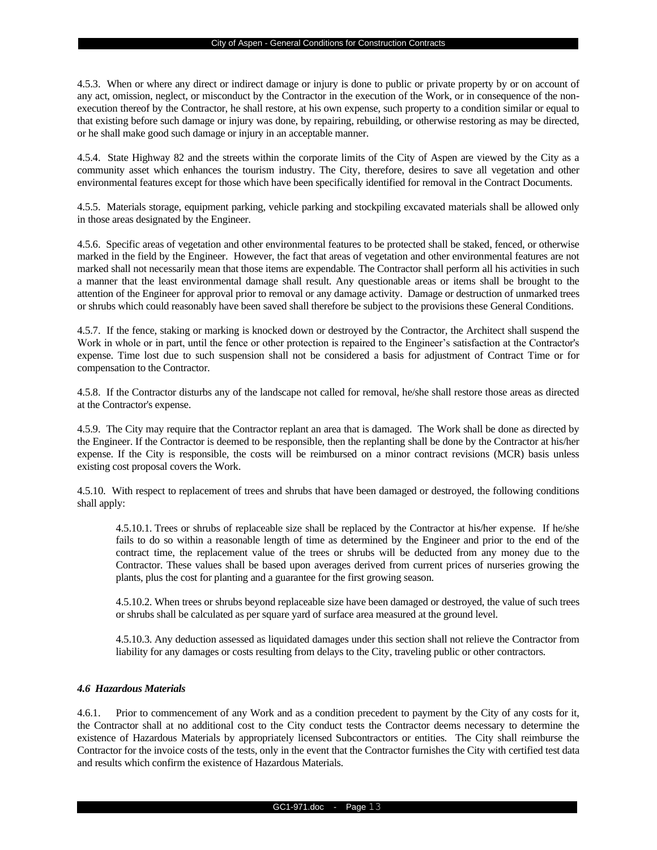4.5.3. When or where any direct or indirect damage or injury is done to public or private property by or on account of any act, omission, neglect, or misconduct by the Contractor in the execution of the Work, or in consequence of the nonexecution thereof by the Contractor, he shall restore, at his own expense, such property to a condition similar or equal to that existing before such damage or injury was done, by repairing, rebuilding, or otherwise restoring as may be directed, or he shall make good such damage or injury in an acceptable manner.

4.5.4. State Highway 82 and the streets within the corporate limits of the City of Aspen are viewed by the City as a community asset which enhances the tourism industry. The City, therefore, desires to save all vegetation and other environmental features except for those which have been specifically identified for removal in the Contract Documents.

4.5.5. Materials storage, equipment parking, vehicle parking and stockpiling excavated materials shall be allowed only in those areas designated by the Engineer.

4.5.6. Specific areas of vegetation and other environmental features to be protected shall be staked, fenced, or otherwise marked in the field by the Engineer. However, the fact that areas of vegetation and other environmental features are not marked shall not necessarily mean that those items are expendable. The Contractor shall perform all his activities in such a manner that the least environmental damage shall result. Any questionable areas or items shall be brought to the attention of the Engineer for approval prior to removal or any damage activity. Damage or destruction of unmarked trees or shrubs which could reasonably have been saved shall therefore be subject to the provisions these General Conditions.

4.5.7. If the fence, staking or marking is knocked down or destroyed by the Contractor, the Architect shall suspend the Work in whole or in part, until the fence or other protection is repaired to the Engineer's satisfaction at the Contractor's expense. Time lost due to such suspension shall not be considered a basis for adjustment of Contract Time or for compensation to the Contractor.

4.5.8. If the Contractor disturbs any of the landscape not called for removal, he/she shall restore those areas as directed at the Contractor's expense.

4.5.9. The City may require that the Contractor replant an area that is damaged. The Work shall be done as directed by the Engineer. If the Contractor is deemed to be responsible, then the replanting shall be done by the Contractor at his/her expense. If the City is responsible, the costs will be reimbursed on a minor contract revisions (MCR) basis unless existing cost proposal covers the Work.

4.5.10. With respect to replacement of trees and shrubs that have been damaged or destroyed, the following conditions shall apply:

4.5.10.1. Trees or shrubs of replaceable size shall be replaced by the Contractor at his/her expense. If he/she fails to do so within a reasonable length of time as determined by the Engineer and prior to the end of the contract time, the replacement value of the trees or shrubs will be deducted from any money due to the Contractor. These values shall be based upon averages derived from current prices of nurseries growing the plants, plus the cost for planting and a guarantee for the first growing season.

4.5.10.2. When trees or shrubs beyond replaceable size have been damaged or destroyed, the value of such trees or shrubs shall be calculated as per square yard of surface area measured at the ground level.

4.5.10.3. Any deduction assessed as liquidated damages under this section shall not relieve the Contractor from liability for any damages or costs resulting from delays to the City, traveling public or other contractors.

## *4.6 Hazardous Materials*

4.6.1. Prior to commencement of any Work and as a condition precedent to payment by the City of any costs for it, the Contractor shall at no additional cost to the City conduct tests the Contractor deems necessary to determine the existence of Hazardous Materials by appropriately licensed Subcontractors or entities. The City shall reimburse the Contractor for the invoice costs of the tests, only in the event that the Contractor furnishes the City with certified test data and results which confirm the existence of Hazardous Materials.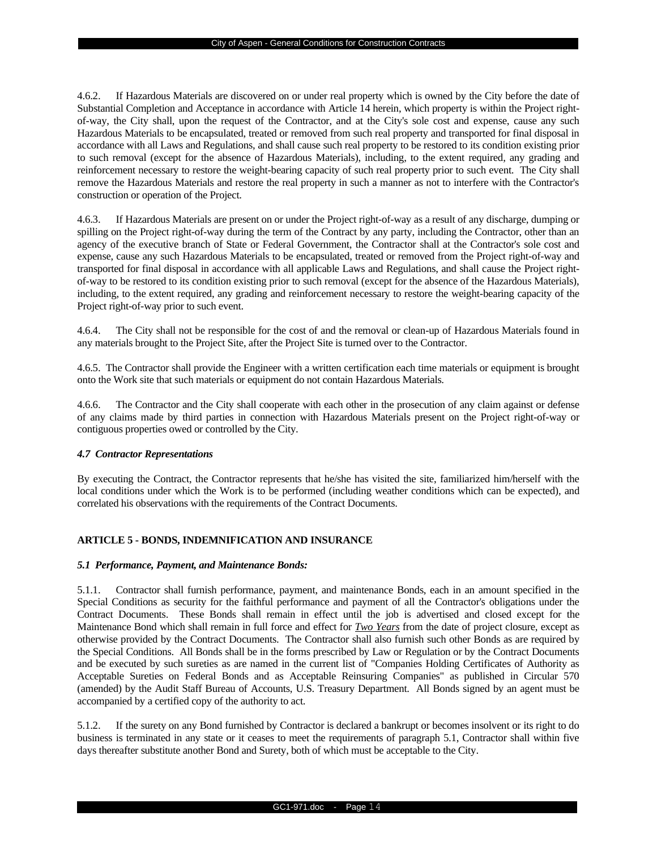4.6.2. If Hazardous Materials are discovered on or under real property which is owned by the City before the date of Substantial Completion and Acceptance in accordance with Article 14 herein, which property is within the Project rightof-way, the City shall, upon the request of the Contractor, and at the City's sole cost and expense, cause any such Hazardous Materials to be encapsulated, treated or removed from such real property and transported for final disposal in accordance with all Laws and Regulations, and shall cause such real property to be restored to its condition existing prior to such removal (except for the absence of Hazardous Materials), including, to the extent required, any grading and reinforcement necessary to restore the weight-bearing capacity of such real property prior to such event. The City shall remove the Hazardous Materials and restore the real property in such a manner as not to interfere with the Contractor's construction or operation of the Project.

4.6.3. If Hazardous Materials are present on or under the Project right-of-way as a result of any discharge, dumping or spilling on the Project right-of-way during the term of the Contract by any party, including the Contractor, other than an agency of the executive branch of State or Federal Government, the Contractor shall at the Contractor's sole cost and expense, cause any such Hazardous Materials to be encapsulated, treated or removed from the Project right-of-way and transported for final disposal in accordance with all applicable Laws and Regulations, and shall cause the Project rightof-way to be restored to its condition existing prior to such removal (except for the absence of the Hazardous Materials), including, to the extent required, any grading and reinforcement necessary to restore the weight-bearing capacity of the Project right-of-way prior to such event.

4.6.4. The City shall not be responsible for the cost of and the removal or clean-up of Hazardous Materials found in any materials brought to the Project Site, after the Project Site is turned over to the Contractor.

4.6.5. The Contractor shall provide the Engineer with a written certification each time materials or equipment is brought onto the Work site that such materials or equipment do not contain Hazardous Materials.

4.6.6. The Contractor and the City shall cooperate with each other in the prosecution of any claim against or defense of any claims made by third parties in connection with Hazardous Materials present on the Project right-of-way or contiguous properties owed or controlled by the City.

## *4.7 Contractor Representations*

By executing the Contract, the Contractor represents that he/she has visited the site, familiarized him/herself with the local conditions under which the Work is to be performed (including weather conditions which can be expected), and correlated his observations with the requirements of the Contract Documents.

## **ARTICLE 5 - BONDS, INDEMNIFICATION AND INSURANCE**

## *5.1 Performance, Payment, and Maintenance Bonds:*

5.1.1. Contractor shall furnish performance, payment, and maintenance Bonds, each in an amount specified in the Special Conditions as security for the faithful performance and payment of all the Contractor's obligations under the Contract Documents. These Bonds shall remain in effect until the job is advertised and closed except for the Maintenance Bond which shall remain in full force and effect for *Two Years* from the date of project closure, except as otherwise provided by the Contract Documents. The Contractor shall also furnish such other Bonds as are required by the Special Conditions. All Bonds shall be in the forms prescribed by Law or Regulation or by the Contract Documents and be executed by such sureties as are named in the current list of "Companies Holding Certificates of Authority as Acceptable Sureties on Federal Bonds and as Acceptable Reinsuring Companies" as published in Circular 570 (amended) by the Audit Staff Bureau of Accounts, U.S. Treasury Department. All Bonds signed by an agent must be accompanied by a certified copy of the authority to act.

5.1.2. If the surety on any Bond furnished by Contractor is declared a bankrupt or becomes insolvent or its right to do business is terminated in any state or it ceases to meet the requirements of paragraph 5.1, Contractor shall within five days thereafter substitute another Bond and Surety, both of which must be acceptable to the City.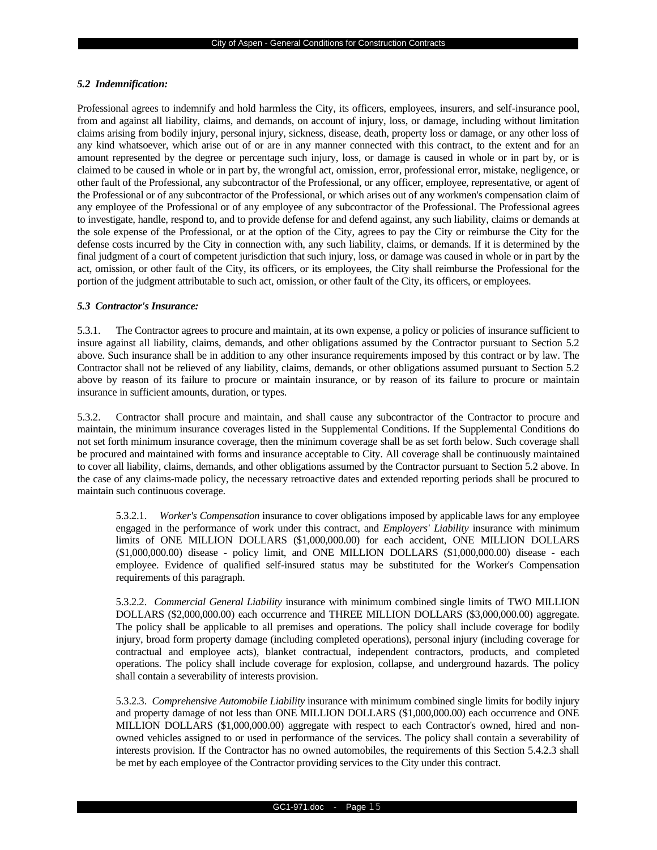#### *5.2 Indemnification:*

Professional agrees to indemnify and hold harmless the City, its officers, employees, insurers, and self-insurance pool, from and against all liability, claims, and demands, on account of injury, loss, or damage, including without limitation claims arising from bodily injury, personal injury, sickness, disease, death, property loss or damage, or any other loss of any kind whatsoever, which arise out of or are in any manner connected with this contract, to the extent and for an amount represented by the degree or percentage such injury, loss, or damage is caused in whole or in part by, or is claimed to be caused in whole or in part by, the wrongful act, omission, error, professional error, mistake, negligence, or other fault of the Professional, any subcontractor of the Professional, or any officer, employee, representative, or agent of the Professional or of any subcontractor of the Professional, or which arises out of any workmen's compensation claim of any employee of the Professional or of any employee of any subcontractor of the Professional. The Professional agrees to investigate, handle, respond to, and to provide defense for and defend against, any such liability, claims or demands at the sole expense of the Professional, or at the option of the City, agrees to pay the City or reimburse the City for the defense costs incurred by the City in connection with, any such liability, claims, or demands. If it is determined by the final judgment of a court of competent jurisdiction that such injury, loss, or damage was caused in whole or in part by the act, omission, or other fault of the City, its officers, or its employees, the City shall reimburse the Professional for the portion of the judgment attributable to such act, omission, or other fault of the City, its officers, or employees.

## *5.3 Contractor's Insurance:*

5.3.1. The Contractor agrees to procure and maintain, at its own expense, a policy or policies of insurance sufficient to insure against all liability, claims, demands, and other obligations assumed by the Contractor pursuant to Section 5.2 above. Such insurance shall be in addition to any other insurance requirements imposed by this contract or by law. The Contractor shall not be relieved of any liability, claims, demands, or other obligations assumed pursuant to Section 5.2 above by reason of its failure to procure or maintain insurance, or by reason of its failure to procure or maintain insurance in sufficient amounts, duration, or types.

5.3.2. Contractor shall procure and maintain, and shall cause any subcontractor of the Contractor to procure and maintain, the minimum insurance coverages listed in the Supplemental Conditions. If the Supplemental Conditions do not set forth minimum insurance coverage, then the minimum coverage shall be as set forth below. Such coverage shall be procured and maintained with forms and insurance acceptable to City. All coverage shall be continuously maintained to cover all liability, claims, demands, and other obligations assumed by the Contractor pursuant to Section 5.2 above. In the case of any claims-made policy, the necessary retroactive dates and extended reporting periods shall be procured to maintain such continuous coverage.

5.3.2.1. *Worker's Compensation* insurance to cover obligations imposed by applicable laws for any employee engaged in the performance of work under this contract, and *Employers' Liability* insurance with minimum limits of ONE MILLION DOLLARS (\$1,000,000.00) for each accident, ONE MILLION DOLLARS (\$1,000,000.00) disease - policy limit, and ONE MILLION DOLLARS (\$1,000,000.00) disease - each employee. Evidence of qualified self-insured status may be substituted for the Worker's Compensation requirements of this paragraph.

5.3.2.2. *Commercial General Liability* insurance with minimum combined single limits of TWO MILLION DOLLARS (\$2,000,000.00) each occurrence and THREE MILLION DOLLARS (\$3,000,000.00) aggregate. The policy shall be applicable to all premises and operations. The policy shall include coverage for bodily injury, broad form property damage (including completed operations), personal injury (including coverage for contractual and employee acts), blanket contractual, independent contractors, products, and completed operations. The policy shall include coverage for explosion, collapse, and underground hazards. The policy shall contain a severability of interests provision.

5.3.2.3. *Comprehensive Automobile Liability* insurance with minimum combined single limits for bodily injury and property damage of not less than ONE MILLION DOLLARS (\$1,000,000.00) each occurrence and ONE MILLION DOLLARS (\$1,000,000.00) aggregate with respect to each Contractor's owned, hired and nonowned vehicles assigned to or used in performance of the services. The policy shall contain a severability of interests provision. If the Contractor has no owned automobiles, the requirements of this Section 5.4.2.3 shall be met by each employee of the Contractor providing services to the City under this contract.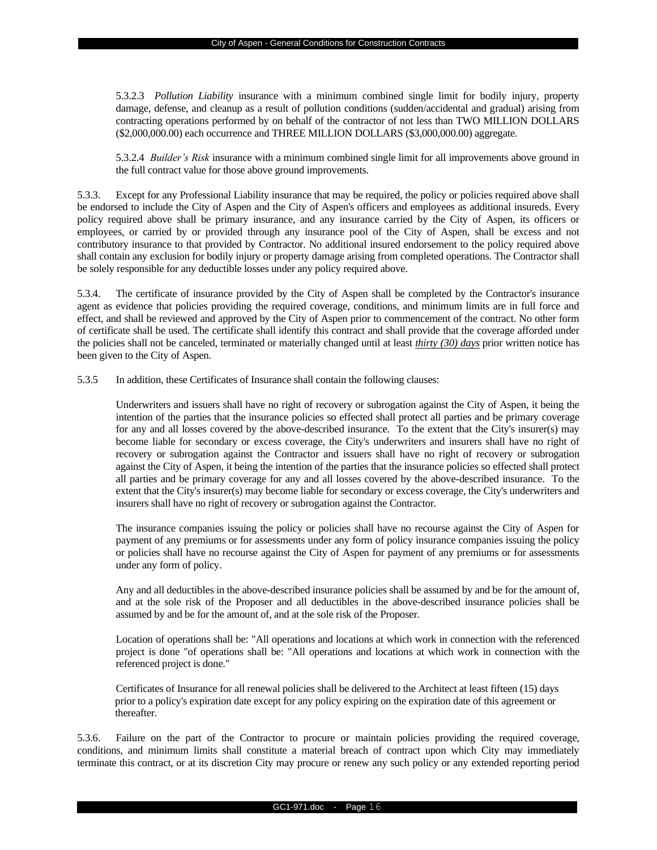5.3.2.3 *Pollution Liability* insurance with a minimum combined single limit for bodily injury, property damage, defense, and cleanup as a result of pollution conditions (sudden/accidental and gradual) arising from contracting operations performed by on behalf of the contractor of not less than TWO MILLION DOLLARS (\$2,000,000.00) each occurrence and THREE MILLION DOLLARS (\$3,000,000.00) aggregate.

5.3.2.4 *Builder's Risk* insurance with a minimum combined single limit for all improvements above ground in the full contract value for those above ground improvements.

5.3.3. Except for any Professional Liability insurance that may be required, the policy or policies required above shall be endorsed to include the City of Aspen and the City of Aspen's officers and employees as additional insureds. Every policy required above shall be primary insurance, and any insurance carried by the City of Aspen, its officers or employees, or carried by or provided through any insurance pool of the City of Aspen, shall be excess and not contributory insurance to that provided by Contractor. No additional insured endorsement to the policy required above shall contain any exclusion for bodily injury or property damage arising from completed operations. The Contractor shall be solely responsible for any deductible losses under any policy required above.

5.3.4. The certificate of insurance provided by the City of Aspen shall be completed by the Contractor's insurance agent as evidence that policies providing the required coverage, conditions, and minimum limits are in full force and effect, and shall be reviewed and approved by the City of Aspen prior to commencement of the contract. No other form of certificate shall be used. The certificate shall identify this contract and shall provide that the coverage afforded under the policies shall not be canceled, terminated or materially changed until at least *thirty (30) days* prior written notice has been given to the City of Aspen.

5.3.5 In addition, these Certificates of Insurance shall contain the following clauses:

Underwriters and issuers shall have no right of recovery or subrogation against the City of Aspen, it being the intention of the parties that the insurance policies so effected shall protect all parties and be primary coverage for any and all losses covered by the above-described insurance. To the extent that the City's insurer(s) may become liable for secondary or excess coverage, the City's underwriters and insurers shall have no right of recovery or subrogation against the Contractor and issuers shall have no right of recovery or subrogation against the City of Aspen, it being the intention of the parties that the insurance policies so effected shall protect all parties and be primary coverage for any and all losses covered by the above-described insurance. To the extent that the City's insurer(s) may become liable for secondary or excess coverage, the City's underwriters and insurers shall have no right of recovery or subrogation against the Contractor.

The insurance companies issuing the policy or policies shall have no recourse against the City of Aspen for payment of any premiums or for assessments under any form of policy insurance companies issuing the policy or policies shall have no recourse against the City of Aspen for payment of any premiums or for assessments under any form of policy.

Any and all deductibles in the above-described insurance policies shall be assumed by and be for the amount of, and at the sole risk of the Proposer and all deductibles in the above-described insurance policies shall be assumed by and be for the amount of, and at the sole risk of the Proposer.

Location of operations shall be: "All operations and locations at which work in connection with the referenced project is done "of operations shall be: "All operations and locations at which work in connection with the referenced project is done."

Certificates of Insurance for all renewal policies shall be delivered to the Architect at least fifteen (15) days prior to a policy's expiration date except for any policy expiring on the expiration date of this agreement or thereafter.

5.3.6. Failure on the part of the Contractor to procure or maintain policies providing the required coverage, conditions, and minimum limits shall constitute a material breach of contract upon which City may immediately terminate this contract, or at its discretion City may procure or renew any such policy or any extended reporting period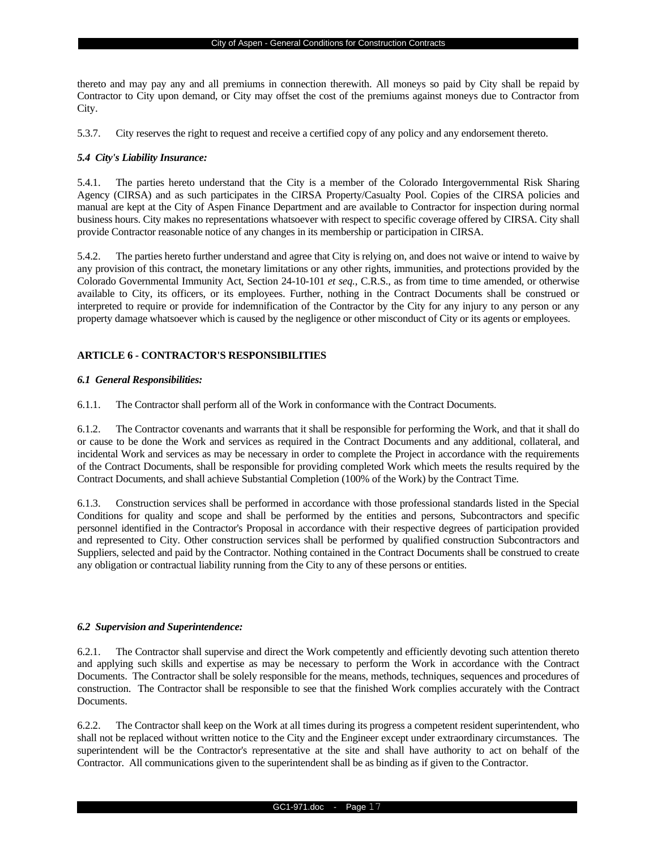thereto and may pay any and all premiums in connection therewith. All moneys so paid by City shall be repaid by Contractor to City upon demand, or City may offset the cost of the premiums against moneys due to Contractor from City.

5.3.7. City reserves the right to request and receive a certified copy of any policy and any endorsement thereto.

## *5.4 City's Liability Insurance:*

5.4.1. The parties hereto understand that the City is a member of the Colorado Intergovernmental Risk Sharing Agency (CIRSA) and as such participates in the CIRSA Property/Casualty Pool. Copies of the CIRSA policies and manual are kept at the City of Aspen Finance Department and are available to Contractor for inspection during normal business hours. City makes no representations whatsoever with respect to specific coverage offered by CIRSA. City shall provide Contractor reasonable notice of any changes in its membership or participation in CIRSA.

5.4.2. The parties hereto further understand and agree that City is relying on, and does not waive or intend to waive by any provision of this contract, the monetary limitations or any other rights, immunities, and protections provided by the Colorado Governmental Immunity Act, Section 24-10-101 *et seq.*, C.R.S., as from time to time amended, or otherwise available to City, its officers, or its employees. Further, nothing in the Contract Documents shall be construed or interpreted to require or provide for indemnification of the Contractor by the City for any injury to any person or any property damage whatsoever which is caused by the negligence or other misconduct of City or its agents or employees.

## **ARTICLE 6 - CONTRACTOR'S RESPONSIBILITIES**

## *6.1 General Responsibilities:*

6.1.1. The Contractor shall perform all of the Work in conformance with the Contract Documents.

6.1.2. The Contractor covenants and warrants that it shall be responsible for performing the Work, and that it shall do or cause to be done the Work and services as required in the Contract Documents and any additional, collateral, and incidental Work and services as may be necessary in order to complete the Project in accordance with the requirements of the Contract Documents, shall be responsible for providing completed Work which meets the results required by the Contract Documents, and shall achieve Substantial Completion (100% of the Work) by the Contract Time.

6.1.3. Construction services shall be performed in accordance with those professional standards listed in the Special Conditions for quality and scope and shall be performed by the entities and persons, Subcontractors and specific personnel identified in the Contractor's Proposal in accordance with their respective degrees of participation provided and represented to City. Other construction services shall be performed by qualified construction Subcontractors and Suppliers, selected and paid by the Contractor. Nothing contained in the Contract Documents shall be construed to create any obligation or contractual liability running from the City to any of these persons or entities.

## *6.2 Supervision and Superintendence:*

6.2.1. The Contractor shall supervise and direct the Work competently and efficiently devoting such attention thereto and applying such skills and expertise as may be necessary to perform the Work in accordance with the Contract Documents. The Contractor shall be solely responsible for the means, methods, techniques, sequences and procedures of construction. The Contractor shall be responsible to see that the finished Work complies accurately with the Contract Documents.

6.2.2. The Contractor shall keep on the Work at all times during its progress a competent resident superintendent, who shall not be replaced without written notice to the City and the Engineer except under extraordinary circumstances. The superintendent will be the Contractor's representative at the site and shall have authority to act on behalf of the Contractor. All communications given to the superintendent shall be as binding as if given to the Contractor.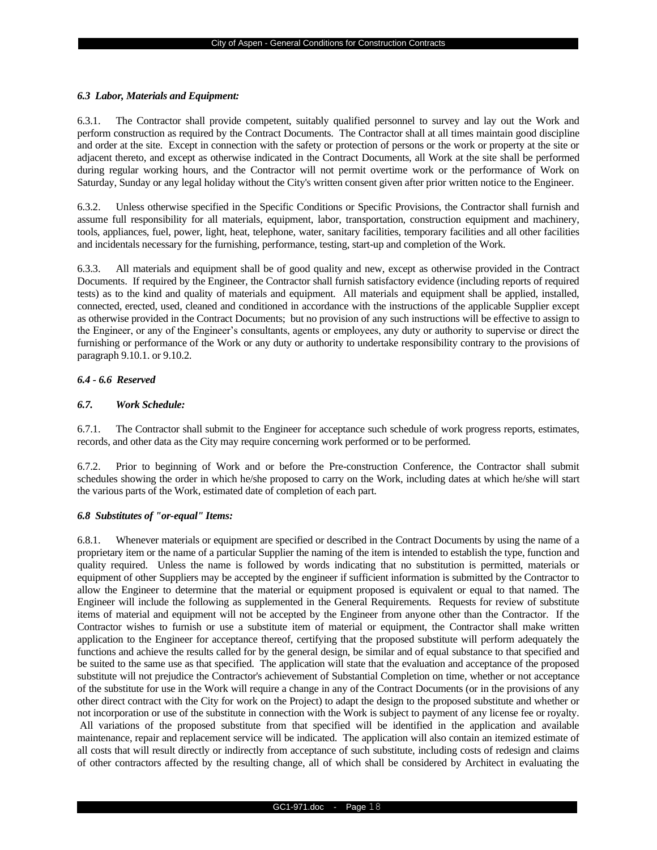#### *6.3 Labor, Materials and Equipment:*

6.3.1. The Contractor shall provide competent, suitably qualified personnel to survey and lay out the Work and perform construction as required by the Contract Documents. The Contractor shall at all times maintain good discipline and order at the site. Except in connection with the safety or protection of persons or the work or property at the site or adjacent thereto, and except as otherwise indicated in the Contract Documents, all Work at the site shall be performed during regular working hours, and the Contractor will not permit overtime work or the performance of Work on Saturday, Sunday or any legal holiday without the City's written consent given after prior written notice to the Engineer.

6.3.2. Unless otherwise specified in the Specific Conditions or Specific Provisions, the Contractor shall furnish and assume full responsibility for all materials, equipment, labor, transportation, construction equipment and machinery, tools, appliances, fuel, power, light, heat, telephone, water, sanitary facilities, temporary facilities and all other facilities and incidentals necessary for the furnishing, performance, testing, start-up and completion of the Work.

6.3.3. All materials and equipment shall be of good quality and new, except as otherwise provided in the Contract Documents. If required by the Engineer, the Contractor shall furnish satisfactory evidence (including reports of required tests) as to the kind and quality of materials and equipment. All materials and equipment shall be applied, installed, connected, erected, used, cleaned and conditioned in accordance with the instructions of the applicable Supplier except as otherwise provided in the Contract Documents; but no provision of any such instructions will be effective to assign to the Engineer, or any of the Engineer's consultants, agents or employees, any duty or authority to supervise or direct the furnishing or performance of the Work or any duty or authority to undertake responsibility contrary to the provisions of paragraph 9.10.1. or 9.10.2.

# *6.4 - 6.6 Reserved*

### *6.7. Work Schedule:*

6.7.1. The Contractor shall submit to the Engineer for acceptance such schedule of work progress reports, estimates, records, and other data as the City may require concerning work performed or to be performed.

6.7.2. Prior to beginning of Work and or before the Pre-construction Conference, the Contractor shall submit schedules showing the order in which he/she proposed to carry on the Work, including dates at which he/she will start the various parts of the Work, estimated date of completion of each part.

#### *6.8 Substitutes of "or-equal" Items:*

6.8.1. Whenever materials or equipment are specified or described in the Contract Documents by using the name of a proprietary item or the name of a particular Supplier the naming of the item is intended to establish the type, function and quality required. Unless the name is followed by words indicating that no substitution is permitted, materials or equipment of other Suppliers may be accepted by the engineer if sufficient information is submitted by the Contractor to allow the Engineer to determine that the material or equipment proposed is equivalent or equal to that named. The Engineer will include the following as supplemented in the General Requirements. Requests for review of substitute items of material and equipment will not be accepted by the Engineer from anyone other than the Contractor. If the Contractor wishes to furnish or use a substitute item of material or equipment, the Contractor shall make written application to the Engineer for acceptance thereof, certifying that the proposed substitute will perform adequately the functions and achieve the results called for by the general design, be similar and of equal substance to that specified and be suited to the same use as that specified. The application will state that the evaluation and acceptance of the proposed substitute will not prejudice the Contractor's achievement of Substantial Completion on time, whether or not acceptance of the substitute for use in the Work will require a change in any of the Contract Documents (or in the provisions of any other direct contract with the City for work on the Project) to adapt the design to the proposed substitute and whether or not incorporation or use of the substitute in connection with the Work is subject to payment of any license fee or royalty. All variations of the proposed substitute from that specified will be identified in the application and available maintenance, repair and replacement service will be indicated. The application will also contain an itemized estimate of all costs that will result directly or indirectly from acceptance of such substitute, including costs of redesign and claims of other contractors affected by the resulting change, all of which shall be considered by Architect in evaluating the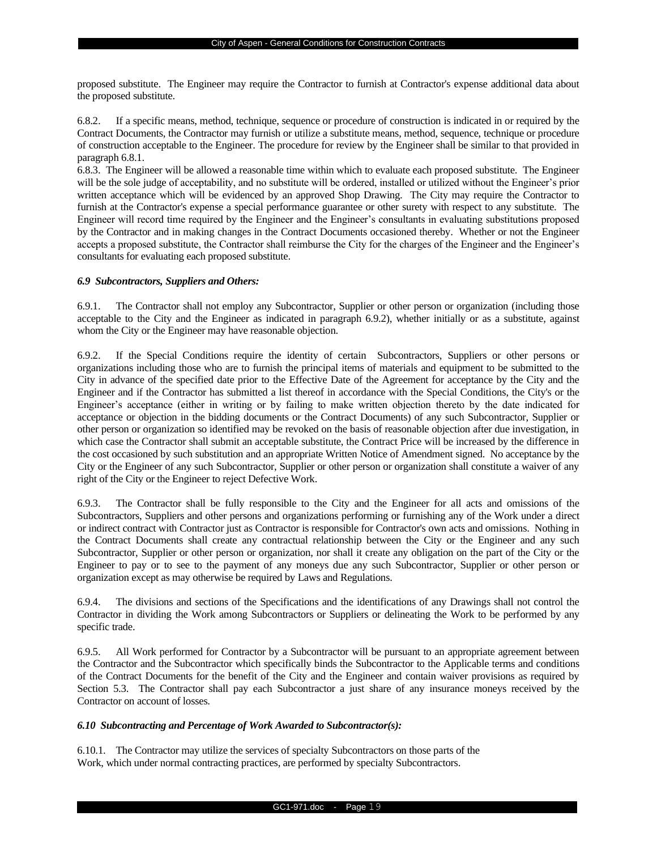proposed substitute. The Engineer may require the Contractor to furnish at Contractor's expense additional data about the proposed substitute.

6.8.2. If a specific means, method, technique, sequence or procedure of construction is indicated in or required by the Contract Documents, the Contractor may furnish or utilize a substitute means, method, sequence, technique or procedure of construction acceptable to the Engineer. The procedure for review by the Engineer shall be similar to that provided in paragraph 6.8.1.

6.8.3. The Engineer will be allowed a reasonable time within which to evaluate each proposed substitute. The Engineer will be the sole judge of acceptability, and no substitute will be ordered, installed or utilized without the Engineer's prior written acceptance which will be evidenced by an approved Shop Drawing. The City may require the Contractor to furnish at the Contractor's expense a special performance guarantee or other surety with respect to any substitute. The Engineer will record time required by the Engineer and the Engineer's consultants in evaluating substitutions proposed by the Contractor and in making changes in the Contract Documents occasioned thereby. Whether or not the Engineer accepts a proposed substitute, the Contractor shall reimburse the City for the charges of the Engineer and the Engineer's consultants for evaluating each proposed substitute.

#### *6.9 Subcontractors, Suppliers and Others:*

6.9.1. The Contractor shall not employ any Subcontractor, Supplier or other person or organization (including those acceptable to the City and the Engineer as indicated in paragraph 6.9.2), whether initially or as a substitute, against whom the City or the Engineer may have reasonable objection.

6.9.2. If the Special Conditions require the identity of certain Subcontractors, Suppliers or other persons or organizations including those who are to furnish the principal items of materials and equipment to be submitted to the City in advance of the specified date prior to the Effective Date of the Agreement for acceptance by the City and the Engineer and if the Contractor has submitted a list thereof in accordance with the Special Conditions, the City's or the Engineer's acceptance (either in writing or by failing to make written objection thereto by the date indicated for acceptance or objection in the bidding documents or the Contract Documents) of any such Subcontractor, Supplier or other person or organization so identified may be revoked on the basis of reasonable objection after due investigation, in which case the Contractor shall submit an acceptable substitute, the Contract Price will be increased by the difference in the cost occasioned by such substitution and an appropriate Written Notice of Amendment signed. No acceptance by the City or the Engineer of any such Subcontractor, Supplier or other person or organization shall constitute a waiver of any right of the City or the Engineer to reject Defective Work.

6.9.3. The Contractor shall be fully responsible to the City and the Engineer for all acts and omissions of the Subcontractors, Suppliers and other persons and organizations performing or furnishing any of the Work under a direct or indirect contract with Contractor just as Contractor is responsible for Contractor's own acts and omissions. Nothing in the Contract Documents shall create any contractual relationship between the City or the Engineer and any such Subcontractor, Supplier or other person or organization, nor shall it create any obligation on the part of the City or the Engineer to pay or to see to the payment of any moneys due any such Subcontractor, Supplier or other person or organization except as may otherwise be required by Laws and Regulations.

6.9.4. The divisions and sections of the Specifications and the identifications of any Drawings shall not control the Contractor in dividing the Work among Subcontractors or Suppliers or delineating the Work to be performed by any specific trade.

6.9.5. All Work performed for Contractor by a Subcontractor will be pursuant to an appropriate agreement between the Contractor and the Subcontractor which specifically binds the Subcontractor to the Applicable terms and conditions of the Contract Documents for the benefit of the City and the Engineer and contain waiver provisions as required by Section 5.3. The Contractor shall pay each Subcontractor a just share of any insurance moneys received by the Contractor on account of losses.

## *6.10 Subcontracting and Percentage of Work Awarded to Subcontractor(s):*

6.10.1. The Contractor may utilize the services of specialty Subcontractors on those parts of the Work, which under normal contracting practices, are performed by specialty Subcontractors.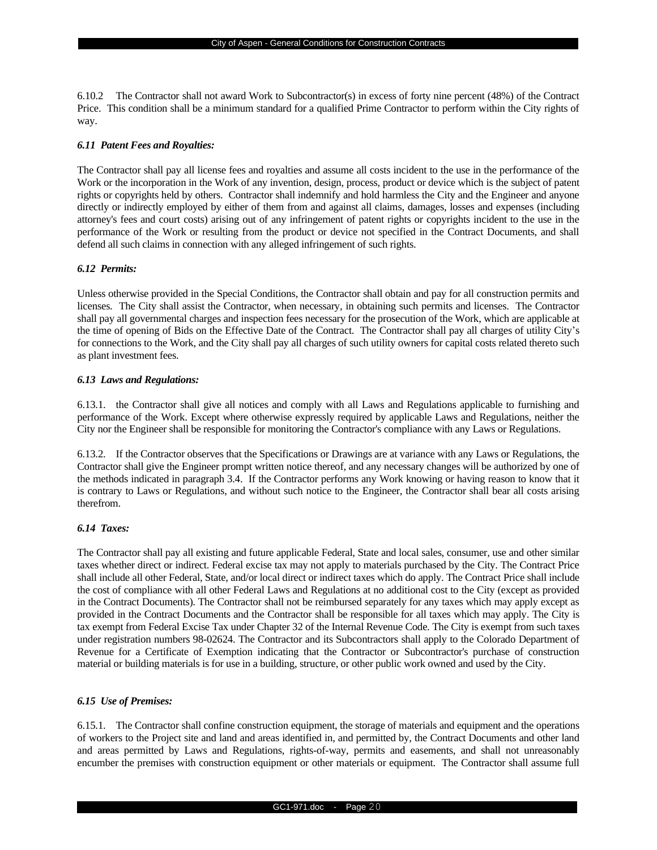6.10.2 The Contractor shall not award Work to Subcontractor(s) in excess of forty nine percent (48%) of the Contract Price. This condition shall be a minimum standard for a qualified Prime Contractor to perform within the City rights of way.

### *6.11 Patent Fees and Royalties:*

The Contractor shall pay all license fees and royalties and assume all costs incident to the use in the performance of the Work or the incorporation in the Work of any invention, design, process, product or device which is the subject of patent rights or copyrights held by others. Contractor shall indemnify and hold harmless the City and the Engineer and anyone directly or indirectly employed by either of them from and against all claims, damages, losses and expenses (including attorney's fees and court costs) arising out of any infringement of patent rights or copyrights incident to the use in the performance of the Work or resulting from the product or device not specified in the Contract Documents, and shall defend all such claims in connection with any alleged infringement of such rights.

### *6.12 Permits:*

Unless otherwise provided in the Special Conditions, the Contractor shall obtain and pay for all construction permits and licenses. The City shall assist the Contractor, when necessary, in obtaining such permits and licenses. The Contractor shall pay all governmental charges and inspection fees necessary for the prosecution of the Work, which are applicable at the time of opening of Bids on the Effective Date of the Contract. The Contractor shall pay all charges of utility City's for connections to the Work, and the City shall pay all charges of such utility owners for capital costs related thereto such as plant investment fees.

### *6.13 Laws and Regulations:*

6.13.1. the Contractor shall give all notices and comply with all Laws and Regulations applicable to furnishing and performance of the Work. Except where otherwise expressly required by applicable Laws and Regulations, neither the City nor the Engineer shall be responsible for monitoring the Contractor's compliance with any Laws or Regulations.

6.13.2. If the Contractor observes that the Specifications or Drawings are at variance with any Laws or Regulations, the Contractor shall give the Engineer prompt written notice thereof, and any necessary changes will be authorized by one of the methods indicated in paragraph 3.4. If the Contractor performs any Work knowing or having reason to know that it is contrary to Laws or Regulations, and without such notice to the Engineer, the Contractor shall bear all costs arising therefrom.

#### *6.14 Taxes:*

The Contractor shall pay all existing and future applicable Federal, State and local sales, consumer, use and other similar taxes whether direct or indirect. Federal excise tax may not apply to materials purchased by the City. The Contract Price shall include all other Federal, State, and/or local direct or indirect taxes which do apply. The Contract Price shall include the cost of compliance with all other Federal Laws and Regulations at no additional cost to the City (except as provided in the Contract Documents). The Contractor shall not be reimbursed separately for any taxes which may apply except as provided in the Contract Documents and the Contractor shall be responsible for all taxes which may apply. The City is tax exempt from Federal Excise Tax under Chapter 32 of the Internal Revenue Code. The City is exempt from such taxes under registration numbers 98-02624. The Contractor and its Subcontractors shall apply to the Colorado Department of Revenue for a Certificate of Exemption indicating that the Contractor or Subcontractor's purchase of construction material or building materials is for use in a building, structure, or other public work owned and used by the City.

#### *6.15 Use of Premises:*

6.15.1. The Contractor shall confine construction equipment, the storage of materials and equipment and the operations of workers to the Project site and land and areas identified in, and permitted by, the Contract Documents and other land and areas permitted by Laws and Regulations, rights-of-way, permits and easements, and shall not unreasonably encumber the premises with construction equipment or other materials or equipment. The Contractor shall assume full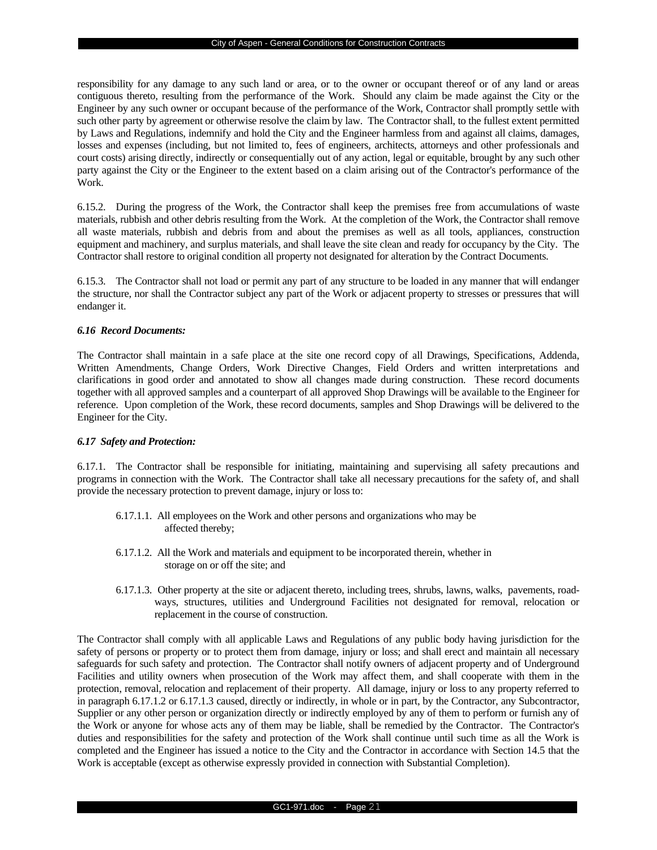responsibility for any damage to any such land or area, or to the owner or occupant thereof or of any land or areas contiguous thereto, resulting from the performance of the Work. Should any claim be made against the City or the Engineer by any such owner or occupant because of the performance of the Work, Contractor shall promptly settle with such other party by agreement or otherwise resolve the claim by law. The Contractor shall, to the fullest extent permitted by Laws and Regulations, indemnify and hold the City and the Engineer harmless from and against all claims, damages, losses and expenses (including, but not limited to, fees of engineers, architects, attorneys and other professionals and court costs) arising directly, indirectly or consequentially out of any action, legal or equitable, brought by any such other party against the City or the Engineer to the extent based on a claim arising out of the Contractor's performance of the Work.

6.15.2. During the progress of the Work, the Contractor shall keep the premises free from accumulations of waste materials, rubbish and other debris resulting from the Work. At the completion of the Work, the Contractor shall remove all waste materials, rubbish and debris from and about the premises as well as all tools, appliances, construction equipment and machinery, and surplus materials, and shall leave the site clean and ready for occupancy by the City. The Contractor shall restore to original condition all property not designated for alteration by the Contract Documents.

6.15.3. The Contractor shall not load or permit any part of any structure to be loaded in any manner that will endanger the structure, nor shall the Contractor subject any part of the Work or adjacent property to stresses or pressures that will endanger it.

### *6.16 Record Documents:*

The Contractor shall maintain in a safe place at the site one record copy of all Drawings, Specifications, Addenda, Written Amendments, Change Orders, Work Directive Changes, Field Orders and written interpretations and clarifications in good order and annotated to show all changes made during construction. These record documents together with all approved samples and a counterpart of all approved Shop Drawings will be available to the Engineer for reference. Upon completion of the Work, these record documents, samples and Shop Drawings will be delivered to the Engineer for the City.

## *6.17 Safety and Protection:*

6.17.1. The Contractor shall be responsible for initiating, maintaining and supervising all safety precautions and programs in connection with the Work. The Contractor shall take all necessary precautions for the safety of, and shall provide the necessary protection to prevent damage, injury or loss to:

- 6.17.1.1. All employees on the Work and other persons and organizations who may be affected thereby;
- 6.17.1.2. All the Work and materials and equipment to be incorporated therein, whether in storage on or off the site; and
- 6.17.1.3. Other property at the site or adjacent thereto, including trees, shrubs, lawns, walks, pavements, roadways, structures, utilities and Underground Facilities not designated for removal, relocation or replacement in the course of construction.

The Contractor shall comply with all applicable Laws and Regulations of any public body having jurisdiction for the safety of persons or property or to protect them from damage, injury or loss; and shall erect and maintain all necessary safeguards for such safety and protection. The Contractor shall notify owners of adjacent property and of Underground Facilities and utility owners when prosecution of the Work may affect them, and shall cooperate with them in the protection, removal, relocation and replacement of their property. All damage, injury or loss to any property referred to in paragraph 6.17.1.2 or 6.17.1.3 caused, directly or indirectly, in whole or in part, by the Contractor, any Subcontractor, Supplier or any other person or organization directly or indirectly employed by any of them to perform or furnish any of the Work or anyone for whose acts any of them may be liable, shall be remedied by the Contractor. The Contractor's duties and responsibilities for the safety and protection of the Work shall continue until such time as all the Work is completed and the Engineer has issued a notice to the City and the Contractor in accordance with Section 14.5 that the Work is acceptable (except as otherwise expressly provided in connection with Substantial Completion).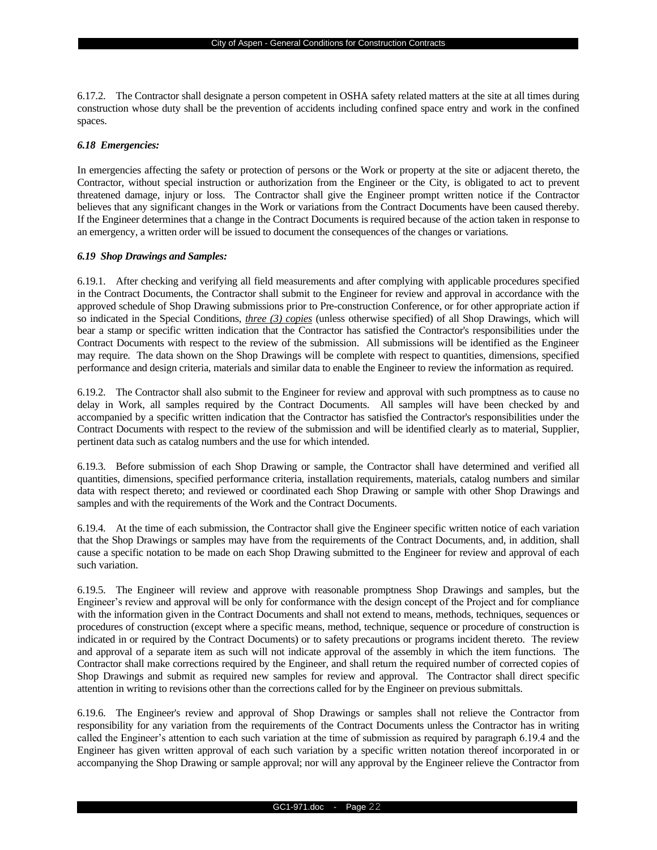6.17.2. The Contractor shall designate a person competent in OSHA safety related matters at the site at all times during construction whose duty shall be the prevention of accidents including confined space entry and work in the confined spaces.

### *6.18 Emergencies:*

In emergencies affecting the safety or protection of persons or the Work or property at the site or adjacent thereto, the Contractor, without special instruction or authorization from the Engineer or the City, is obligated to act to prevent threatened damage, injury or loss. The Contractor shall give the Engineer prompt written notice if the Contractor believes that any significant changes in the Work or variations from the Contract Documents have been caused thereby. If the Engineer determines that a change in the Contract Documents is required because of the action taken in response to an emergency, a written order will be issued to document the consequences of the changes or variations.

### *6.19 Shop Drawings and Samples:*

6.19.1. After checking and verifying all field measurements and after complying with applicable procedures specified in the Contract Documents, the Contractor shall submit to the Engineer for review and approval in accordance with the approved schedule of Shop Drawing submissions prior to Pre-construction Conference, or for other appropriate action if so indicated in the Special Conditions, *three (3) copies* (unless otherwise specified) of all Shop Drawings, which will bear a stamp or specific written indication that the Contractor has satisfied the Contractor's responsibilities under the Contract Documents with respect to the review of the submission. All submissions will be identified as the Engineer may require. The data shown on the Shop Drawings will be complete with respect to quantities, dimensions, specified performance and design criteria, materials and similar data to enable the Engineer to review the information as required.

6.19.2. The Contractor shall also submit to the Engineer for review and approval with such promptness as to cause no delay in Work, all samples required by the Contract Documents. All samples will have been checked by and accompanied by a specific written indication that the Contractor has satisfied the Contractor's responsibilities under the Contract Documents with respect to the review of the submission and will be identified clearly as to material, Supplier, pertinent data such as catalog numbers and the use for which intended.

6.19.3. Before submission of each Shop Drawing or sample, the Contractor shall have determined and verified all quantities, dimensions, specified performance criteria, installation requirements, materials, catalog numbers and similar data with respect thereto; and reviewed or coordinated each Shop Drawing or sample with other Shop Drawings and samples and with the requirements of the Work and the Contract Documents.

6.19.4. At the time of each submission, the Contractor shall give the Engineer specific written notice of each variation that the Shop Drawings or samples may have from the requirements of the Contract Documents, and, in addition, shall cause a specific notation to be made on each Shop Drawing submitted to the Engineer for review and approval of each such variation.

6.19.5. The Engineer will review and approve with reasonable promptness Shop Drawings and samples, but the Engineer's review and approval will be only for conformance with the design concept of the Project and for compliance with the information given in the Contract Documents and shall not extend to means, methods, techniques, sequences or procedures of construction (except where a specific means, method, technique, sequence or procedure of construction is indicated in or required by the Contract Documents) or to safety precautions or programs incident thereto. The review and approval of a separate item as such will not indicate approval of the assembly in which the item functions. The Contractor shall make corrections required by the Engineer, and shall return the required number of corrected copies of Shop Drawings and submit as required new samples for review and approval. The Contractor shall direct specific attention in writing to revisions other than the corrections called for by the Engineer on previous submittals.

6.19.6. The Engineer's review and approval of Shop Drawings or samples shall not relieve the Contractor from responsibility for any variation from the requirements of the Contract Documents unless the Contractor has in writing called the Engineer's attention to each such variation at the time of submission as required by paragraph 6.19.4 and the Engineer has given written approval of each such variation by a specific written notation thereof incorporated in or accompanying the Shop Drawing or sample approval; nor will any approval by the Engineer relieve the Contractor from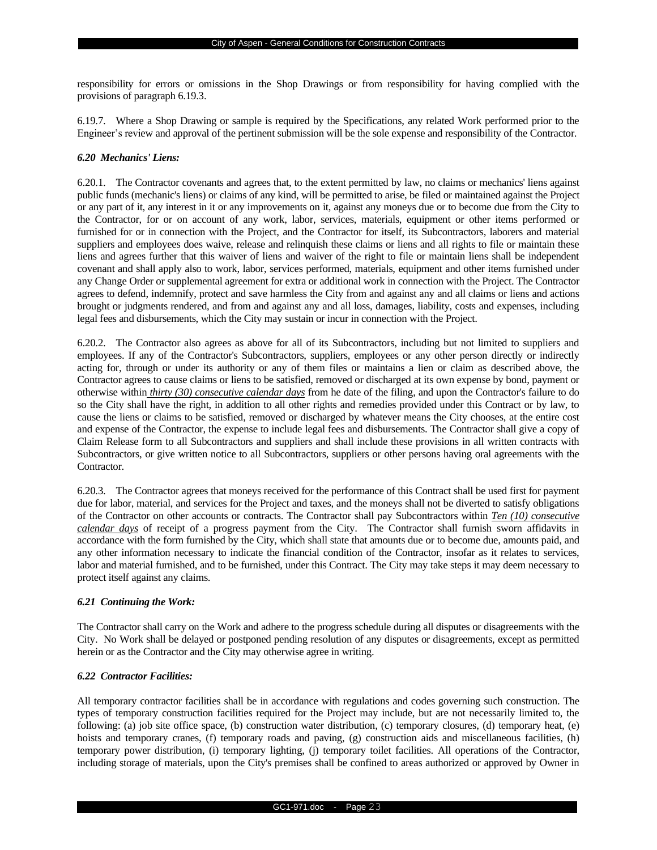responsibility for errors or omissions in the Shop Drawings or from responsibility for having complied with the provisions of paragraph 6.19.3.

6.19.7. Where a Shop Drawing or sample is required by the Specifications, any related Work performed prior to the Engineer's review and approval of the pertinent submission will be the sole expense and responsibility of the Contractor.

## *6.20 Mechanics' Liens:*

6.20.1. The Contractor covenants and agrees that, to the extent permitted by law, no claims or mechanics' liens against public funds (mechanic's liens) or claims of any kind, will be permitted to arise, be filed or maintained against the Project or any part of it, any interest in it or any improvements on it, against any moneys due or to become due from the City to the Contractor, for or on account of any work, labor, services, materials, equipment or other items performed or furnished for or in connection with the Project, and the Contractor for itself, its Subcontractors, laborers and material suppliers and employees does waive, release and relinquish these claims or liens and all rights to file or maintain these liens and agrees further that this waiver of liens and waiver of the right to file or maintain liens shall be independent covenant and shall apply also to work, labor, services performed, materials, equipment and other items furnished under any Change Order or supplemental agreement for extra or additional work in connection with the Project. The Contractor agrees to defend, indemnify, protect and save harmless the City from and against any and all claims or liens and actions brought or judgments rendered, and from and against any and all loss, damages, liability, costs and expenses, including legal fees and disbursements, which the City may sustain or incur in connection with the Project.

6.20.2. The Contractor also agrees as above for all of its Subcontractors, including but not limited to suppliers and employees. If any of the Contractor's Subcontractors, suppliers, employees or any other person directly or indirectly acting for, through or under its authority or any of them files or maintains a lien or claim as described above, the Contractor agrees to cause claims or liens to be satisfied, removed or discharged at its own expense by bond, payment or otherwise within *thirty (30) consecutive calendar days* from he date of the filing, and upon the Contractor's failure to do so the City shall have the right, in addition to all other rights and remedies provided under this Contract or by law, to cause the liens or claims to be satisfied, removed or discharged by whatever means the City chooses, at the entire cost and expense of the Contractor, the expense to include legal fees and disbursements. The Contractor shall give a copy of Claim Release form to all Subcontractors and suppliers and shall include these provisions in all written contracts with Subcontractors, or give written notice to all Subcontractors, suppliers or other persons having oral agreements with the Contractor.

6.20.3. The Contractor agrees that moneys received for the performance of this Contract shall be used first for payment due for labor, material, and services for the Project and taxes, and the moneys shall not be diverted to satisfy obligations of the Contractor on other accounts or contracts. The Contractor shall pay Subcontractors within *Ten (10) consecutive calendar days* of receipt of a progress payment from the City. The Contractor shall furnish sworn affidavits in accordance with the form furnished by the City, which shall state that amounts due or to become due, amounts paid, and any other information necessary to indicate the financial condition of the Contractor, insofar as it relates to services, labor and material furnished, and to be furnished, under this Contract. The City may take steps it may deem necessary to protect itself against any claims.

## *6.21 Continuing the Work:*

The Contractor shall carry on the Work and adhere to the progress schedule during all disputes or disagreements with the City. No Work shall be delayed or postponed pending resolution of any disputes or disagreements, except as permitted herein or as the Contractor and the City may otherwise agree in writing.

## *6.22 Contractor Facilities:*

All temporary contractor facilities shall be in accordance with regulations and codes governing such construction. The types of temporary construction facilities required for the Project may include, but are not necessarily limited to, the following: (a) job site office space, (b) construction water distribution, (c) temporary closures, (d) temporary heat, (e) hoists and temporary cranes, (f) temporary roads and paving, (g) construction aids and miscellaneous facilities, (h) temporary power distribution, (i) temporary lighting, (j) temporary toilet facilities. All operations of the Contractor, including storage of materials, upon the City's premises shall be confined to areas authorized or approved by Owner in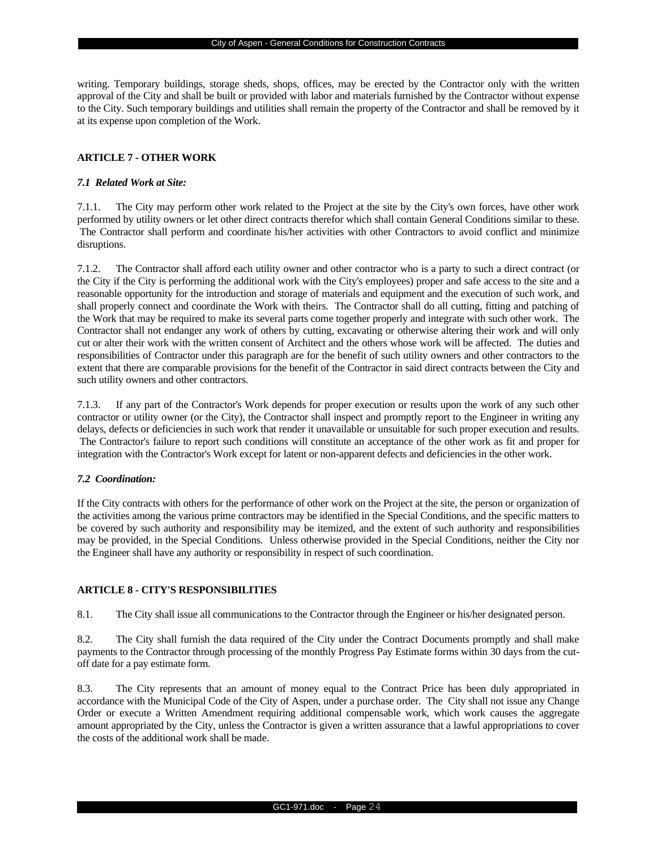writing. Temporary buildings, storage sheds, shops, offices, may be erected by the Contractor only with the written approval of the City and shall be built or provided with labor and materials furnished by the Contractor without expense to the City. Such temporary buildings and utilities shall remain the property of the Contractor and shall be removed by it at its expense upon completion of the Work.

## **ARTICLE 7 - OTHER WORK**

## *7.1 Related Work at Site:*

7.1.1. The City may perform other work related to the Project at the site by the City's own forces, have other work performed by utility owners or let other direct contracts therefor which shall contain General Conditions similar to these. The Contractor shall perform and coordinate his/her activities with other Contractors to avoid conflict and minimize disruptions.

7.1.2. The Contractor shall afford each utility owner and other contractor who is a party to such a direct contract (or the City if the City is performing the additional work with the City's employees) proper and safe access to the site and a reasonable opportunity for the introduction and storage of materials and equipment and the execution of such work, and shall properly connect and coordinate the Work with theirs. The Contractor shall do all cutting, fitting and patching of the Work that may be required to make its several parts come together properly and integrate with such other work. The Contractor shall not endanger any work of others by cutting, excavating or otherwise altering their work and will only cut or alter their work with the written consent of Architect and the others whose work will be affected. The duties and responsibilities of Contractor under this paragraph are for the benefit of such utility owners and other contractors to the extent that there are comparable provisions for the benefit of the Contractor in said direct contracts between the City and such utility owners and other contractors.

7.1.3. If any part of the Contractor's Work depends for proper execution or results upon the work of any such other contractor or utility owner (or the City), the Contractor shall inspect and promptly report to the Engineer in writing any delays, defects or deficiencies in such work that render it unavailable or unsuitable for such proper execution and results. The Contractor's failure to report such conditions will constitute an acceptance of the other work as fit and proper for integration with the Contractor's Work except for latent or non-apparent defects and deficiencies in the other work.

#### *7.2 Coordination:*

If the City contracts with others for the performance of other work on the Project at the site, the person or organization of the activities among the various prime contractors may be identified in the Special Conditions, and the specific matters to be covered by such authority and responsibility may be itemized, and the extent of such authority and responsibilities may be provided, in the Special Conditions. Unless otherwise provided in the Special Conditions, neither the City nor the Engineer shall have any authority or responsibility in respect of such coordination.

## **ARTICLE 8 - CITY'S RESPONSIBILITIES**

8.1. The City shall issue all communications to the Contractor through the Engineer or his/her designated person.

8.2. The City shall furnish the data required of the City under the Contract Documents promptly and shall make payments to the Contractor through processing of the monthly Progress Pay Estimate forms within 30 days from the cutoff date for a pay estimate form.

8.3. The City represents that an amount of money equal to the Contract Price has been duly appropriated in accordance with the Municipal Code of the City of Aspen, under a purchase order. The City shall not issue any Change Order or execute a Written Amendment requiring additional compensable work, which work causes the aggregate amount appropriated by the City, unless the Contractor is given a written assurance that a lawful appropriations to cover the costs of the additional work shall be made.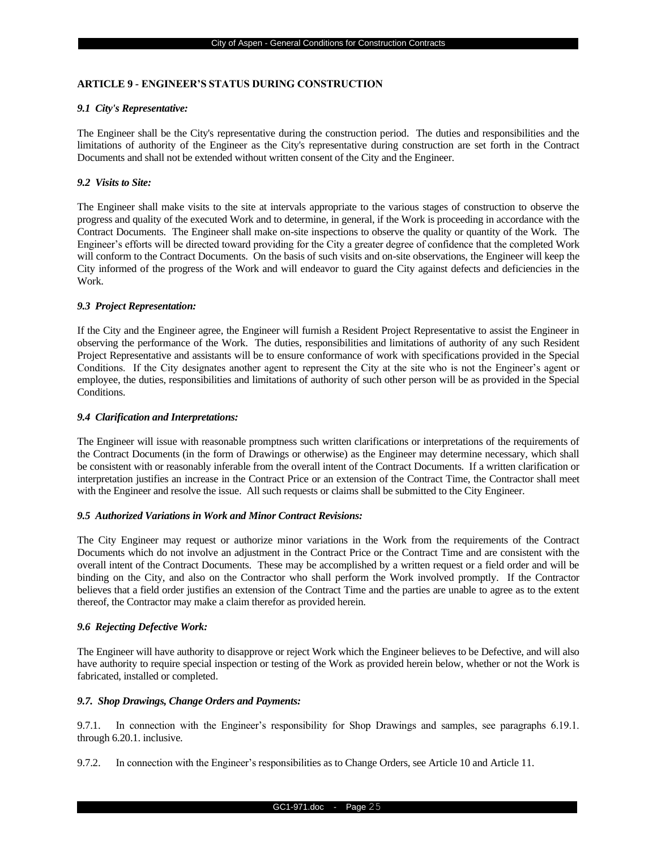## **ARTICLE 9 - ENGINEER'S STATUS DURING CONSTRUCTION**

#### *9.1 City's Representative:*

The Engineer shall be the City's representative during the construction period. The duties and responsibilities and the limitations of authority of the Engineer as the City's representative during construction are set forth in the Contract Documents and shall not be extended without written consent of the City and the Engineer.

## *9.2 Visits to Site:*

The Engineer shall make visits to the site at intervals appropriate to the various stages of construction to observe the progress and quality of the executed Work and to determine, in general, if the Work is proceeding in accordance with the Contract Documents. The Engineer shall make on-site inspections to observe the quality or quantity of the Work. The Engineer's efforts will be directed toward providing for the City a greater degree of confidence that the completed Work will conform to the Contract Documents. On the basis of such visits and on-site observations, the Engineer will keep the City informed of the progress of the Work and will endeavor to guard the City against defects and deficiencies in the Work.

## *9.3 Project Representation:*

If the City and the Engineer agree, the Engineer will furnish a Resident Project Representative to assist the Engineer in observing the performance of the Work. The duties, responsibilities and limitations of authority of any such Resident Project Representative and assistants will be to ensure conformance of work with specifications provided in the Special Conditions. If the City designates another agent to represent the City at the site who is not the Engineer's agent or employee, the duties, responsibilities and limitations of authority of such other person will be as provided in the Special Conditions.

### *9.4 Clarification and Interpretations:*

The Engineer will issue with reasonable promptness such written clarifications or interpretations of the requirements of the Contract Documents (in the form of Drawings or otherwise) as the Engineer may determine necessary, which shall be consistent with or reasonably inferable from the overall intent of the Contract Documents. If a written clarification or interpretation justifies an increase in the Contract Price or an extension of the Contract Time, the Contractor shall meet with the Engineer and resolve the issue. All such requests or claims shall be submitted to the City Engineer.

#### *9.5 Authorized Variations in Work and Minor Contract Revisions:*

The City Engineer may request or authorize minor variations in the Work from the requirements of the Contract Documents which do not involve an adjustment in the Contract Price or the Contract Time and are consistent with the overall intent of the Contract Documents. These may be accomplished by a written request or a field order and will be binding on the City, and also on the Contractor who shall perform the Work involved promptly. If the Contractor believes that a field order justifies an extension of the Contract Time and the parties are unable to agree as to the extent thereof, the Contractor may make a claim therefor as provided herein.

## *9.6 Rejecting Defective Work:*

The Engineer will have authority to disapprove or reject Work which the Engineer believes to be Defective, and will also have authority to require special inspection or testing of the Work as provided herein below, whether or not the Work is fabricated, installed or completed.

## *9.7. Shop Drawings, Change Orders and Payments:*

9.7.1. In connection with the Engineer's responsibility for Shop Drawings and samples, see paragraphs 6.19.1. through 6.20.1. inclusive.

9.7.2. In connection with the Engineer's responsibilities as to Change Orders, see Article 10 and Article 11.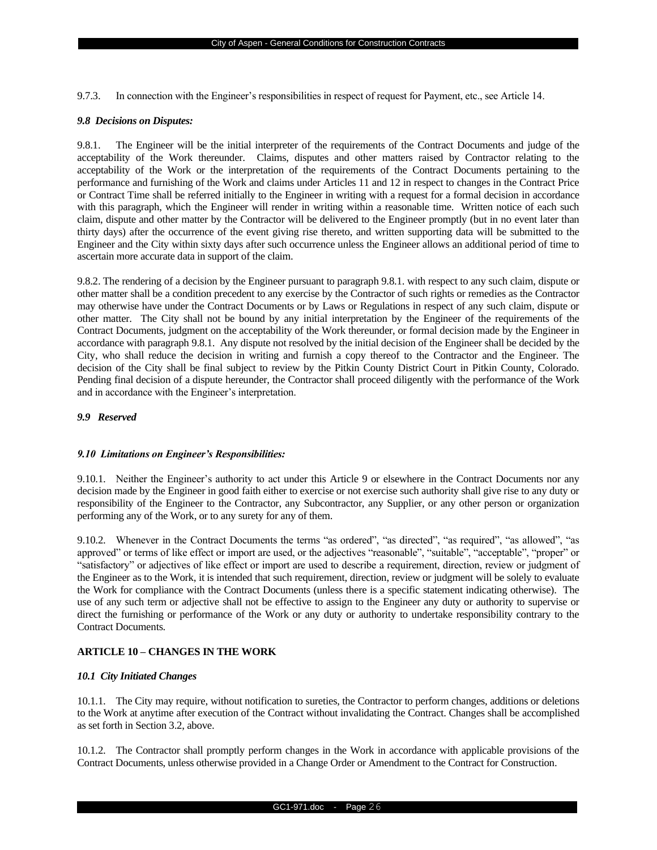9.7.3. In connection with the Engineer's responsibilities in respect of request for Payment, etc., see Article 14.

#### *9.8 Decisions on Disputes:*

9.8.1. The Engineer will be the initial interpreter of the requirements of the Contract Documents and judge of the acceptability of the Work thereunder. Claims, disputes and other matters raised by Contractor relating to the acceptability of the Work or the interpretation of the requirements of the Contract Documents pertaining to the performance and furnishing of the Work and claims under Articles 11 and 12 in respect to changes in the Contract Price or Contract Time shall be referred initially to the Engineer in writing with a request for a formal decision in accordance with this paragraph, which the Engineer will render in writing within a reasonable time. Written notice of each such claim, dispute and other matter by the Contractor will be delivered to the Engineer promptly (but in no event later than thirty days) after the occurrence of the event giving rise thereto, and written supporting data will be submitted to the Engineer and the City within sixty days after such occurrence unless the Engineer allows an additional period of time to ascertain more accurate data in support of the claim.

9.8.2. The rendering of a decision by the Engineer pursuant to paragraph 9.8.1. with respect to any such claim, dispute or other matter shall be a condition precedent to any exercise by the Contractor of such rights or remedies as the Contractor may otherwise have under the Contract Documents or by Laws or Regulations in respect of any such claim, dispute or other matter. The City shall not be bound by any initial interpretation by the Engineer of the requirements of the Contract Documents, judgment on the acceptability of the Work thereunder, or formal decision made by the Engineer in accordance with paragraph 9.8.1. Any dispute not resolved by the initial decision of the Engineer shall be decided by the City, who shall reduce the decision in writing and furnish a copy thereof to the Contractor and the Engineer. The decision of the City shall be final subject to review by the Pitkin County District Court in Pitkin County, Colorado. Pending final decision of a dispute hereunder, the Contractor shall proceed diligently with the performance of the Work and in accordance with the Engineer's interpretation.

## *9.9 Reserved*

## *9.10 Limitations on Engineer's Responsibilities:*

9.10.1. Neither the Engineer's authority to act under this Article 9 or elsewhere in the Contract Documents nor any decision made by the Engineer in good faith either to exercise or not exercise such authority shall give rise to any duty or responsibility of the Engineer to the Contractor, any Subcontractor, any Supplier, or any other person or organization performing any of the Work, or to any surety for any of them.

9.10.2. Whenever in the Contract Documents the terms "as ordered", "as directed", "as required", "as allowed", "as approved" or terms of like effect or import are used, or the adjectives "reasonable", "suitable", "acceptable", "proper" or "satisfactory" or adjectives of like effect or import are used to describe a requirement, direction, review or judgment of the Engineer as to the Work, it is intended that such requirement, direction, review or judgment will be solely to evaluate the Work for compliance with the Contract Documents (unless there is a specific statement indicating otherwise). The use of any such term or adjective shall not be effective to assign to the Engineer any duty or authority to supervise or direct the furnishing or performance of the Work or any duty or authority to undertake responsibility contrary to the Contract Documents.

## **ARTICLE 10 – CHANGES IN THE WORK**

## *10.1 City Initiated Changes*

10.1.1. The City may require, without notification to sureties, the Contractor to perform changes, additions or deletions to the Work at anytime after execution of the Contract without invalidating the Contract. Changes shall be accomplished as set forth in Section 3.2, above.

10.1.2. The Contractor shall promptly perform changes in the Work in accordance with applicable provisions of the Contract Documents, unless otherwise provided in a Change Order or Amendment to the Contract for Construction.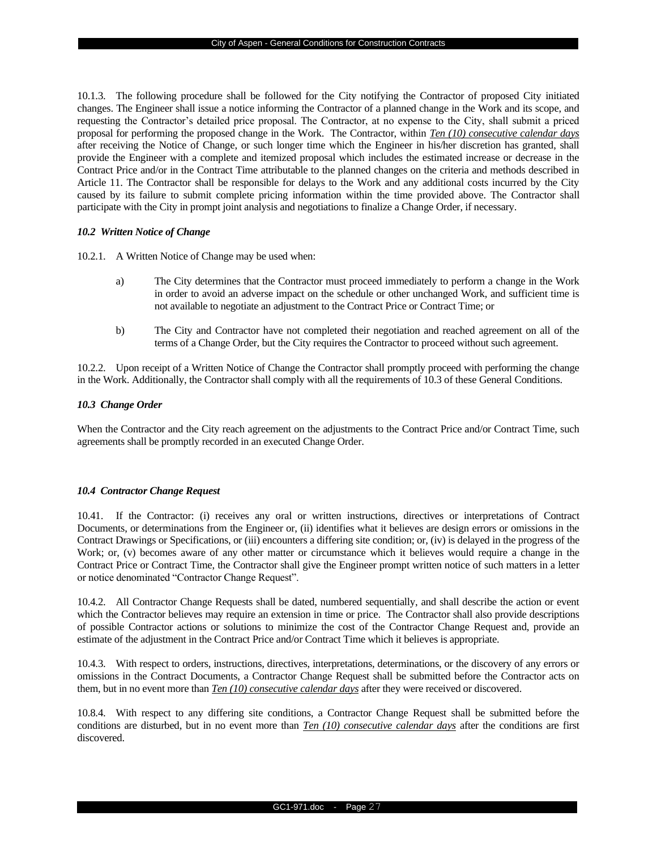10.1.3. The following procedure shall be followed for the City notifying the Contractor of proposed City initiated changes. The Engineer shall issue a notice informing the Contractor of a planned change in the Work and its scope, and requesting the Contractor's detailed price proposal. The Contractor, at no expense to the City, shall submit a priced proposal for performing the proposed change in the Work. The Contractor, within *Ten (10) consecutive calendar days* after receiving the Notice of Change, or such longer time which the Engineer in his/her discretion has granted, shall provide the Engineer with a complete and itemized proposal which includes the estimated increase or decrease in the Contract Price and/or in the Contract Time attributable to the planned changes on the criteria and methods described in Article 11. The Contractor shall be responsible for delays to the Work and any additional costs incurred by the City caused by its failure to submit complete pricing information within the time provided above. The Contractor shall participate with the City in prompt joint analysis and negotiations to finalize a Change Order, if necessary.

### *10.2 Written Notice of Change*

10.2.1. A Written Notice of Change may be used when:

- a) The City determines that the Contractor must proceed immediately to perform a change in the Work in order to avoid an adverse impact on the schedule or other unchanged Work, and sufficient time is not available to negotiate an adjustment to the Contract Price or Contract Time; or
- b) The City and Contractor have not completed their negotiation and reached agreement on all of the terms of a Change Order, but the City requires the Contractor to proceed without such agreement.

10.2.2. Upon receipt of a Written Notice of Change the Contractor shall promptly proceed with performing the change in the Work. Additionally, the Contractor shall comply with all the requirements of 10.3 of these General Conditions.

### *10.3 Change Order*

When the Contractor and the City reach agreement on the adjustments to the Contract Price and/or Contract Time, such agreements shall be promptly recorded in an executed Change Order.

## *10.4 Contractor Change Request*

10.41. If the Contractor: (i) receives any oral or written instructions, directives or interpretations of Contract Documents, or determinations from the Engineer or, (ii) identifies what it believes are design errors or omissions in the Contract Drawings or Specifications, or (iii) encounters a differing site condition; or, (iv) is delayed in the progress of the Work; or, (v) becomes aware of any other matter or circumstance which it believes would require a change in the Contract Price or Contract Time, the Contractor shall give the Engineer prompt written notice of such matters in a letter or notice denominated "Contractor Change Request".

10.4.2. All Contractor Change Requests shall be dated, numbered sequentially, and shall describe the action or event which the Contractor believes may require an extension in time or price. The Contractor shall also provide descriptions of possible Contractor actions or solutions to minimize the cost of the Contractor Change Request and, provide an estimate of the adjustment in the Contract Price and/or Contract Time which it believes is appropriate.

10.4.3. With respect to orders, instructions, directives, interpretations, determinations, or the discovery of any errors or omissions in the Contract Documents, a Contractor Change Request shall be submitted before the Contractor acts on them, but in no event more than *Ten (10) consecutive calendar days* after they were received or discovered.

10.8.4. With respect to any differing site conditions, a Contractor Change Request shall be submitted before the conditions are disturbed, but in no event more than *Ten (10) consecutive calendar days* after the conditions are first discovered.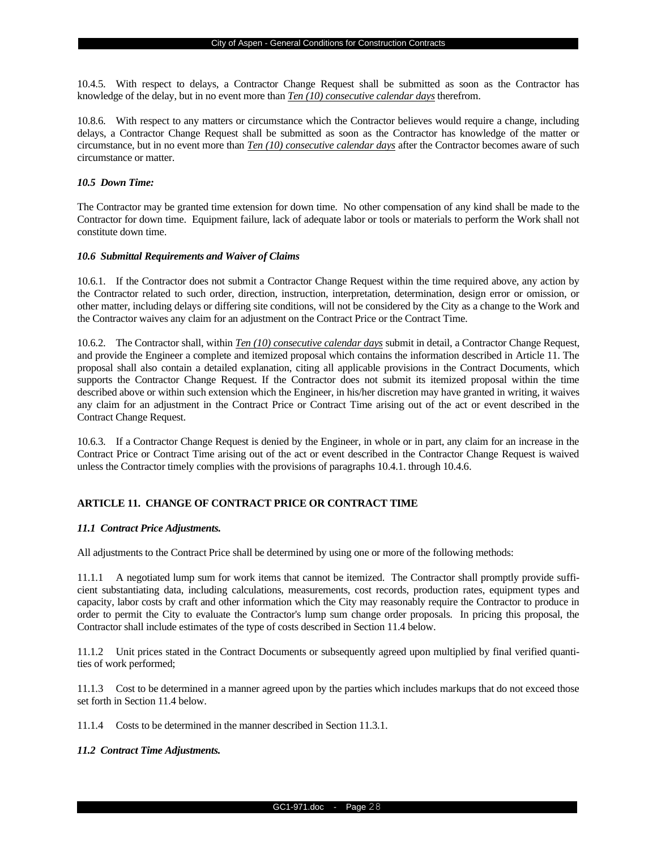10.4.5. With respect to delays, a Contractor Change Request shall be submitted as soon as the Contractor has knowledge of the delay, but in no event more than *Ten (10) consecutive calendar days* therefrom.

10.8.6. With respect to any matters or circumstance which the Contractor believes would require a change, including delays, a Contractor Change Request shall be submitted as soon as the Contractor has knowledge of the matter or circumstance, but in no event more than *Ten (10) consecutive calendar days* after the Contractor becomes aware of such circumstance or matter.

## *10.5 Down Time:*

The Contractor may be granted time extension for down time. No other compensation of any kind shall be made to the Contractor for down time. Equipment failure, lack of adequate labor or tools or materials to perform the Work shall not constitute down time.

#### *10.6 Submittal Requirements and Waiver of Claims*

10.6.1. If the Contractor does not submit a Contractor Change Request within the time required above, any action by the Contractor related to such order, direction, instruction, interpretation, determination, design error or omission, or other matter, including delays or differing site conditions, will not be considered by the City as a change to the Work and the Contractor waives any claim for an adjustment on the Contract Price or the Contract Time.

10.6.2. The Contractor shall, within *Ten (10) consecutive calendar days* submit in detail, a Contractor Change Request, and provide the Engineer a complete and itemized proposal which contains the information described in Article 11. The proposal shall also contain a detailed explanation, citing all applicable provisions in the Contract Documents, which supports the Contractor Change Request. If the Contractor does not submit its itemized proposal within the time described above or within such extension which the Engineer, in his/her discretion may have granted in writing, it waives any claim for an adjustment in the Contract Price or Contract Time arising out of the act or event described in the Contract Change Request.

10.6.3. If a Contractor Change Request is denied by the Engineer, in whole or in part, any claim for an increase in the Contract Price or Contract Time arising out of the act or event described in the Contractor Change Request is waived unless the Contractor timely complies with the provisions of paragraphs 10.4.1. through 10.4.6.

## **ARTICLE 11. CHANGE OF CONTRACT PRICE OR CONTRACT TIME**

## *11.1 Contract Price Adjustments.*

All adjustments to the Contract Price shall be determined by using one or more of the following methods:

11.1.1 A negotiated lump sum for work items that cannot be itemized. The Contractor shall promptly provide sufficient substantiating data, including calculations, measurements, cost records, production rates, equipment types and capacity, labor costs by craft and other information which the City may reasonably require the Contractor to produce in order to permit the City to evaluate the Contractor's lump sum change order proposals. In pricing this proposal, the Contractor shall include estimates of the type of costs described in Section 11.4 below.

11.1.2 Unit prices stated in the Contract Documents or subsequently agreed upon multiplied by final verified quantities of work performed;

11.1.3 Cost to be determined in a manner agreed upon by the parties which includes markups that do not exceed those set forth in Section 11.4 below.

11.1.4 Costs to be determined in the manner described in Section 11.3.1.

### *11.2 Contract Time Adjustments.*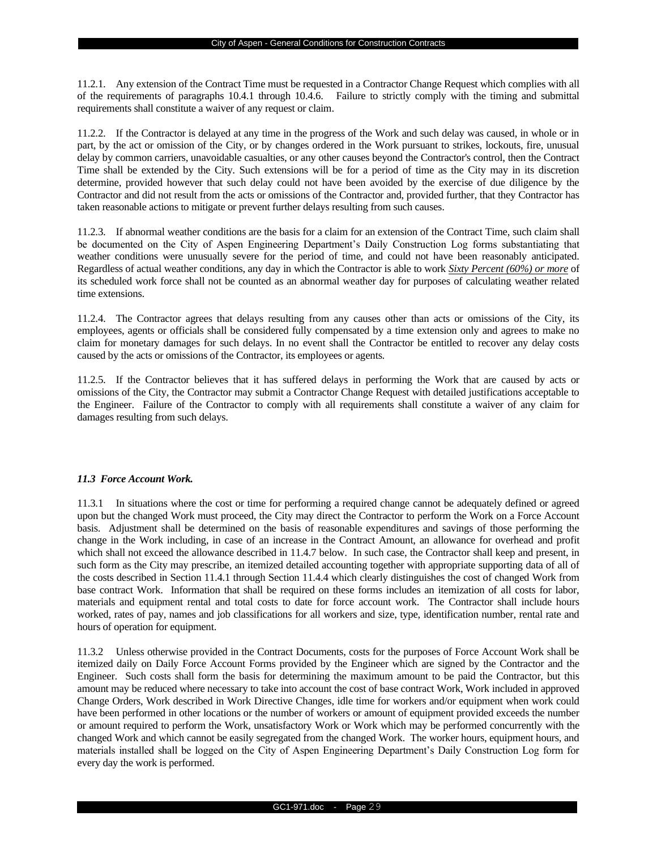11.2.1. Any extension of the Contract Time must be requested in a Contractor Change Request which complies with all of the requirements of paragraphs 10.4.1 through 10.4.6. Failure to strictly comply with the timing and submittal requirements shall constitute a waiver of any request or claim.

11.2.2. If the Contractor is delayed at any time in the progress of the Work and such delay was caused, in whole or in part, by the act or omission of the City, or by changes ordered in the Work pursuant to strikes, lockouts, fire, unusual delay by common carriers, unavoidable casualties, or any other causes beyond the Contractor's control, then the Contract Time shall be extended by the City. Such extensions will be for a period of time as the City may in its discretion determine, provided however that such delay could not have been avoided by the exercise of due diligence by the Contractor and did not result from the acts or omissions of the Contractor and, provided further, that they Contractor has taken reasonable actions to mitigate or prevent further delays resulting from such causes.

11.2.3. If abnormal weather conditions are the basis for a claim for an extension of the Contract Time, such claim shall be documented on the City of Aspen Engineering Department's Daily Construction Log forms substantiating that weather conditions were unusually severe for the period of time, and could not have been reasonably anticipated. Regardless of actual weather conditions, any day in which the Contractor is able to work *Sixty Percent (60%) or more* of its scheduled work force shall not be counted as an abnormal weather day for purposes of calculating weather related time extensions.

11.2.4. The Contractor agrees that delays resulting from any causes other than acts or omissions of the City, its employees, agents or officials shall be considered fully compensated by a time extension only and agrees to make no claim for monetary damages for such delays. In no event shall the Contractor be entitled to recover any delay costs caused by the acts or omissions of the Contractor, its employees or agents.

11.2.5. If the Contractor believes that it has suffered delays in performing the Work that are caused by acts or omissions of the City, the Contractor may submit a Contractor Change Request with detailed justifications acceptable to the Engineer. Failure of the Contractor to comply with all requirements shall constitute a waiver of any claim for damages resulting from such delays.

## *11.3 Force Account Work.*

11.3.1 In situations where the cost or time for performing a required change cannot be adequately defined or agreed upon but the changed Work must proceed, the City may direct the Contractor to perform the Work on a Force Account basis. Adjustment shall be determined on the basis of reasonable expenditures and savings of those performing the change in the Work including, in case of an increase in the Contract Amount, an allowance for overhead and profit which shall not exceed the allowance described in 11.4.7 below. In such case, the Contractor shall keep and present, in such form as the City may prescribe, an itemized detailed accounting together with appropriate supporting data of all of the costs described in Section 11.4.1 through Section 11.4.4 which clearly distinguishes the cost of changed Work from base contract Work. Information that shall be required on these forms includes an itemization of all costs for labor, materials and equipment rental and total costs to date for force account work. The Contractor shall include hours worked, rates of pay, names and job classifications for all workers and size, type, identification number, rental rate and hours of operation for equipment.

11.3.2 Unless otherwise provided in the Contract Documents, costs for the purposes of Force Account Work shall be itemized daily on Daily Force Account Forms provided by the Engineer which are signed by the Contractor and the Engineer. Such costs shall form the basis for determining the maximum amount to be paid the Contractor, but this amount may be reduced where necessary to take into account the cost of base contract Work, Work included in approved Change Orders, Work described in Work Directive Changes, idle time for workers and/or equipment when work could have been performed in other locations or the number of workers or amount of equipment provided exceeds the number or amount required to perform the Work, unsatisfactory Work or Work which may be performed concurrently with the changed Work and which cannot be easily segregated from the changed Work. The worker hours, equipment hours, and materials installed shall be logged on the City of Aspen Engineering Department's Daily Construction Log form for every day the work is performed.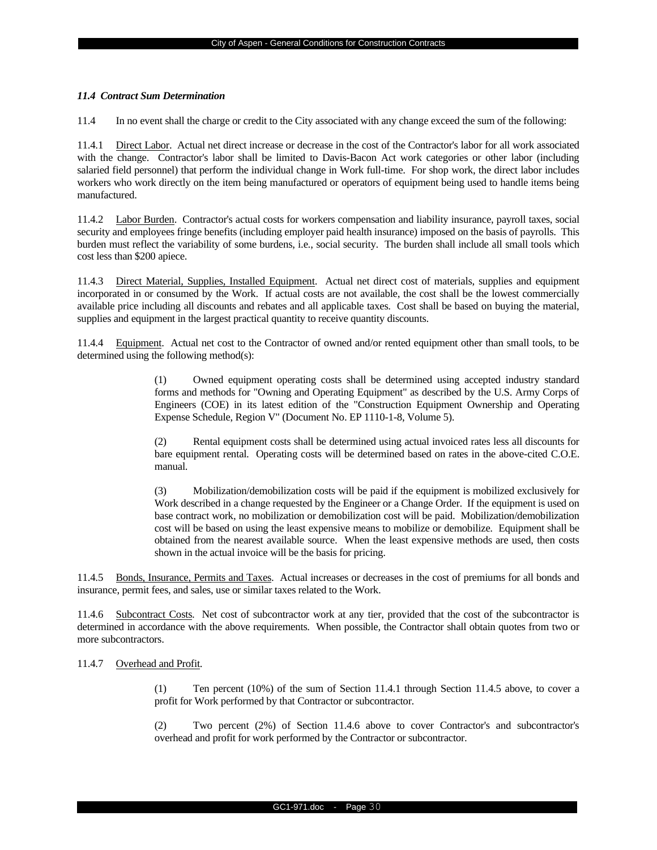#### *11.4 Contract Sum Determination*

11.4 In no event shall the charge or credit to the City associated with any change exceed the sum of the following:

11.4.1 Direct Labor. Actual net direct increase or decrease in the cost of the Contractor's labor for all work associated with the change. Contractor's labor shall be limited to Davis-Bacon Act work categories or other labor (including salaried field personnel) that perform the individual change in Work full-time. For shop work, the direct labor includes workers who work directly on the item being manufactured or operators of equipment being used to handle items being manufactured.

11.4.2 Labor Burden. Contractor's actual costs for workers compensation and liability insurance, payroll taxes, social security and employees fringe benefits (including employer paid health insurance) imposed on the basis of payrolls. This burden must reflect the variability of some burdens, i.e., social security. The burden shall include all small tools which cost less than \$200 apiece.

11.4.3 Direct Material, Supplies, Installed Equipment. Actual net direct cost of materials, supplies and equipment incorporated in or consumed by the Work. If actual costs are not available, the cost shall be the lowest commercially available price including all discounts and rebates and all applicable taxes. Cost shall be based on buying the material, supplies and equipment in the largest practical quantity to receive quantity discounts.

11.4.4 Equipment. Actual net cost to the Contractor of owned and/or rented equipment other than small tools, to be determined using the following method(s):

> (1) Owned equipment operating costs shall be determined using accepted industry standard forms and methods for "Owning and Operating Equipment" as described by the U.S. Army Corps of Engineers (COE) in its latest edition of the "Construction Equipment Ownership and Operating Expense Schedule, Region V" (Document No. EP 1110-1-8, Volume 5).

> (2) Rental equipment costs shall be determined using actual invoiced rates less all discounts for bare equipment rental. Operating costs will be determined based on rates in the above-cited C.O.E. manual.

> (3) Mobilization/demobilization costs will be paid if the equipment is mobilized exclusively for Work described in a change requested by the Engineer or a Change Order. If the equipment is used on base contract work, no mobilization or demobilization cost will be paid. Mobilization/demobilization cost will be based on using the least expensive means to mobilize or demobilize. Equipment shall be obtained from the nearest available source. When the least expensive methods are used, then costs shown in the actual invoice will be the basis for pricing.

11.4.5 Bonds, Insurance, Permits and Taxes. Actual increases or decreases in the cost of premiums for all bonds and insurance, permit fees, and sales, use or similar taxes related to the Work.

11.4.6 Subcontract Costs. Net cost of subcontractor work at any tier, provided that the cost of the subcontractor is determined in accordance with the above requirements. When possible, the Contractor shall obtain quotes from two or more subcontractors.

## 11.4.7 Overhead and Profit.

(1) Ten percent (10%) of the sum of Section 11.4.1 through Section 11.4.5 above, to cover a profit for Work performed by that Contractor or subcontractor.

(2) Two percent (2%) of Section 11.4.6 above to cover Contractor's and subcontractor's overhead and profit for work performed by the Contractor or subcontractor.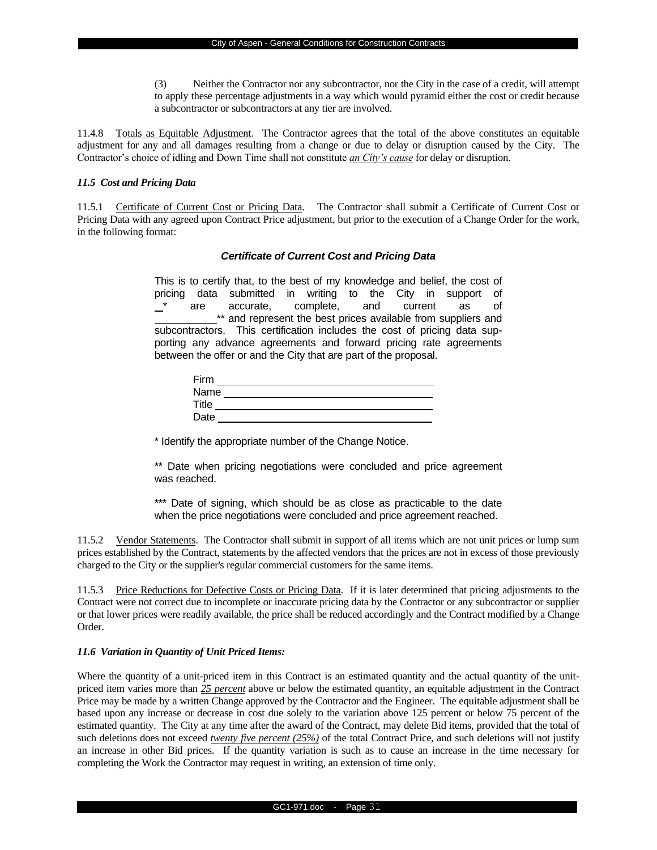(3) Neither the Contractor nor any subcontractor, nor the City in the case of a credit, will attempt to apply these percentage adjustments in a way which would pyramid either the cost or credit because a subcontractor or subcontractors at any tier are involved.

11.4.8 Totals as Equitable Adjustment. The Contractor agrees that the total of the above constitutes an equitable adjustment for any and all damages resulting from a change or due to delay or disruption caused by the City. The Contractor's choice of idling and Down Time shall not constitute *an City's cause* for delay or disruption.

## *11.5 Cost and Pricing Data*

11.5.1 Certificate of Current Cost or Pricing Data. The Contractor shall submit a Certificate of Current Cost or Pricing Data with any agreed upon Contract Price adjustment, but prior to the execution of a Change Order for the work, in the following format:

## *Certificate of Current Cost and Pricing Data*

This is to certify that, to the best of my knowledge and belief, the cost of pricing data submitted in writing to the City in support of are accurate, complete, and current as of \*\* and represent the best prices available from suppliers and subcontractors. This certification includes the cost of pricing data supporting any advance agreements and forward pricing rate agreements between the offer or and the City that are part of the proposal.

| Firm  |  |
|-------|--|
| Name  |  |
| Title |  |
| Date  |  |

\* Identify the appropriate number of the Change Notice.

\*\* Date when pricing negotiations were concluded and price agreement was reached.

\*\*\* Date of signing, which should be as close as practicable to the date when the price negotiations were concluded and price agreement reached.

11.5.2 Vendor Statements. The Contractor shall submit in support of all items which are not unit prices or lump sum prices established by the Contract, statements by the affected vendors that the prices are not in excess of those previously charged to the City or the supplier's regular commercial customers for the same items.

11.5.3 Price Reductions for Defective Costs or Pricing Data. If it is later determined that pricing adjustments to the Contract were not correct due to incomplete or inaccurate pricing data by the Contractor or any subcontractor or supplier or that lower prices were readily available, the price shall be reduced accordingly and the Contract modified by a Change Order.

#### *11.6 Variation in Quantity of Unit Priced Items:*

Where the quantity of a unit-priced item in this Contract is an estimated quantity and the actual quantity of the unitpriced item varies more than *25 percent* above or below the estimated quantity, an equitable adjustment in the Contract Price may be made by a written Change approved by the Contractor and the Engineer. The equitable adjustment shall be based upon any increase or decrease in cost due solely to the variation above 125 percent or below 75 percent of the estimated quantity. The City at any time after the award of the Contract, may delete Bid items, provided that the total of such deletions does not exceed *twenty five percent (25%)* of the total Contract Price, and such deletions will not justify an increase in other Bid prices. If the quantity variation is such as to cause an increase in the time necessary for completing the Work the Contractor may request in writing, an extension of time only.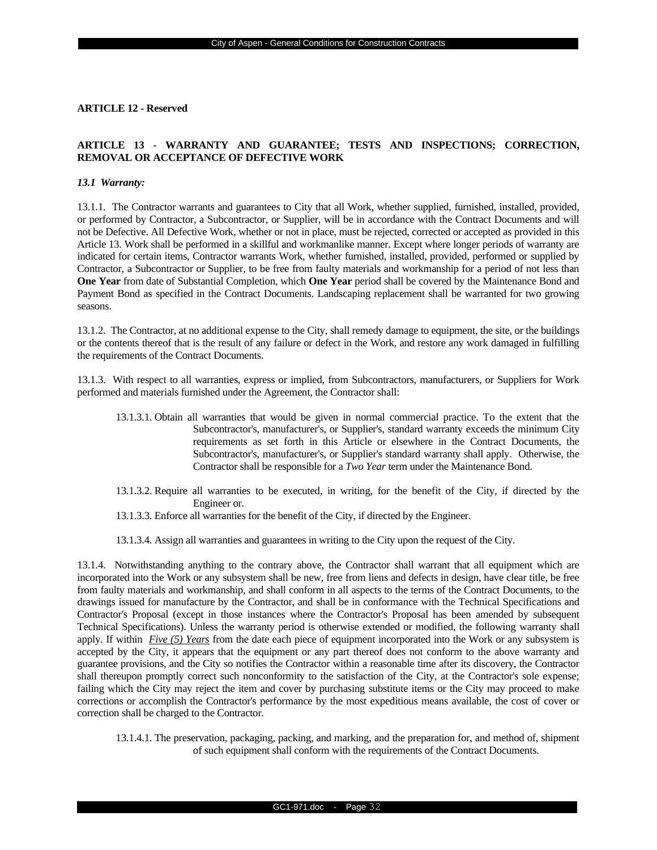#### **ARTICLE 12 - Reserved**

## **ARTICLE 13 - WARRANTY AND GUARANTEE; TESTS AND INSPECTIONS; CORRECTION, REMOVAL OR ACCEPTANCE OF DEFECTIVE WORK**

#### *13.1 Warranty:*

13.1.1. The Contractor warrants and guarantees to City that all Work, whether supplied, furnished, installed, provided, or performed by Contractor, a Subcontractor, or Supplier, will be in accordance with the Contract Documents and will not be Defective. All Defective Work, whether or not in place, must be rejected, corrected or accepted as provided in this Article 13. Work shall be performed in a skillful and workmanlike manner. Except where longer periods of warranty are indicated for certain items, Contractor warrants Work, whether furnished, installed, provided, performed or supplied by Contractor, a Subcontractor or Supplier, to be free from faulty materials and workmanship for a period of not less than **One Year** from date of Substantial Completion, which **One Year** period shall be covered by the Maintenance Bond and Payment Bond as specified in the Contract Documents. Landscaping replacement shall be warranted for two growing seasons.

13.1.2. The Contractor, at no additional expense to the City, shall remedy damage to equipment, the site, or the buildings or the contents thereof that is the result of any failure or defect in the Work, and restore any work damaged in fulfilling the requirements of the Contract Documents.

13.1.3. With respect to all warranties, express or implied, from Subcontractors, manufacturers, or Suppliers for Work performed and materials furnished under the Agreement, the Contractor shall:

- 13.1.3.1. Obtain all warranties that would be given in normal commercial practice. To the extent that the Subcontractor's, manufacturer's, or Supplier's, standard warranty exceeds the minimum City requirements as set forth in this Article or elsewhere in the Contract Documents, the Subcontractor's, manufacturer's, or Supplier's standard warranty shall apply. Otherwise, the Contractor shall be responsible for a *Two Year* term under the Maintenance Bond.
- 13.1.3.2. Require all warranties to be executed, in writing, for the benefit of the City, if directed by the Engineer or.
- 13.1.3.3. Enforce all warranties for the benefit of the City, if directed by the Engineer.
- 13.1.3.4. Assign all warranties and guarantees in writing to the City upon the request of the City.

13.1.4. Notwithstanding anything to the contrary above, the Contractor shall warrant that all equipment which are incorporated into the Work or any subsystem shall be new, free from liens and defects in design, have clear title, be free from faulty materials and workmanship, and shall conform in all aspects to the terms of the Contract Documents, to the drawings issued for manufacture by the Contractor, and shall be in conformance with the Technical Specifications and Contractor's Proposal (except in those instances where the Contractor's Proposal has been amended by subsequent Technical Specifications). Unless the warranty period is otherwise extended or modified, the following warranty shall apply. If within *Five (5) Years* from the date each piece of equipment incorporated into the Work or any subsystem is accepted by the City, it appears that the equipment or any part thereof does not conform to the above warranty and guarantee provisions, and the City so notifies the Contractor within a reasonable time after its discovery, the Contractor shall thereupon promptly correct such nonconformity to the satisfaction of the City, at the Contractor's sole expense; failing which the City may reject the item and cover by purchasing substitute items or the City may proceed to make corrections or accomplish the Contractor's performance by the most expeditious means available, the cost of cover or correction shall be charged to the Contractor.

13.1.4.1. The preservation, packaging, packing, and marking, and the preparation for, and method of, shipment of such equipment shall conform with the requirements of the Contract Documents.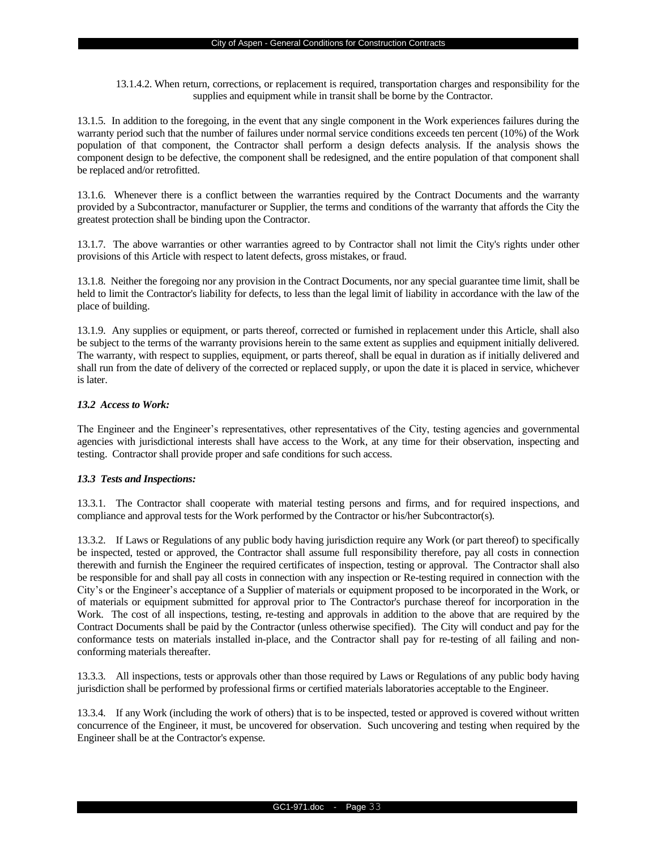13.1.4.2. When return, corrections, or replacement is required, transportation charges and responsibility for the supplies and equipment while in transit shall be borne by the Contractor.

13.1.5. In addition to the foregoing, in the event that any single component in the Work experiences failures during the warranty period such that the number of failures under normal service conditions exceeds ten percent (10%) of the Work population of that component, the Contractor shall perform a design defects analysis. If the analysis shows the component design to be defective, the component shall be redesigned, and the entire population of that component shall be replaced and/or retrofitted.

13.1.6. Whenever there is a conflict between the warranties required by the Contract Documents and the warranty provided by a Subcontractor, manufacturer or Supplier, the terms and conditions of the warranty that affords the City the greatest protection shall be binding upon the Contractor.

13.1.7. The above warranties or other warranties agreed to by Contractor shall not limit the City's rights under other provisions of this Article with respect to latent defects, gross mistakes, or fraud.

13.1.8. Neither the foregoing nor any provision in the Contract Documents, nor any special guarantee time limit, shall be held to limit the Contractor's liability for defects, to less than the legal limit of liability in accordance with the law of the place of building.

13.1.9. Any supplies or equipment, or parts thereof, corrected or furnished in replacement under this Article, shall also be subject to the terms of the warranty provisions herein to the same extent as supplies and equipment initially delivered. The warranty, with respect to supplies, equipment, or parts thereof, shall be equal in duration as if initially delivered and shall run from the date of delivery of the corrected or replaced supply, or upon the date it is placed in service, whichever is later.

## *13.2 Access to Work:*

The Engineer and the Engineer's representatives, other representatives of the City, testing agencies and governmental agencies with jurisdictional interests shall have access to the Work, at any time for their observation, inspecting and testing. Contractor shall provide proper and safe conditions for such access.

## *13.3 Tests and Inspections:*

13.3.1. The Contractor shall cooperate with material testing persons and firms, and for required inspections, and compliance and approval tests for the Work performed by the Contractor or his/her Subcontractor(s).

13.3.2. If Laws or Regulations of any public body having jurisdiction require any Work (or part thereof) to specifically be inspected, tested or approved, the Contractor shall assume full responsibility therefore, pay all costs in connection therewith and furnish the Engineer the required certificates of inspection, testing or approval. The Contractor shall also be responsible for and shall pay all costs in connection with any inspection or Re-testing required in connection with the City's or the Engineer's acceptance of a Supplier of materials or equipment proposed to be incorporated in the Work, or of materials or equipment submitted for approval prior to The Contractor's purchase thereof for incorporation in the Work. The cost of all inspections, testing, re-testing and approvals in addition to the above that are required by the Contract Documents shall be paid by the Contractor (unless otherwise specified). The City will conduct and pay for the conformance tests on materials installed in-place, and the Contractor shall pay for re-testing of all failing and nonconforming materials thereafter.

13.3.3. All inspections, tests or approvals other than those required by Laws or Regulations of any public body having jurisdiction shall be performed by professional firms or certified materials laboratories acceptable to the Engineer.

13.3.4. If any Work (including the work of others) that is to be inspected, tested or approved is covered without written concurrence of the Engineer, it must, be uncovered for observation. Such uncovering and testing when required by the Engineer shall be at the Contractor's expense.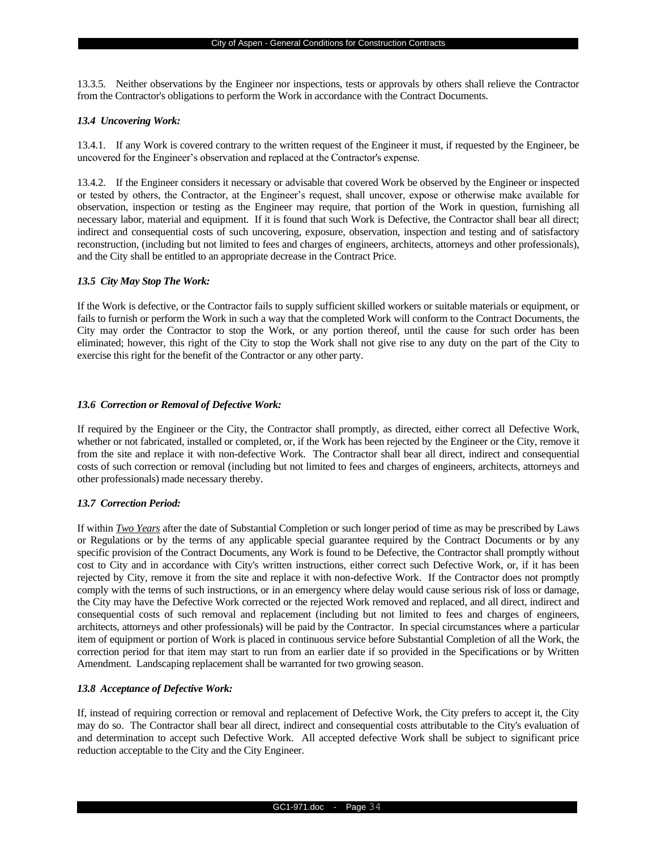13.3.5. Neither observations by the Engineer nor inspections, tests or approvals by others shall relieve the Contractor from the Contractor's obligations to perform the Work in accordance with the Contract Documents.

#### *13.4 Uncovering Work:*

13.4.1. If any Work is covered contrary to the written request of the Engineer it must, if requested by the Engineer, be uncovered for the Engineer's observation and replaced at the Contractor's expense.

13.4.2. If the Engineer considers it necessary or advisable that covered Work be observed by the Engineer or inspected or tested by others, the Contractor, at the Engineer's request, shall uncover, expose or otherwise make available for observation, inspection or testing as the Engineer may require, that portion of the Work in question, furnishing all necessary labor, material and equipment. If it is found that such Work is Defective, the Contractor shall bear all direct; indirect and consequential costs of such uncovering, exposure, observation, inspection and testing and of satisfactory reconstruction, (including but not limited to fees and charges of engineers, architects, attorneys and other professionals), and the City shall be entitled to an appropriate decrease in the Contract Price.

#### *13.5 City May Stop The Work:*

If the Work is defective, or the Contractor fails to supply sufficient skilled workers or suitable materials or equipment, or fails to furnish or perform the Work in such a way that the completed Work will conform to the Contract Documents, the City may order the Contractor to stop the Work, or any portion thereof, until the cause for such order has been eliminated; however, this right of the City to stop the Work shall not give rise to any duty on the part of the City to exercise this right for the benefit of the Contractor or any other party.

### *13.6 Correction or Removal of Defective Work:*

If required by the Engineer or the City, the Contractor shall promptly, as directed, either correct all Defective Work, whether or not fabricated, installed or completed, or, if the Work has been rejected by the Engineer or the City, remove it from the site and replace it with non-defective Work. The Contractor shall bear all direct, indirect and consequential costs of such correction or removal (including but not limited to fees and charges of engineers, architects, attorneys and other professionals) made necessary thereby.

#### *13.7 Correction Period:*

If within *Two Years* after the date of Substantial Completion or such longer period of time as may be prescribed by Laws or Regulations or by the terms of any applicable special guarantee required by the Contract Documents or by any specific provision of the Contract Documents, any Work is found to be Defective, the Contractor shall promptly without cost to City and in accordance with City's written instructions, either correct such Defective Work, or, if it has been rejected by City, remove it from the site and replace it with non-defective Work. If the Contractor does not promptly comply with the terms of such instructions, or in an emergency where delay would cause serious risk of loss or damage, the City may have the Defective Work corrected or the rejected Work removed and replaced, and all direct, indirect and consequential costs of such removal and replacement (including but not limited to fees and charges of engineers, architects, attorneys and other professionals) will be paid by the Contractor. In special circumstances where a particular item of equipment or portion of Work is placed in continuous service before Substantial Completion of all the Work, the correction period for that item may start to run from an earlier date if so provided in the Specifications or by Written Amendment. Landscaping replacement shall be warranted for two growing season.

## *13.8 Acceptance of Defective Work:*

If, instead of requiring correction or removal and replacement of Defective Work, the City prefers to accept it, the City may do so. The Contractor shall bear all direct, indirect and consequential costs attributable to the City's evaluation of and determination to accept such Defective Work. All accepted defective Work shall be subject to significant price reduction acceptable to the City and the City Engineer.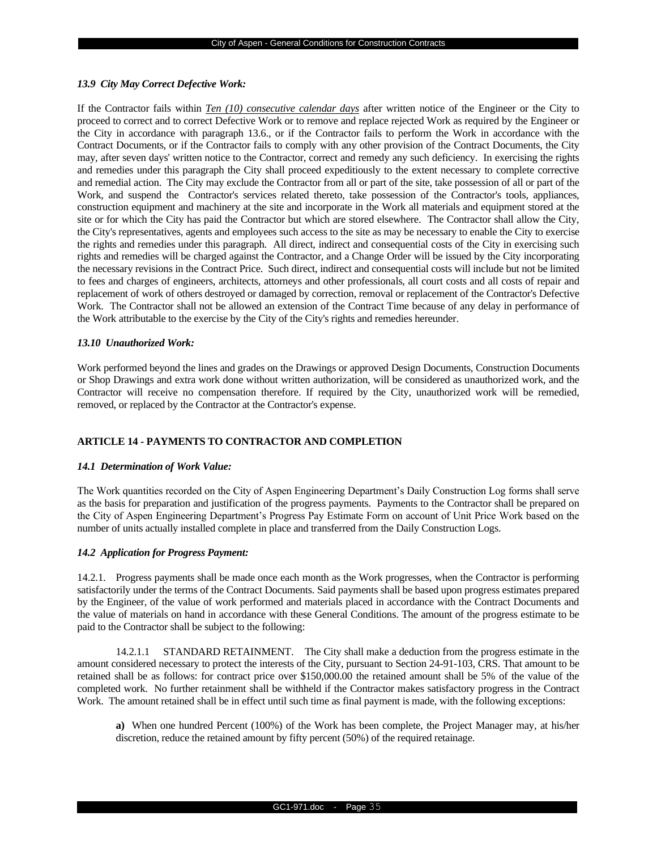#### *13.9 City May Correct Defective Work:*

If the Contractor fails within *Ten (10) consecutive calendar days* after written notice of the Engineer or the City to proceed to correct and to correct Defective Work or to remove and replace rejected Work as required by the Engineer or the City in accordance with paragraph 13.6., or if the Contractor fails to perform the Work in accordance with the Contract Documents, or if the Contractor fails to comply with any other provision of the Contract Documents, the City may, after seven days' written notice to the Contractor, correct and remedy any such deficiency. In exercising the rights and remedies under this paragraph the City shall proceed expeditiously to the extent necessary to complete corrective and remedial action. The City may exclude the Contractor from all or part of the site, take possession of all or part of the Work, and suspend the Contractor's services related thereto, take possession of the Contractor's tools, appliances, construction equipment and machinery at the site and incorporate in the Work all materials and equipment stored at the site or for which the City has paid the Contractor but which are stored elsewhere. The Contractor shall allow the City, the City's representatives, agents and employees such access to the site as may be necessary to enable the City to exercise the rights and remedies under this paragraph. All direct, indirect and consequential costs of the City in exercising such rights and remedies will be charged against the Contractor, and a Change Order will be issued by the City incorporating the necessary revisions in the Contract Price. Such direct, indirect and consequential costs will include but not be limited to fees and charges of engineers, architects, attorneys and other professionals, all court costs and all costs of repair and replacement of work of others destroyed or damaged by correction, removal or replacement of the Contractor's Defective Work. The Contractor shall not be allowed an extension of the Contract Time because of any delay in performance of the Work attributable to the exercise by the City of the City's rights and remedies hereunder.

#### *13.10 Unauthorized Work:*

Work performed beyond the lines and grades on the Drawings or approved Design Documents, Construction Documents or Shop Drawings and extra work done without written authorization, will be considered as unauthorized work, and the Contractor will receive no compensation therefore. If required by the City, unauthorized work will be remedied, removed, or replaced by the Contractor at the Contractor's expense.

#### **ARTICLE 14 - PAYMENTS TO CONTRACTOR AND COMPLETION**

#### *14.1 Determination of Work Value:*

The Work quantities recorded on the City of Aspen Engineering Department's Daily Construction Log forms shall serve as the basis for preparation and justification of the progress payments. Payments to the Contractor shall be prepared on the City of Aspen Engineering Department's Progress Pay Estimate Form on account of Unit Price Work based on the number of units actually installed complete in place and transferred from the Daily Construction Logs.

#### *14.2 Application for Progress Payment:*

14.2.1. Progress payments shall be made once each month as the Work progresses, when the Contractor is performing satisfactorily under the terms of the Contract Documents. Said payments shall be based upon progress estimates prepared by the Engineer, of the value of work performed and materials placed in accordance with the Contract Documents and the value of materials on hand in accordance with these General Conditions. The amount of the progress estimate to be paid to the Contractor shall be subject to the following:

14.2.1.1 STANDARD RETAINMENT. The City shall make a deduction from the progress estimate in the amount considered necessary to protect the interests of the City, pursuant to Section 24-91-103, CRS. That amount to be retained shall be as follows: for contract price over \$150,000.00 the retained amount shall be 5% of the value of the completed work. No further retainment shall be withheld if the Contractor makes satisfactory progress in the Contract Work. The amount retained shall be in effect until such time as final payment is made, with the following exceptions:

**a)** When one hundred Percent (100%) of the Work has been complete, the Project Manager may, at his/her discretion, reduce the retained amount by fifty percent (50%) of the required retainage.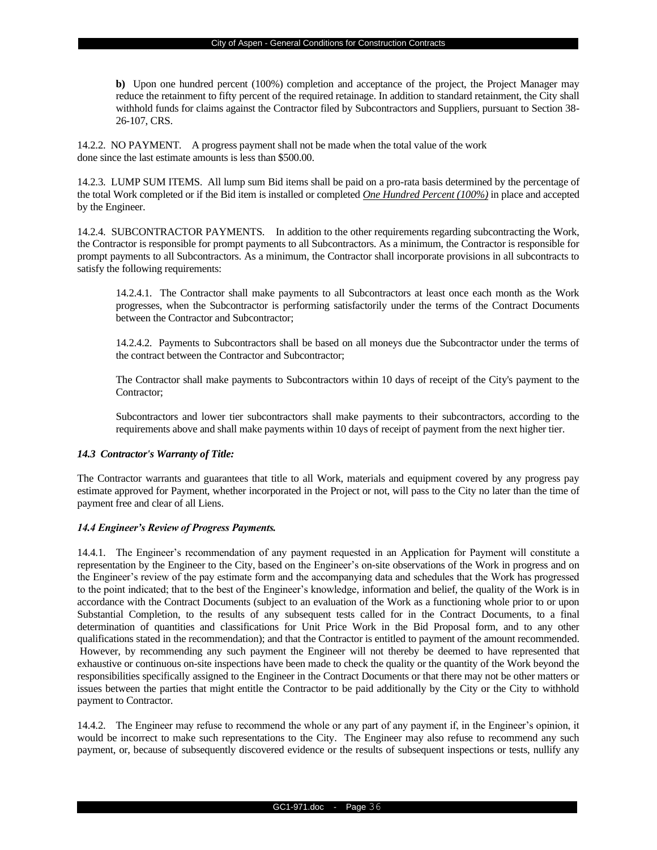**b)** Upon one hundred percent (100%) completion and acceptance of the project, the Project Manager may reduce the retainment to fifty percent of the required retainage. In addition to standard retainment, the City shall withhold funds for claims against the Contractor filed by Subcontractors and Suppliers, pursuant to Section 38- 26-107, CRS.

14.2.2. NO PAYMENT*.* A progress payment shall not be made when the total value of the work done since the last estimate amounts is less than \$500.00.

14.2.3. LUMP SUM ITEMS. All lump sum Bid items shall be paid on a pro-rata basis determined by the percentage of the total Work completed or if the Bid item is installed or completed *One Hundred Percent (100%)* in place and accepted by the Engineer.

14.2.4. SUBCONTRACTOR PAYMENTS. In addition to the other requirements regarding subcontracting the Work, the Contractor is responsible for prompt payments to all Subcontractors. As a minimum, the Contractor is responsible for prompt payments to all Subcontractors. As a minimum, the Contractor shall incorporate provisions in all subcontracts to satisfy the following requirements:

14.2.4.1. The Contractor shall make payments to all Subcontractors at least once each month as the Work progresses, when the Subcontractor is performing satisfactorily under the terms of the Contract Documents between the Contractor and Subcontractor;

14.2.4.2. Payments to Subcontractors shall be based on all moneys due the Subcontractor under the terms of the contract between the Contractor and Subcontractor;

The Contractor shall make payments to Subcontractors within 10 days of receipt of the City's payment to the Contractor;

Subcontractors and lower tier subcontractors shall make payments to their subcontractors, according to the requirements above and shall make payments within 10 days of receipt of payment from the next higher tier.

## *14.3 Contractor's Warranty of Title:*

The Contractor warrants and guarantees that title to all Work, materials and equipment covered by any progress pay estimate approved for Payment, whether incorporated in the Project or not, will pass to the City no later than the time of payment free and clear of all Liens.

## *14.4 Engineer's Review of Progress Payments.*

14.4.1. The Engineer's recommendation of any payment requested in an Application for Payment will constitute a representation by the Engineer to the City, based on the Engineer's on-site observations of the Work in progress and on the Engineer's review of the pay estimate form and the accompanying data and schedules that the Work has progressed to the point indicated; that to the best of the Engineer's knowledge, information and belief, the quality of the Work is in accordance with the Contract Documents (subject to an evaluation of the Work as a functioning whole prior to or upon Substantial Completion, to the results of any subsequent tests called for in the Contract Documents, to a final determination of quantities and classifications for Unit Price Work in the Bid Proposal form, and to any other qualifications stated in the recommendation); and that the Contractor is entitled to payment of the amount recommended. However, by recommending any such payment the Engineer will not thereby be deemed to have represented that exhaustive or continuous on-site inspections have been made to check the quality or the quantity of the Work beyond the responsibilities specifically assigned to the Engineer in the Contract Documents or that there may not be other matters or issues between the parties that might entitle the Contractor to be paid additionally by the City or the City to withhold payment to Contractor.

14.4.2. The Engineer may refuse to recommend the whole or any part of any payment if, in the Engineer's opinion, it would be incorrect to make such representations to the City. The Engineer may also refuse to recommend any such payment, or, because of subsequently discovered evidence or the results of subsequent inspections or tests, nullify any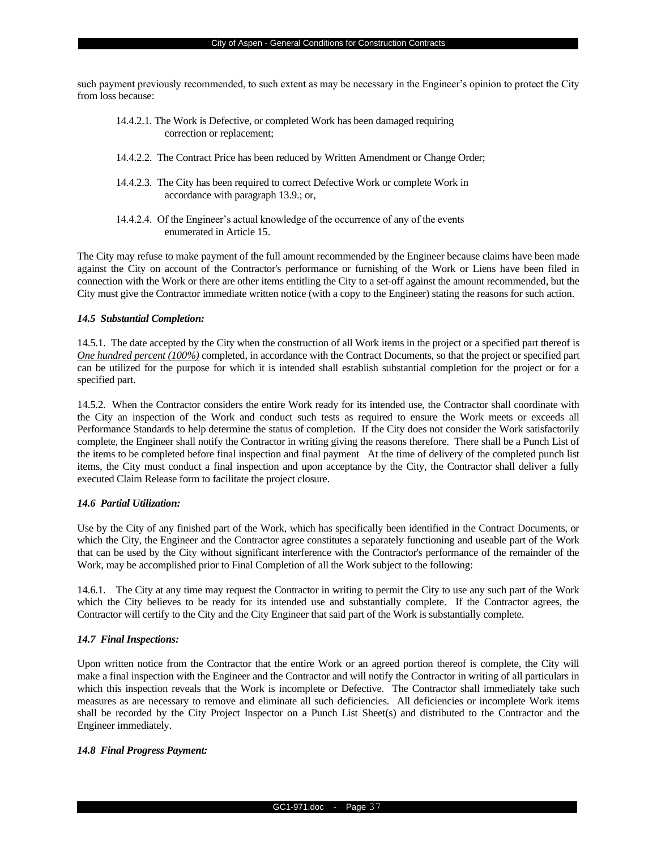such payment previously recommended, to such extent as may be necessary in the Engineer's opinion to protect the City from loss because:

- 14.4.2.1. The Work is Defective, or completed Work has been damaged requiring correction or replacement;
- 14.4.2.2. The Contract Price has been reduced by Written Amendment or Change Order;
- 14.4.2.3. The City has been required to correct Defective Work or complete Work in accordance with paragraph 13.9.; or,
- 14.4.2.4. Of the Engineer's actual knowledge of the occurrence of any of the events enumerated in Article 15.

The City may refuse to make payment of the full amount recommended by the Engineer because claims have been made against the City on account of the Contractor's performance or furnishing of the Work or Liens have been filed in connection with the Work or there are other items entitling the City to a set-off against the amount recommended, but the City must give the Contractor immediate written notice (with a copy to the Engineer) stating the reasons for such action.

## *14.5 Substantial Completion:*

14.5.1. The date accepted by the City when the construction of all Work items in the project or a specified part thereof is *One hundred percent (100%)* completed, in accordance with the Contract Documents, so that the project or specified part can be utilized for the purpose for which it is intended shall establish substantial completion for the project or for a specified part.

14.5.2. When the Contractor considers the entire Work ready for its intended use, the Contractor shall coordinate with the City an inspection of the Work and conduct such tests as required to ensure the Work meets or exceeds all Performance Standards to help determine the status of completion. If the City does not consider the Work satisfactorily complete, the Engineer shall notify the Contractor in writing giving the reasons therefore. There shall be a Punch List of the items to be completed before final inspection and final payment At the time of delivery of the completed punch list items, the City must conduct a final inspection and upon acceptance by the City, the Contractor shall deliver a fully executed Claim Release form to facilitate the project closure.

#### *14.6 Partial Utilization:*

Use by the City of any finished part of the Work, which has specifically been identified in the Contract Documents, or which the City, the Engineer and the Contractor agree constitutes a separately functioning and useable part of the Work that can be used by the City without significant interference with the Contractor's performance of the remainder of the Work, may be accomplished prior to Final Completion of all the Work subject to the following:

14.6.1. The City at any time may request the Contractor in writing to permit the City to use any such part of the Work which the City believes to be ready for its intended use and substantially complete. If the Contractor agrees, the Contractor will certify to the City and the City Engineer that said part of the Work is substantially complete.

## *14.7 Final Inspections:*

Upon written notice from the Contractor that the entire Work or an agreed portion thereof is complete, the City will make a final inspection with the Engineer and the Contractor and will notify the Contractor in writing of all particulars in which this inspection reveals that the Work is incomplete or Defective.The Contractor shall immediately take such measures as are necessary to remove and eliminate all such deficiencies. All deficiencies or incomplete Work items shall be recorded by the City Project Inspector on a Punch List Sheet(s) and distributed to the Contractor and the Engineer immediately.

## *14.8 Final Progress Payment:*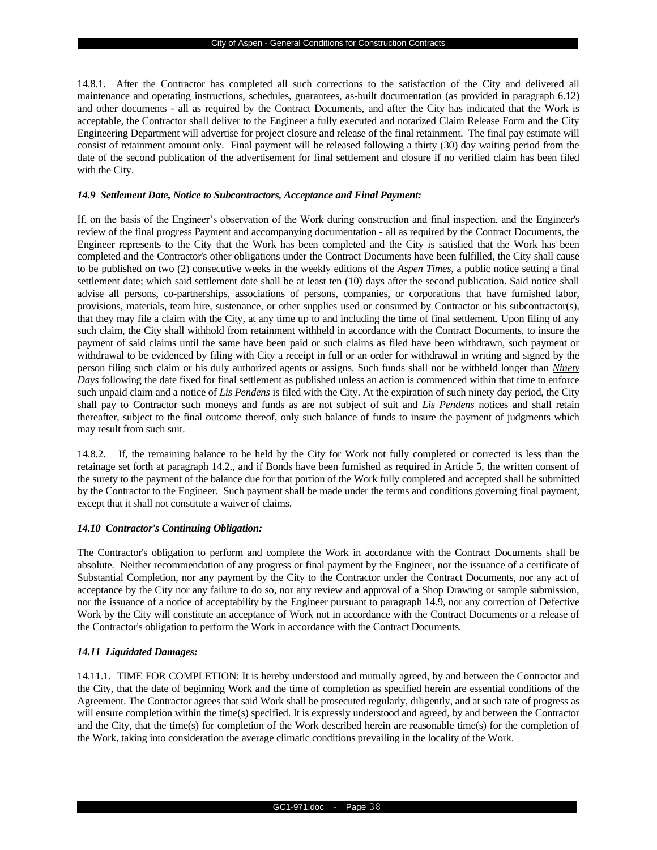14.8.1. After the Contractor has completed all such corrections to the satisfaction of the City and delivered all maintenance and operating instructions, schedules, guarantees, as-built documentation (as provided in paragraph 6.12) and other documents - all as required by the Contract Documents, and after the City has indicated that the Work is acceptable, the Contractor shall deliver to the Engineer a fully executed and notarized Claim Release Form and the City Engineering Department will advertise for project closure and release of the final retainment. The final pay estimate will consist of retainment amount only. Final payment will be released following a thirty (30) day waiting period from the date of the second publication of the advertisement for final settlement and closure if no verified claim has been filed with the City.

#### *14.9 Settlement Date, Notice to Subcontractors, Acceptance and Final Payment:*

If, on the basis of the Engineer's observation of the Work during construction and final inspection, and the Engineer's review of the final progress Payment and accompanying documentation - all as required by the Contract Documents, the Engineer represents to the City that the Work has been completed and the City is satisfied that the Work has been completed and the Contractor's other obligations under the Contract Documents have been fulfilled, the City shall cause to be published on two (2) consecutive weeks in the weekly editions of the *Aspen Times*, a public notice setting a final settlement date; which said settlement date shall be at least ten (10) days after the second publication. Said notice shall advise all persons, co-partnerships, associations of persons, companies, or corporations that have furnished labor, provisions, materials, team hire, sustenance, or other supplies used or consumed by Contractor or his subcontractor(s), that they may file a claim with the City, at any time up to and including the time of final settlement. Upon filing of any such claim, the City shall withhold from retainment withheld in accordance with the Contract Documents, to insure the payment of said claims until the same have been paid or such claims as filed have been withdrawn, such payment or withdrawal to be evidenced by filing with City a receipt in full or an order for withdrawal in writing and signed by the person filing such claim or his duly authorized agents or assigns. Such funds shall not be withheld longer than *Ninety Days* following the date fixed for final settlement as published unless an action is commenced within that time to enforce such unpaid claim and a notice of *Lis Pendens* is filed with the City. At the expiration of such ninety day period, the City shall pay to Contractor such moneys and funds as are not subject of suit and *Lis Pendens* notices and shall retain thereafter, subject to the final outcome thereof, only such balance of funds to insure the payment of judgments which may result from such suit.

14.8.2. If, the remaining balance to be held by the City for Work not fully completed or corrected is less than the retainage set forth at paragraph 14.2., and if Bonds have been furnished as required in Article 5, the written consent of the surety to the payment of the balance due for that portion of the Work fully completed and accepted shall be submitted by the Contractor to the Engineer. Such payment shall be made under the terms and conditions governing final payment, except that it shall not constitute a waiver of claims.

## *14.10 Contractor's Continuing Obligation:*

The Contractor's obligation to perform and complete the Work in accordance with the Contract Documents shall be absolute. Neither recommendation of any progress or final payment by the Engineer, nor the issuance of a certificate of Substantial Completion, nor any payment by the City to the Contractor under the Contract Documents, nor any act of acceptance by the City nor any failure to do so, nor any review and approval of a Shop Drawing or sample submission, nor the issuance of a notice of acceptability by the Engineer pursuant to paragraph 14.9, nor any correction of Defective Work by the City will constitute an acceptance of Work not in accordance with the Contract Documents or a release of the Contractor's obligation to perform the Work in accordance with the Contract Documents.

## *14.11 Liquidated Damages:*

14.11.1. TIME FOR COMPLETION: It is hereby understood and mutually agreed, by and between the Contractor and the City, that the date of beginning Work and the time of completion as specified herein are essential conditions of the Agreement. The Contractor agrees that said Work shall be prosecuted regularly, diligently, and at such rate of progress as will ensure completion within the time(s) specified. It is expressly understood and agreed, by and between the Contractor and the City, that the time(s) for completion of the Work described herein are reasonable time(s) for the completion of the Work, taking into consideration the average climatic conditions prevailing in the locality of the Work.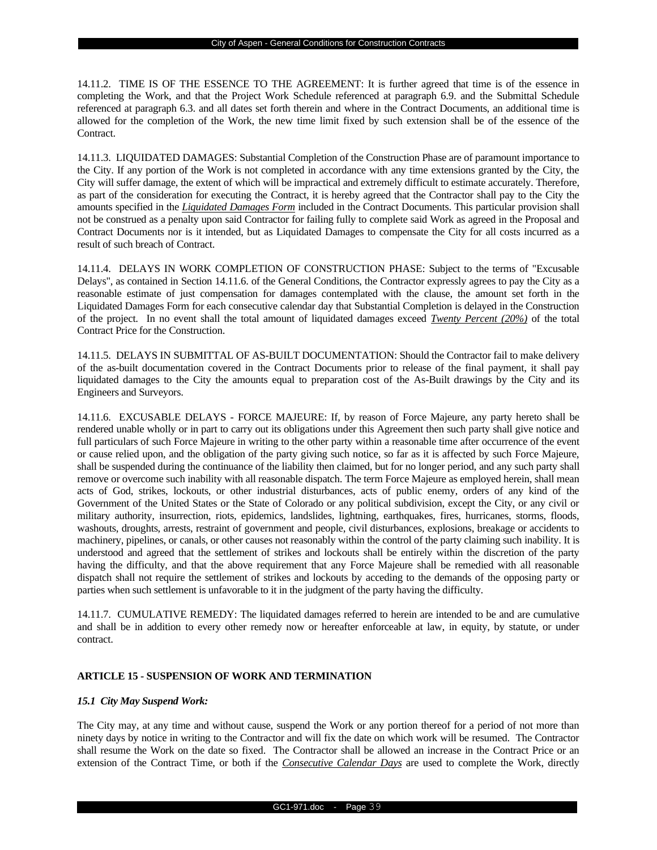14.11.2. TIME IS OF THE ESSENCE TO THE AGREEMENT: It is further agreed that time is of the essence in completing the Work, and that the Project Work Schedule referenced at paragraph 6.9. and the Submittal Schedule referenced at paragraph 6.3. and all dates set forth therein and where in the Contract Documents, an additional time is allowed for the completion of the Work, the new time limit fixed by such extension shall be of the essence of the Contract.

14.11.3. LIQUIDATED DAMAGES: Substantial Completion of the Construction Phase are of paramount importance to the City. If any portion of the Work is not completed in accordance with any time extensions granted by the City, the City will suffer damage, the extent of which will be impractical and extremely difficult to estimate accurately. Therefore, as part of the consideration for executing the Contract, it is hereby agreed that the Contractor shall pay to the City the amounts specified in the *Liquidated Damages Form* included in the Contract Documents. This particular provision shall not be construed as a penalty upon said Contractor for failing fully to complete said Work as agreed in the Proposal and Contract Documents nor is it intended, but as Liquidated Damages to compensate the City for all costs incurred as a result of such breach of Contract.

14.11.4. DELAYS IN WORK COMPLETION OF CONSTRUCTION PHASE: Subject to the terms of "Excusable Delays", as contained in Section 14.11.6. of the General Conditions, the Contractor expressly agrees to pay the City as a reasonable estimate of just compensation for damages contemplated with the clause, the amount set forth in the Liquidated Damages Form for each consecutive calendar day that Substantial Completion is delayed in the Construction of the project. In no event shall the total amount of liquidated damages exceed *Twenty Percent (20%)* of the total Contract Price for the Construction.

14.11.5. DELAYS IN SUBMITTAL OF AS-BUILT DOCUMENTATION: Should the Contractor fail to make delivery of the as-built documentation covered in the Contract Documents prior to release of the final payment, it shall pay liquidated damages to the City the amounts equal to preparation cost of the As-Built drawings by the City and its Engineers and Surveyors.

14.11.6. EXCUSABLE DELAYS - FORCE MAJEURE: If, by reason of Force Majeure, any party hereto shall be rendered unable wholly or in part to carry out its obligations under this Agreement then such party shall give notice and full particulars of such Force Majeure in writing to the other party within a reasonable time after occurrence of the event or cause relied upon, and the obligation of the party giving such notice, so far as it is affected by such Force Majeure, shall be suspended during the continuance of the liability then claimed, but for no longer period, and any such party shall remove or overcome such inability with all reasonable dispatch. The term Force Majeure as employed herein, shall mean acts of God, strikes, lockouts, or other industrial disturbances, acts of public enemy, orders of any kind of the Government of the United States or the State of Colorado or any political subdivision, except the City, or any civil or military authority, insurrection, riots, epidemics, landslides, lightning, earthquakes, fires, hurricanes, storms, floods, washouts, droughts, arrests, restraint of government and people, civil disturbances, explosions, breakage or accidents to machinery, pipelines, or canals, or other causes not reasonably within the control of the party claiming such inability. It is understood and agreed that the settlement of strikes and lockouts shall be entirely within the discretion of the party having the difficulty, and that the above requirement that any Force Majeure shall be remedied with all reasonable dispatch shall not require the settlement of strikes and lockouts by acceding to the demands of the opposing party or parties when such settlement is unfavorable to it in the judgment of the party having the difficulty.

14.11.7. CUMULATIVE REMEDY: The liquidated damages referred to herein are intended to be and are cumulative and shall be in addition to every other remedy now or hereafter enforceable at law, in equity, by statute, or under contract.

## **ARTICLE 15 - SUSPENSION OF WORK AND TERMINATION**

#### *15.1 City May Suspend Work:*

The City may, at any time and without cause, suspend the Work or any portion thereof for a period of not more than ninety days by notice in writing to the Contractor and will fix the date on which work will be resumed. The Contractor shall resume the Work on the date so fixed. The Contractor shall be allowed an increase in the Contract Price or an extension of the Contract Time, or both if the *Consecutive Calendar Days* are used to complete the Work, directly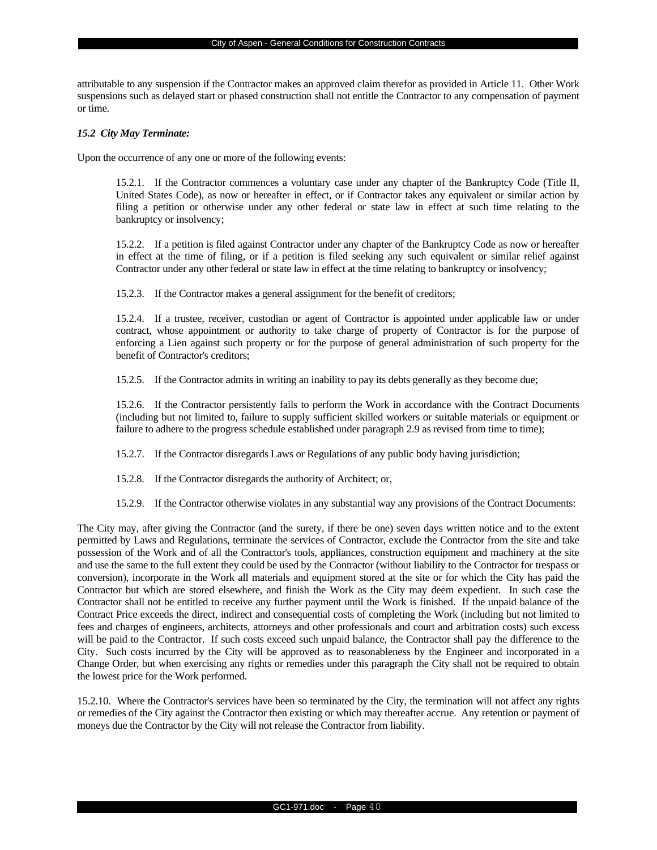attributable to any suspension if the Contractor makes an approved claim therefor as provided in Article 11. Other Work suspensions such as delayed start or phased construction shall not entitle the Contractor to any compensation of payment or time.

#### *15.2 City May Terminate:*

Upon the occurrence of any one or more of the following events:

15.2.1. If the Contractor commences a voluntary case under any chapter of the Bankruptcy Code (Title II, United States Code), as now or hereafter in effect, or if Contractor takes any equivalent or similar action by filing a petition or otherwise under any other federal or state law in effect at such time relating to the bankruptcy or insolvency;

15.2.2. If a petition is filed against Contractor under any chapter of the Bankruptcy Code as now or hereafter in effect at the time of filing, or if a petition is filed seeking any such equivalent or similar relief against Contractor under any other federal or state law in effect at the time relating to bankruptcy or insolvency;

15.2.3. If the Contractor makes a general assignment for the benefit of creditors;

15.2.4. If a trustee, receiver, custodian or agent of Contractor is appointed under applicable law or under contract, whose appointment or authority to take charge of property of Contractor is for the purpose of enforcing a Lien against such property or for the purpose of general administration of such property for the benefit of Contractor's creditors;

15.2.5. If the Contractor admits in writing an inability to pay its debts generally as they become due;

15.2.6. If the Contractor persistently fails to perform the Work in accordance with the Contract Documents (including but not limited to, failure to supply sufficient skilled workers or suitable materials or equipment or failure to adhere to the progress schedule established under paragraph 2.9 as revised from time to time);

15.2.7. If the Contractor disregards Laws or Regulations of any public body having jurisdiction;

15.2.8. If the Contractor disregards the authority of Architect; or,

15.2.9. If the Contractor otherwise violates in any substantial way any provisions of the Contract Documents:

The City may, after giving the Contractor (and the surety, if there be one) seven days written notice and to the extent permitted by Laws and Regulations, terminate the services of Contractor, exclude the Contractor from the site and take possession of the Work and of all the Contractor's tools, appliances, construction equipment and machinery at the site and use the same to the full extent they could be used by the Contractor (without liability to the Contractor for trespass or conversion), incorporate in the Work all materials and equipment stored at the site or for which the City has paid the Contractor but which are stored elsewhere, and finish the Work as the City may deem expedient. In such case the Contractor shall not be entitled to receive any further payment until the Work is finished. If the unpaid balance of the Contract Price exceeds the direct, indirect and consequential costs of completing the Work (including but not limited to fees and charges of engineers, architects, attorneys and other professionals and court and arbitration costs) such excess will be paid to the Contractor. If such costs exceed such unpaid balance, the Contractor shall pay the difference to the City. Such costs incurred by the City will be approved as to reasonableness by the Engineer and incorporated in a Change Order, but when exercising any rights or remedies under this paragraph the City shall not be required to obtain the lowest price for the Work performed.

15.2.10. Where the Contractor's services have been so terminated by the City, the termination will not affect any rights or remedies of the City against the Contractor then existing or which may thereafter accrue. Any retention or payment of moneys due the Contractor by the City will not release the Contractor from liability.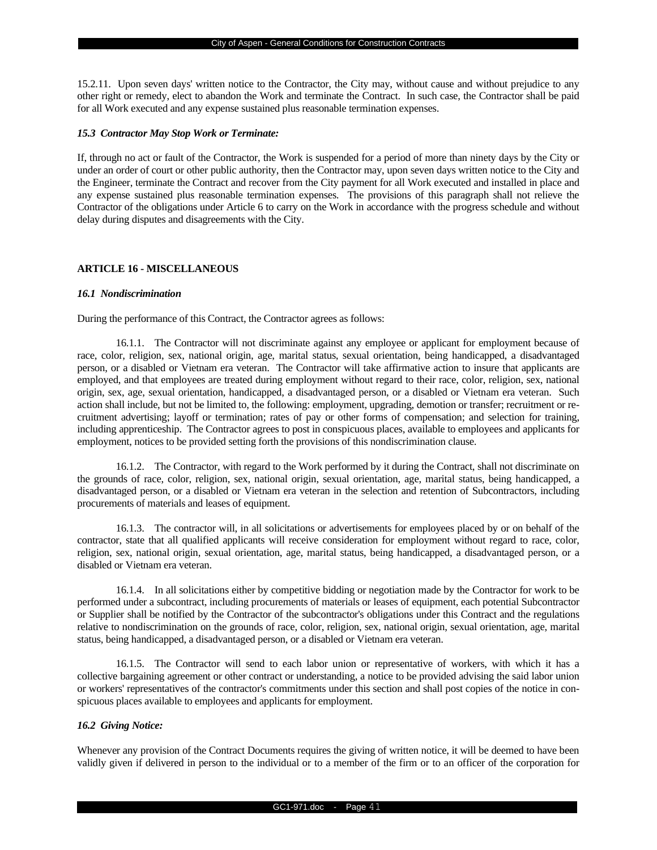15.2.11. Upon seven days' written notice to the Contractor, the City may, without cause and without prejudice to any other right or remedy, elect to abandon the Work and terminate the Contract. In such case, the Contractor shall be paid for all Work executed and any expense sustained plus reasonable termination expenses.

#### *15.3 Contractor May Stop Work or Terminate:*

If, through no act or fault of the Contractor, the Work is suspended for a period of more than ninety days by the City or under an order of court or other public authority, then the Contractor may, upon seven days written notice to the City and the Engineer, terminate the Contract and recover from the City payment for all Work executed and installed in place and any expense sustained plus reasonable termination expenses. The provisions of this paragraph shall not relieve the Contractor of the obligations under Article 6 to carry on the Work in accordance with the progress schedule and without delay during disputes and disagreements with the City.

#### **ARTICLE 16 - MISCELLANEOUS**

#### *16.1 Nondiscrimination*

During the performance of this Contract, the Contractor agrees as follows:

16.1.1. The Contractor will not discriminate against any employee or applicant for employment because of race, color, religion, sex, national origin, age, marital status, sexual orientation, being handicapped, a disadvantaged person, or a disabled or Vietnam era veteran. The Contractor will take affirmative action to insure that applicants are employed, and that employees are treated during employment without regard to their race, color, religion, sex, national origin, sex, age, sexual orientation, handicapped, a disadvantaged person, or a disabled or Vietnam era veteran. Such action shall include, but not be limited to, the following: employment, upgrading, demotion or transfer; recruitment or recruitment advertising; layoff or termination; rates of pay or other forms of compensation; and selection for training, including apprenticeship. The Contractor agrees to post in conspicuous places, available to employees and applicants for employment, notices to be provided setting forth the provisions of this nondiscrimination clause.

16.1.2. The Contractor, with regard to the Work performed by it during the Contract, shall not discriminate on the grounds of race, color, religion, sex, national origin, sexual orientation, age, marital status, being handicapped, a disadvantaged person, or a disabled or Vietnam era veteran in the selection and retention of Subcontractors, including procurements of materials and leases of equipment.

16.1.3. The contractor will, in all solicitations or advertisements for employees placed by or on behalf of the contractor, state that all qualified applicants will receive consideration for employment without regard to race, color, religion, sex, national origin, sexual orientation, age, marital status, being handicapped, a disadvantaged person, or a disabled or Vietnam era veteran.

16.1.4. In all solicitations either by competitive bidding or negotiation made by the Contractor for work to be performed under a subcontract, including procurements of materials or leases of equipment, each potential Subcontractor or Supplier shall be notified by the Contractor of the subcontractor's obligations under this Contract and the regulations relative to nondiscrimination on the grounds of race, color, religion, sex, national origin, sexual orientation, age, marital status, being handicapped, a disadvantaged person, or a disabled or Vietnam era veteran.

16.1.5. The Contractor will send to each labor union or representative of workers, with which it has a collective bargaining agreement or other contract or understanding, a notice to be provided advising the said labor union or workers' representatives of the contractor's commitments under this section and shall post copies of the notice in conspicuous places available to employees and applicants for employment.

## *16.2 Giving Notice:*

Whenever any provision of the Contract Documents requires the giving of written notice, it will be deemed to have been validly given if delivered in person to the individual or to a member of the firm or to an officer of the corporation for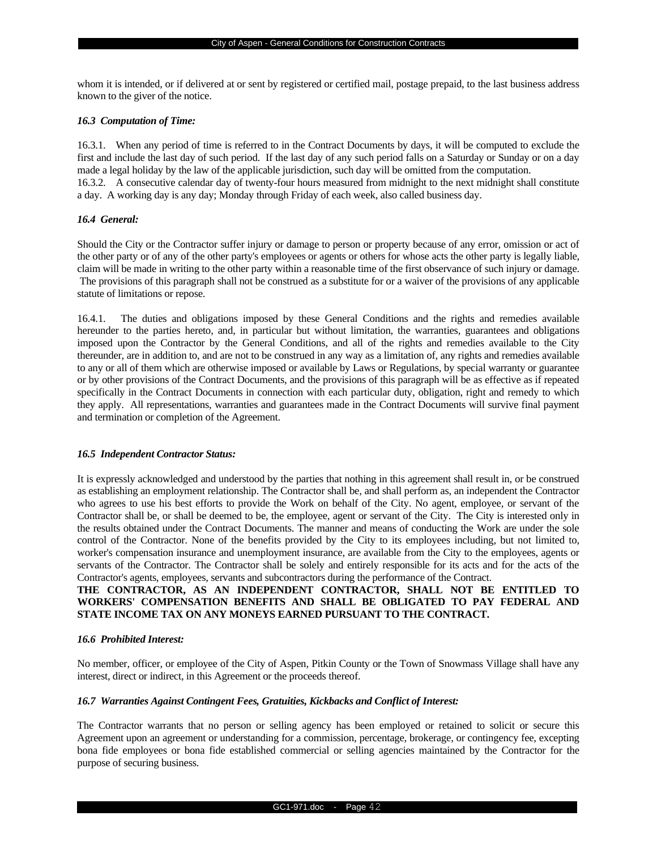whom it is intended, or if delivered at or sent by registered or certified mail, postage prepaid, to the last business address known to the giver of the notice.

#### *16.3 Computation of Time:*

16.3.1. When any period of time is referred to in the Contract Documents by days, it will be computed to exclude the first and include the last day of such period. If the last day of any such period falls on a Saturday or Sunday or on a day made a legal holiday by the law of the applicable jurisdiction, such day will be omitted from the computation. 16.3.2. A consecutive calendar day of twenty-four hours measured from midnight to the next midnight shall constitute a day. A working day is any day; Monday through Friday of each week, also called business day.

## *16.4 General:*

Should the City or the Contractor suffer injury or damage to person or property because of any error, omission or act of the other party or of any of the other party's employees or agents or others for whose acts the other party is legally liable, claim will be made in writing to the other party within a reasonable time of the first observance of such injury or damage. The provisions of this paragraph shall not be construed as a substitute for or a waiver of the provisions of any applicable statute of limitations or repose.

16.4.1. The duties and obligations imposed by these General Conditions and the rights and remedies available hereunder to the parties hereto, and, in particular but without limitation, the warranties, guarantees and obligations imposed upon the Contractor by the General Conditions, and all of the rights and remedies available to the City thereunder, are in addition to, and are not to be construed in any way as a limitation of, any rights and remedies available to any or all of them which are otherwise imposed or available by Laws or Regulations, by special warranty or guarantee or by other provisions of the Contract Documents, and the provisions of this paragraph will be as effective as if repeated specifically in the Contract Documents in connection with each particular duty, obligation, right and remedy to which they apply. All representations, warranties and guarantees made in the Contract Documents will survive final payment and termination or completion of the Agreement.

## *16.5 Independent Contractor Status:*

It is expressly acknowledged and understood by the parties that nothing in this agreement shall result in, or be construed as establishing an employment relationship. The Contractor shall be, and shall perform as, an independent the Contractor who agrees to use his best efforts to provide the Work on behalf of the City. No agent, employee, or servant of the Contractor shall be, or shall be deemed to be, the employee, agent or servant of the City. The City is interested only in the results obtained under the Contract Documents. The manner and means of conducting the Work are under the sole control of the Contractor. None of the benefits provided by the City to its employees including, but not limited to, worker's compensation insurance and unemployment insurance, are available from the City to the employees, agents or servants of the Contractor. The Contractor shall be solely and entirely responsible for its acts and for the acts of the Contractor's agents, employees, servants and subcontractors during the performance of the Contract.

## **THE CONTRACTOR, AS AN INDEPENDENT CONTRACTOR, SHALL NOT BE ENTITLED TO WORKERS' COMPENSATION BENEFITS AND SHALL BE OBLIGATED TO PAY FEDERAL AND STATE INCOME TAX ON ANY MONEYS EARNED PURSUANT TO THE CONTRACT.**

## *16.6 Prohibited Interest:*

No member, officer, or employee of the City of Aspen, Pitkin County or the Town of Snowmass Village shall have any interest, direct or indirect, in this Agreement or the proceeds thereof.

#### *16.7 Warranties Against Contingent Fees, Gratuities, Kickbacks and Conflict of Interest:*

The Contractor warrants that no person or selling agency has been employed or retained to solicit or secure this Agreement upon an agreement or understanding for a commission, percentage, brokerage, or contingency fee, excepting bona fide employees or bona fide established commercial or selling agencies maintained by the Contractor for the purpose of securing business.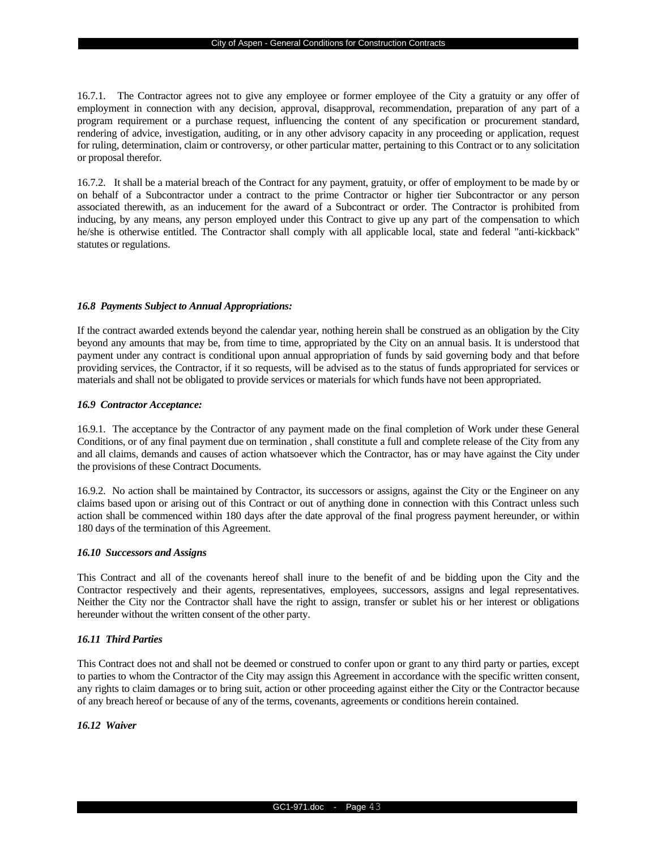16.7.1. The Contractor agrees not to give any employee or former employee of the City a gratuity or any offer of employment in connection with any decision, approval, disapproval, recommendation, preparation of any part of a program requirement or a purchase request, influencing the content of any specification or procurement standard, rendering of advice, investigation, auditing, or in any other advisory capacity in any proceeding or application, request for ruling, determination, claim or controversy, or other particular matter, pertaining to this Contract or to any solicitation or proposal therefor.

16.7.2. It shall be a material breach of the Contract for any payment, gratuity, or offer of employment to be made by or on behalf of a Subcontractor under a contract to the prime Contractor or higher tier Subcontractor or any person associated therewith, as an inducement for the award of a Subcontract or order. The Contractor is prohibited from inducing, by any means, any person employed under this Contract to give up any part of the compensation to which he/she is otherwise entitled. The Contractor shall comply with all applicable local, state and federal "anti-kickback" statutes or regulations.

### *16.8 Payments Subject to Annual Appropriations:*

If the contract awarded extends beyond the calendar year, nothing herein shall be construed as an obligation by the City beyond any amounts that may be, from time to time, appropriated by the City on an annual basis. It is understood that payment under any contract is conditional upon annual appropriation of funds by said governing body and that before providing services, the Contractor, if it so requests, will be advised as to the status of funds appropriated for services or materials and shall not be obligated to provide services or materials for which funds have not been appropriated.

### *16.9 Contractor Acceptance:*

16.9.1. The acceptance by the Contractor of any payment made on the final completion of Work under these General Conditions, or of any final payment due on termination , shall constitute a full and complete release of the City from any and all claims, demands and causes of action whatsoever which the Contractor, has or may have against the City under the provisions of these Contract Documents.

16.9.2. No action shall be maintained by Contractor, its successors or assigns, against the City or the Engineer on any claims based upon or arising out of this Contract or out of anything done in connection with this Contract unless such action shall be commenced within 180 days after the date approval of the final progress payment hereunder, or within 180 days of the termination of this Agreement.

## *16.10 Successors and Assigns*

This Contract and all of the covenants hereof shall inure to the benefit of and be bidding upon the City and the Contractor respectively and their agents, representatives, employees, successors, assigns and legal representatives. Neither the City nor the Contractor shall have the right to assign, transfer or sublet his or her interest or obligations hereunder without the written consent of the other party.

## *16.11 Third Parties*

This Contract does not and shall not be deemed or construed to confer upon or grant to any third party or parties, except to parties to whom the Contractor of the City may assign this Agreement in accordance with the specific written consent, any rights to claim damages or to bring suit, action or other proceeding against either the City or the Contractor because of any breach hereof or because of any of the terms, covenants, agreements or conditions herein contained.

## *16.12 Waiver*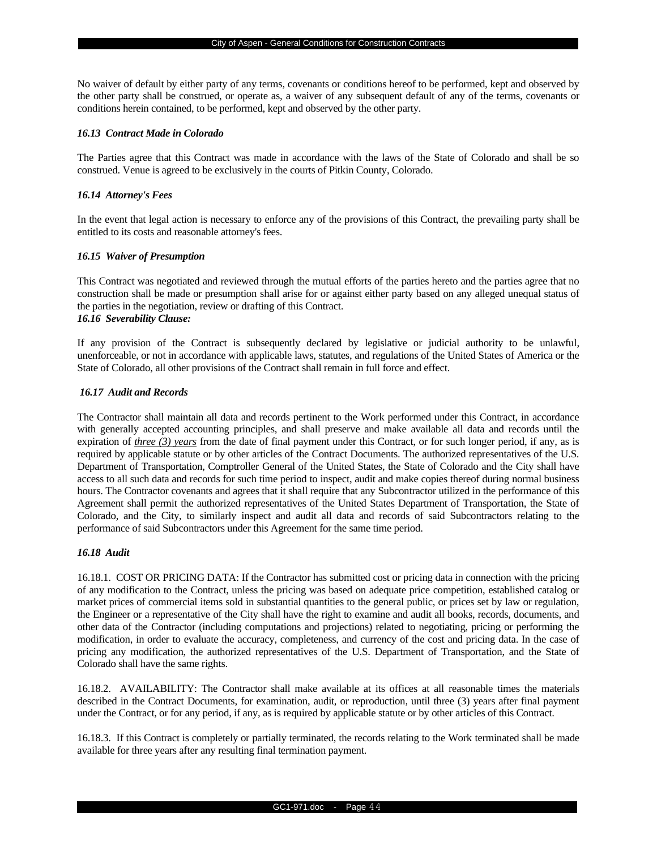No waiver of default by either party of any terms, covenants or conditions hereof to be performed, kept and observed by the other party shall be construed, or operate as, a waiver of any subsequent default of any of the terms, covenants or conditions herein contained, to be performed, kept and observed by the other party.

#### *16.13 Contract Made in Colorado*

The Parties agree that this Contract was made in accordance with the laws of the State of Colorado and shall be so construed. Venue is agreed to be exclusively in the courts of Pitkin County, Colorado.

#### *16.14 Attorney's Fees*

In the event that legal action is necessary to enforce any of the provisions of this Contract, the prevailing party shall be entitled to its costs and reasonable attorney's fees.

#### *16.15 Waiver of Presumption*

This Contract was negotiated and reviewed through the mutual efforts of the parties hereto and the parties agree that no construction shall be made or presumption shall arise for or against either party based on any alleged unequal status of the parties in the negotiation, review or drafting of this Contract. *16.16 Severability Clause:*

If any provision of the Contract is subsequently declared by legislative or judicial authority to be unlawful, unenforceable, or not in accordance with applicable laws, statutes, and regulations of the United States of America or the State of Colorado, all other provisions of the Contract shall remain in full force and effect.

## *16.17 Audit and Records*

The Contractor shall maintain all data and records pertinent to the Work performed under this Contract, in accordance with generally accepted accounting principles, and shall preserve and make available all data and records until the expiration of *three (3) years* from the date of final payment under this Contract, or for such longer period, if any, as is required by applicable statute or by other articles of the Contract Documents. The authorized representatives of the U.S. Department of Transportation, Comptroller General of the United States, the State of Colorado and the City shall have access to all such data and records for such time period to inspect, audit and make copies thereof during normal business hours. The Contractor covenants and agrees that it shall require that any Subcontractor utilized in the performance of this Agreement shall permit the authorized representatives of the United States Department of Transportation, the State of Colorado, and the City, to similarly inspect and audit all data and records of said Subcontractors relating to the performance of said Subcontractors under this Agreement for the same time period.

## *16.18 Audit*

16.18.1. COST OR PRICING DATA: If the Contractor has submitted cost or pricing data in connection with the pricing of any modification to the Contract, unless the pricing was based on adequate price competition, established catalog or market prices of commercial items sold in substantial quantities to the general public, or prices set by law or regulation, the Engineer or a representative of the City shall have the right to examine and audit all books, records, documents, and other data of the Contractor (including computations and projections) related to negotiating, pricing or performing the modification, in order to evaluate the accuracy, completeness, and currency of the cost and pricing data. In the case of pricing any modification, the authorized representatives of the U.S. Department of Transportation, and the State of Colorado shall have the same rights.

16.18.2. AVAILABILITY: The Contractor shall make available at its offices at all reasonable times the materials described in the Contract Documents, for examination, audit, or reproduction, until three (3) years after final payment under the Contract, or for any period, if any, as is required by applicable statute or by other articles of this Contract.

16.18.3. If this Contract is completely or partially terminated, the records relating to the Work terminated shall be made available for three years after any resulting final termination payment.